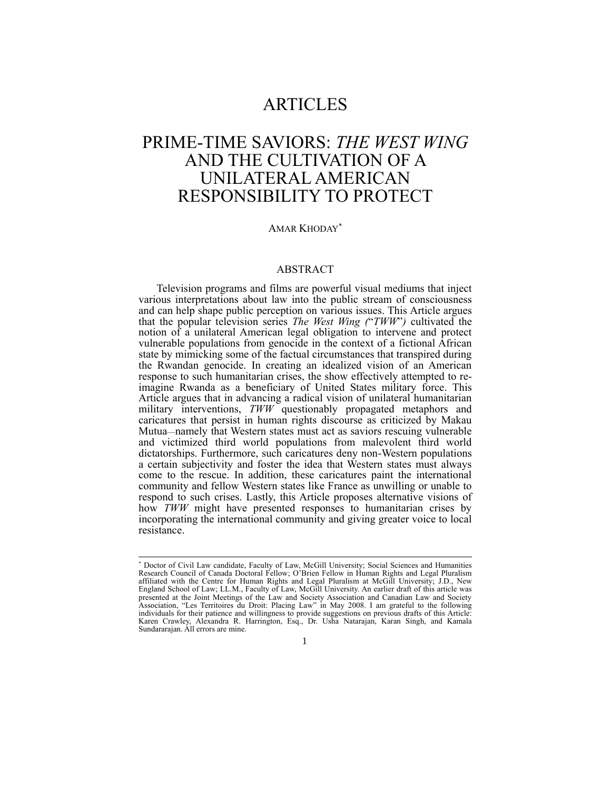# ARTICLES

# PRIME-TIME SAVIORS: *THE WEST WING* AND THE CULTIVATION OF A UNILATERAL AMERICAN RESPONSIBILITY TO PROTECT

### AMAR KHODAY

# ABSTRACT

Television programs and films are powerful visual mediums that inject various interpretations about law into the public stream of consciousness and can help shape public perception on various issues. This Article argues that the popular television series *The West Wing (*"*TWW*"*)* cultivated the notion of a unilateral American legal obligation to intervene and protect vulnerable populations from genocide in the context of a fictional African state by mimicking some of the factual circumstances that transpired during the Rwandan genocide. In creating an idealized vision of an American response to such humanitarian crises, the show effectively attempted to reimagine Rwanda as a beneficiary of United States military force. This Article argues that in advancing a radical vision of unilateral humanitarian military interventions, *TWW* questionably propagated metaphors and caricatures that persist in human rights discourse as criticized by Makau Mutua—namely that Western states must act as saviors rescuing vulnerable and victimized third world populations from malevolent third world dictatorships. Furthermore, such caricatures deny non-Western populations a certain subjectivity and foster the idea that Western states must always come to the rescue. In addition, these caricatures paint the international community and fellow Western states like France as unwilling or unable to respond to such crises. Lastly, this Article proposes alternative visions of how *TWW* might have presented responses to humanitarian crises by incorporating the international community and giving greater voice to local resistance.

<sup>-</sup> Doctor of Civil Law candidate, Faculty of Law, McGill University; Social Sciences and Humanities Research Council of Canada Doctoral Fellow; O'Brien Fellow in Human Rights and Legal Pluralism affiliated with the Centre for Human Rights and Legal Pluralism at McGill University; J.D., New England School of Law; LL.M., Faculty of Law, McGill University. An earlier draft of this article was presented at the Joint Meetings of the Law and Society Association and Canadian Law and Society<br>Association, "Les Territoires du Droit: Placing Law" in May 2008. I am grateful to the following<br>individuals for their patienc Karen Crawley, Alexandra R. Harrington, Esq., Dr. Usha Natarajan, Karan Singh, and Kamala Sundararajan. All errors are mine.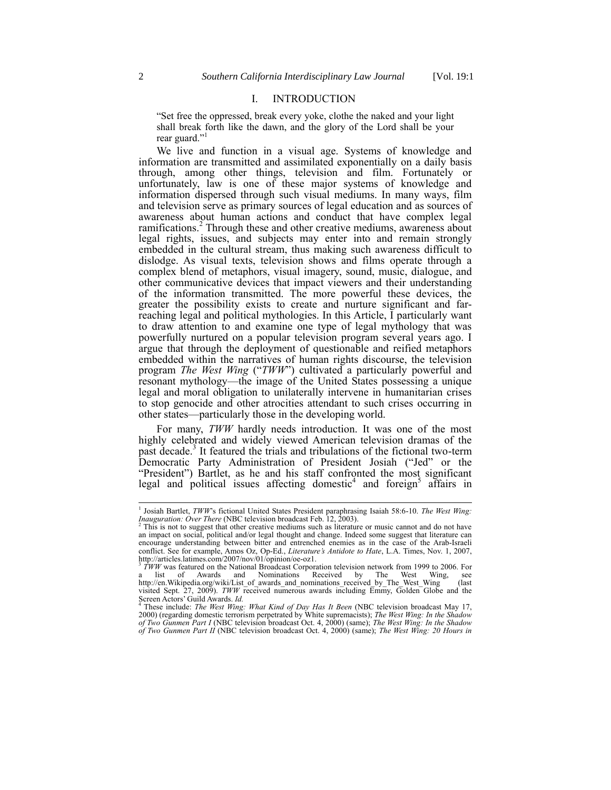# I. INTRODUCTION

<span id="page-1-0"></span>"Set free the oppressed, break every yoke, clothe the naked and your light shall break forth like the dawn, and the glory of the Lord shall be your rear guard."

We live and function in a visual age. Systems of knowledge and information are transmitted and assimilated exponentially on a daily basis through, among other things, television and film. Fortunately or unfortunately, law is one of these major systems of knowledge and information dispersed through such visual mediums. In many ways, film and television serve as primary sources of legal education and as sources of awareness about human actions and conduct that have complex legal ramifications.<sup>2</sup> Through these and other creative mediums, awareness about legal rights, issues, and subjects may enter into and remain strongly embedded in the cultural stream, thus making such awareness difficult to dislodge. As visual texts, television shows and films operate through a complex blend of metaphors, visual imagery, sound, music, dialogue, and other communicative devices that impact viewers and their understanding of the information transmitted. The more powerful these devices, the greater the possibility exists to create and nurture significant and farreaching legal and political mythologies. In this Article, I particularly want to draw attention to and examine one type of legal mythology that was powerfully nurtured on a popular television program several years ago. I argue that through the deployment of questionable and reified metaphors embedded within the narratives of human rights discourse, the television program *The West Wing* ("*TWW*") cultivated a particularly powerful and resonant mythology—the image of the United States possessing a unique legal and moral obligation to unilaterally intervene in humanitarian crises to stop genocide and other atrocities attendant to such crises occurring in other states—particularly those in the developing world.

For many, *TWW* hardly needs introduction. It was one of the most highly celebrated and widely viewed American television dramas of the past decade.<sup>3</sup> It featured the trials and tribulations of the fictional two-term Democratic Party Administration of President Josiah ("Jed" or the "President") Bartlet, as he and his staff confronted the most significant legal and political issues affecting domestic<sup>4</sup> and foreign<sup>5</sup> affairs in

<span id="page-1-1"></span> 1 Josiah Bartlet, *TWW*'s fictional United States President paraphrasing Isaiah 58:6-10. *The West Wing: Inauguration: Over There* (NBC television broadcast Feb. 12, 2003).<br><sup>2</sup> This is not to suggest that other creative mediums such as literature or music cannot and do not have

an impact on social, political and/or legal thought and change. Indeed some suggest that literature can encourage understanding between bitter and entrenched enemies as in the case of the Arab-Israeli conflict. See for example, Amos Oz, Op-Ed., *Literature's Antidote to Hate*, L.A. Times, Nov. 1, 2007, http://articles.latimes.com/2007/nov/01/opinion/oe-oz1.<br><sup>3</sup> TWW was featured on the National Broadcast Corporation television network from 1999 to 2006. For

<sup>&</sup>lt;sup>3</sup> TWW was featured on the National Broadcast Corporation television network from 1999 to 2006. For a list of Awards and Nominations Received by The West Wing, see<br>http://en.Wikipedia.org/wiki/List\_of\_awards\_and\_nominations\_received\_by\_The\_West\_Wing (last<br>visited\_Sept. 27, 2009). *TWW* received\_numerous\_awards\_including\_ Screen Actors' Guild Awards. *Id.*

<sup>4</sup> These include: *The West Wing: What Kind of Day Has It Been* (NBC television broadcast May 17, 2000) (regarding domestic terrorism perpetrated by White supremacists); *The West Wing: In the Shadow of Two Gunmen Part I* (NBC television broadcast Oct. 4, 2000) (same); *The West Wing: In the Shadow of Two Gunmen Part II* (NBC television broadcast Oct. 4, 2000) (same); *The West Wing: 20 Hours in*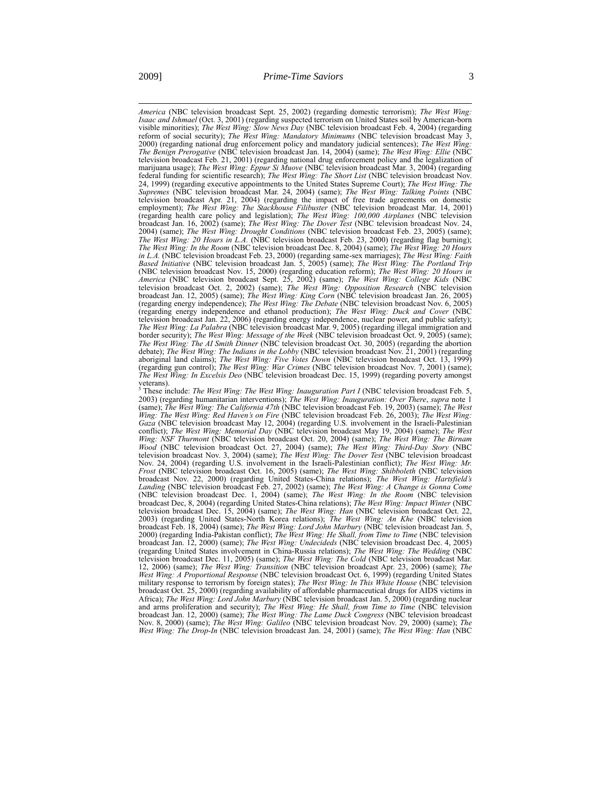*America* (NBC television broadcast Sept. 25, 2002) (regarding domestic terrorism); *The West Wing: Isaac and Ishmael* (Oct. 3, 2001) (regarding suspected terrorism on United States soil by American-born visible minorities); *The West Wing: Slow News Day* (NBC television broadcast Feb. 4, 2004) (regarding reform of social security); *The West Wing: Mandatory Minimums* (NBC television broadcast May 3, 2000) (regarding national drug enforcement policy and mandatory judicial sentences); *The West Wing: The Benign Prerogative* (NBC television broadcast Jan. 14, 2004) (same); *The West Wing: Ellie* (NBC television broadcast Feb. 21, 2001) (regarding national drug enforcement policy and the legalization of marijuana usage); *The West Wing: Eppur Si Muove* (NBC television broadcast Mar. 3, 2004) (regarding federal funding for scientific research); *The West Wing: The Short List* (NBC television broadcast Nov. 24, 1999) (regarding executive appointments to the United States Supreme Court); *The West Wing: The Supremes* (NBC television broadcast Mar. 24, 2004) (same); *The West Wing: Talking Points* (NBC television broadcast Apr. 21, 2004) (regarding the impact of free trade agreements on domestic employment); *The West Wing: The Stackhouse Filibuster* (NBC television broadcast Mar. 14, 2001) (regarding health care policy and legislation); *The West Wing: 100,000 Airplanes* (NBC television broadcast Jan. 16, 2002) (same); *The West Wing: The Dover Test* (NBC television broadcast Nov. 24, 2004) (same); *The West Wing: Drought Conditions* (NBC television broadcast Feb. 23, 2005) (same); *The West Wing: 20 Hours in L.A.* (NBC television broadcast Feb. 23, 2000) (regarding flag burning); *The West Wing: In the Room* (NBC television broadcast Dec. 8, 2004) (same); *The West Wing: 20 Hours in L.A.* (NBC television broadcast Feb. 23, 2000) (regarding same-sex marriages); *The West Wing: Faith Based Initiative* (NBC television broadcast Jan. 5, 2005) (same); *The West Wing: The Portland Trip*  (NBC television broadcast Nov. 15, 2000) (regarding education reform); *The West Wing: 20 Hours in America* (NBC television broadcast Sept. 25, 2002) (same); *The West Wing: College Kids* (NBC television broadcast Oct. 2, 2002) (same); *The West Wing: Opposition Research* (NBC television broadcast Jan. 12, 2005) (same); *The West Wing: King Corn* (NBC television broadcast Jan. 26, 2005) (regarding energy independence); *The West Wing: The Debate* (NBC television broadcast Nov. 6, 2005) (regarding energy independence and ethanol production); *The West Wing: Duck and Cover* (NBC television broadcast Jan. 22, 2006) (regarding energy independence, nuclear power, and public safety); *The West Wing: La Palabra* border security); *The West Wing: Message of the Week* (NBC television broadcast Oct. 9, 2005) (same); *The West Wing: The AI Smith Dinner* (NBC television broadcast Oct. 30, 2005) (regarding the abortion debate); *The West Wing: The Indians in the Lobby* (NBC television broadcast Nov. 21, 2001) (regarding aboriginal land claims); *The West Wing: Five Votes Down* (NBC television broadcast Oct. 13, 1999) (regarding gun control); *The West Wing: War Crimes* (NBC television broadcast Nov. 7, 2001) (same); *The West Wing: In Excelsis Deo* (NBC television broadcast Dec. 15, 1999) (regarding poverty amongst veterans).

<sup>5</sup> These include: *The West Wing: The West Wing: Inauguration Part I* (NBC television broadcast Feb. 5, 2003) (regarding humanitarian interventions); *The West Wing: Inauguration: Over There, supra* note [1](#page-1-0) (same); *The West Wing: The California 47th* (NBC television broadcast Feb. 19, 2003) (same); *The West Wing: The West Wing: Red Haven's on Fire* (NBC television broadcast Feb. 26, 2003); *The West Wing: Gaza* (NBC television broadcast May 12, 2004) (regarding U.S. involvement in the Israeli-Palestinian conflict); *The West Wing: Memorial Day* (NBC television broadcast May 19, 2004) (same); *The West Wing: NSF Thurmont* (NBC television broadcast Oct. 20, 2004) (same); *The West Wing: The Birnam Wood* (NBC television broadcast Oct. 27, 2004) (same); *The West Wing: Third-Day Story* (NBC television broadcast Nov. 3, 2004) (same); *The West Wing: The Dover Test* (NBC television broadcast Nov. 24, 2004) (regarding U.S. involvement in the Israeli-Palestinian conflict); *The West Wing: Mr. Frost* (NBC television broadcast Oct. 16, 2005) (same); *The West Wing: Shibboleth* (NBC television broadcast Nov. 22, 2000) (regarding United States-China relations); *The West Wing: Hartsfield's Landing* (NBC television broadcast Feb. 27, 2002) (same); *The West Wing: A Change is Gonna Come* (NBC television broadcast Dec. 1, 2004) (same); *The West Wing: In the Room* (NBC television broadcast Dec, 8, 2004) (regarding United States-China relations); *The West Wing: Impact Winter* (NBC television broadcast Dec. 15, 2004) (same); *The West Wing: Han* (NBC television broadcast Oct. 22, 2003) (regarding United States-North Korea relations); *The West Wing: An Khe* (NBC television broadcast Feb. 18, 2004) (same); *The West Wing: Lord John Marbury* (NBC television broadcast Jan. 5, 2000) (regarding India-Pakistan conflict); *The West Wing: He Shall, from Time to Time* (NBC television broadcast Jan. 12, 2000) (same); *The West Wing: Undecideds* (NBC television broadcast Dec. 4, 2005) (regarding United States involvement in China-Russia relations); *The West Wing: The Wedding* (NBC television broadcast Dec. 11, 2005) (same); *The West Wing: The Cold* (NBC television broadcast Mar. 12, 2006) (same); *The West Wing: Transition* (NBC television broadcast Apr. 23, 2006) (same); *The West Wing: A Proportional Response* (NBC television broadcast Oct. 6, 1999) (regarding United States military response to terrorism by foreign states); *The West Wing: In This White House* (NBC television broadcast Oct. 25, 2000) (regarding availability of affordable pharmaceutical drugs for AIDS victims in Africa); *The West Wing: Lord John Marbury* (NBC television broadcast Jan. 5, 2000) (regarding nuclear and arms proliferation and security); *The West Wing: He Shall, from Time to Time* (NBC television broadcast Jan. 12, 2000) (same); *The West Wing: The Lame Duck Congress* (NBC television broadcast Nov. 8, 2000) (same); *The West Wing: Galileo* (NBC television broadcast Nov. 29, 2000) (same); *The West Wing: The Drop-In* (NBC television broadcast Jan. 24, 2001) (same); *The West Wing: Han* (NBC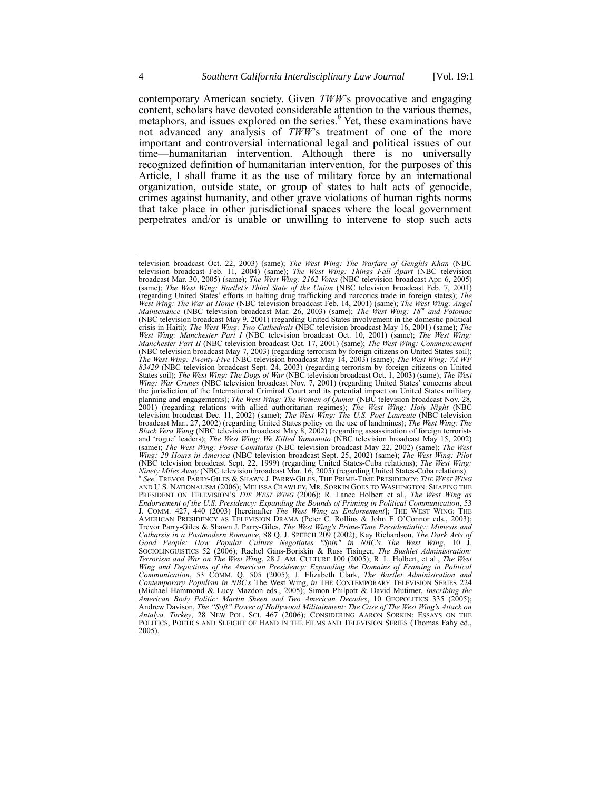<span id="page-3-0"></span>contemporary American society. Given *TWW*'s provocative and engaging content, scholars have devoted considerable attention to the various themes, metaphors, and issues explored on the series.<sup>6</sup> Yet, these examinations have not advanced any analysis of *TWW*'s treatment of one of the more important and controversial international legal and political issues of our time—humanitarian intervention. Although there is no universally recognized definition of humanitarian intervention, for the purposes of this Article, I shall frame it as the use of military force by an international organization, outside state, or group of states to halt acts of genocide, crimes against humanity, and other grave violations of human rights norms that take place in other jurisdictional spaces where the local government perpetrates and/or is unable or unwilling to intervene to stop such acts

television broadcast Oct. 22, 2003) (same); *The West Wing: The Warfare of Genghis Khan* (NBC television broadcast Feb. 11, 2004) (same); *The West Wing: Things Fall Apart* (NBC television broadcast Mar. 30, 2005) (same); *The West Wing: 2162 Votes* (NBC television broadcast Apr. 6, 2005) (same); *The West Wing: Bartlet's Third State of the Union* (NBC television broadcast Feb. 7, 2001) (regarding United States' efforts in halting drug trafficking and narcotics trade in foreign states); The War at Home (NBC television broadcast Feb. 14, 2001) (same); The West Wing: Angel *Maintenance* (NBC television broadcast Mar. 26, 2003) (same); *The West Wing: 18th and Potomac* (NBC television broadcast May 9, 2001) (regarding United States involvement in the domestic political crisis in Haiti); *The West Wing: Two Cathedrals* (NBC television broadcast May 16, 2001) (same); *The West Wing: Manchester Part I* (NBC television broadcast Oct. 10, 2001) (same); *The West Wing: Manchester Part II* (NBC television broadcast Oct. 17, 2001) (same); *The West Wing: Commencement* (NBC television broadcast May 7, 2003) (regarding terrorism by foreign citizens on United States soil); *The West Wing: Twenty-Five* (NBC television broadcast May 14, 2003) (same); *The West Wing: 7A WF 83429* (NBC television broadcast Sept. 24, 2003) (regarding terrorism by foreign citizens on United States soil); *The West Wing: The Dogs of War* (NBC television broadcast Oct. 1, 2003) (same); *The West Wing: War Crimes* (NBC television broadcast Nov. 7, 2001) (regarding United States' concerns about the jurisdiction of the International Criminal Court and its potential impact on United States military planning and engagements); *The West Wing: The Women of Qumar* (NBC television broadcast Nov. 28, 2001) (regarding relations with allied authoritarian regimes); *The West Wing: Holy Night* (NBC television broadcast Dec. 11, 2002) (same); *The West Wing: The U.S. Poet Laureate* (NBC television broadcast Mar.. 27, 2002) (regarding United States policy on the use of landmines); *The West Wing: The Black Vera Wang* (NBC television broadcast May 8, 2002) (regarding assassination of foreign terrorists and 'rogue' leaders); *The West Wing: We Killed Yamamoto* (NBC television broadcast May 15, 2002) (same); *The West Wing: Posse Comitatus* (NBC television broadcast May 22, 2002) (same); *The West Wing: 20 Hours in America* (NBC television broadcast Sept. 25, 2002) (same); *The West Wing: Pilot* (NBC television broadcast Sept. 22, 1999) (regarding United States-Cuba relations); *The West Wing:*<br>*Ninety Miles Away* (NBC television broadcast Mar. 16, 2005) (regarding United States-Cuba relations).<br><sup>6</sup> See, TREVOR PA AND U.S. NATIONALISM (2006); MELISSA CRAWLEY, MR. SORKIN GOES TO WASHINGTON: SHAPING THE PRESIDENT ON TELEVISION'S *THE WEST WING* (2006); R. Lance Holbert et al., *The West Wing as*  Endorsement of the U.S. Presidency: Expanding the Bounds of Priming in Political Communication, 53<br>J. COMM. 427, 440 (2003) [hereinafter *The West Wing as Endorsement*]; THE WEST WING: THE<br>AMERICAN PRESIDENCY AS TELEVISION Trevor Parry-Giles & Shawn J. Parry-Giles, *The West Wing's Prime-Time Presidentiality: Mimesis and* Catharsis in a Postmodern Romance, 88 Q. J. SPEECH 209 (2002); Kay Richardson, *The Dark Arts of* Good People: How Popula SOCIOLINGUISTICS 52 (2006); Rachel Gans-Boriskin & Russ Tisinger, *The Bushlet Administration: Terrorism and War on The West Wing*, 28 J. AM. CULTURE 100 (2005); R. L. Holbert, et al., *The West Wing and Depictions of the American Presidency: Expanding the Domains of Framing in Political*  Communication, 53 COMM. Q. 505 (2005); J. Elizabeth Clark, *The Bartlet Administration and* Contemporary Populism in NBC's The West Wing, in THE CONTEMPORARY TELEVISION SERIES 224 (Michael Hammond & Lucy Mazdon eds., 2005) *American Body Politic: Martin Sheen and Two American Decades*, 10 GEOPOLITICS 335 (2005); Andrew Davison, *The "Soft" Power of Hollywood Militainment: The Case of The West Wing's Attack on*<br>*Antalya, Turkey*, 28 NEW POL. SCI. 467 (2006); CONSIDERING AARON SORKIN: ESSAYS ON THE POLITICS, POETICS AND SLEIGHT OF HAND IN THE FILMS AND TELEVISION SERIES (Thomas Fahy ed., 2005).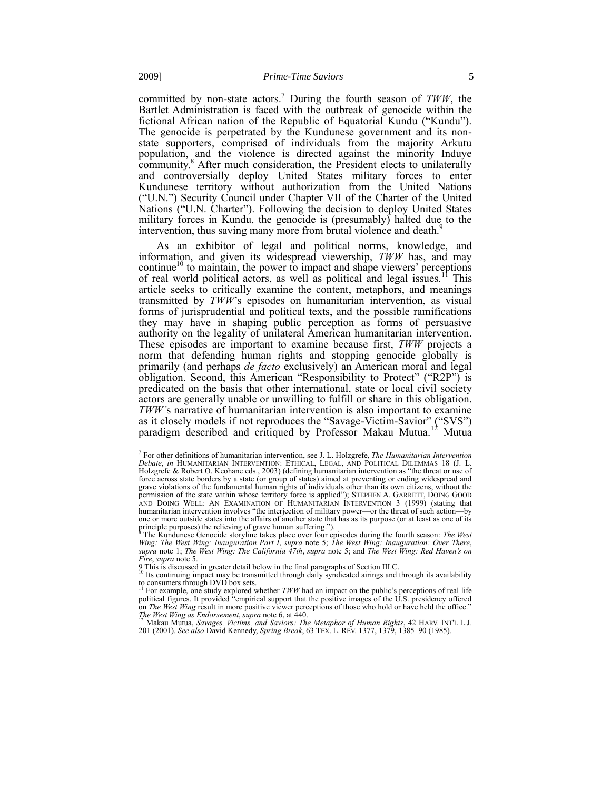committed by non-state actors.<sup>7</sup> During the fourth season of *TWW*, the Bartlet Administration is faced with the outbreak of genocide within the fictional African nation of the Republic of Equatorial Kundu ("Kundu"). The genocide is perpetrated by the Kundunese government and its nonstate supporters, comprised of individuals from the majority Arkutu population, and the violence is directed against the minority Induye community.<sup>8</sup> After much consideration, the President elects to unilaterally and controversially deploy United States military forces to enter Kundunese territory without authorization from the United Nations ("U.N.") Security Council under Chapter VII of the Charter of the United Nations ("U.N. Charter"). Following the decision to deploy United States military forces in Kundu, the genocide is (presumably) halted due to the intervention, thus saving many more from brutal violence and death.<sup>9</sup>

As an exhibitor of legal and political norms, knowledge, and information, and given its widespread viewership, *TWW* has, and may continue<sup>10</sup> to maintain, the power to impact and shape viewers' perceptions of real world political actors, as well as political and legal issues.<sup>11</sup> This article seeks to critically examine the content, metaphors, and meanings transmitted by *TWW*'s episodes on humanitarian intervention, as visual forms of jurisprudential and political texts, and the possible ramifications they may have in shaping public perception as forms of persuasive authority on the legality of unilateral American humanitarian intervention. These episodes are important to examine because first, *TWW* projects a norm that defending human rights and stopping genocide globally is primarily (and perhaps *de facto* exclusively) an American moral and legal obligation. Second, this American "Responsibility to Protect" ("R2P") is predicated on the basis that other international, state or local civil society actors are generally unable or unwilling to fulfill or share in this obligation. *TWW'*s narrative of humanitarian intervention is also important to examine as it closely models if not reproduces the "Savage-Victim-Savior" ("SVS") paradigm described and critiqued by Professor Makau Mutua.<sup>12</sup> Mutua

<span id="page-4-0"></span> 7 For other definitions of humanitarian intervention, see J. L. Holzgrefe, *The Humanitarian Intervention Debate*, *in* HUMANITARIAN INTERVENTION: ETHICAL, LEGAL, AND POLITICAL DILEMMAS 18 (J. L. Holzgrefe & Robert O. Keohane eds., 2003) (defining humanitarian intervention as "the threat or use of force across state borders by a state (or group of states) aimed at preventing or ending widespread and grave violations of the fundamental human rights of individuals other than its own citizens, without the permission of the state within whose territory force is applied"); STEPHEN A. GARRETT, DOING GOOD AND DOING WELL: AN EXAMINATION OF HUMANITARIAN INTERVENTION 3 (1999) (stating that humanitarian intervention involves "the interjection of military power—or the threat of such action—by one or more outside states into the affairs of another state that has as its purpose (or at least as one of its principle purposes) the relieving of grave human suffering.").

<sup>&</sup>lt;sup>8</sup> The Kundunese Genocide storyline takes place over four episodes during the fourth season: *The West* Wing: *Inauguration Part I*, *supra* note [5;](#page-1-1) *The West Wing: Inauguration: Over There*, *supra* note [1;](#page-1-0) *The West Wing: The California 47th*, *supra* note [5;](#page-1-1) and *The West Wing: Red Haven's on Fire*, *supra* not[e 5.](#page-1-1) 

<sup>9</sup> This is discussed in greater detail below in the final paragraphs of Section III.C. <sup>10</sup> Its continuing impact may be transmitted through daily syndicated airings and through its availability to consumers through DVD box sets. <sup>11</sup> For example, one study explored whether *TWW* had an impact on the public's perceptions of real life

political figures. It provided "empirical support that the positive images of the U.S. presidency offered on *The West Wing* result in more positive viewer perceptions of those who hold or have held the office."<br>*The West Wing as Endorsement, supra* not[e 6,](#page-3-0) at 440.<br><sup>12</sup> Makau Mutua, *Savages, Victims, and Saviors: The Metaphor* 

<sup>201 (2001).</sup> *See also* David Kennedy, *Spring Break*, 63 TEX. L. REV. 1377, 1379, 1385–90 (1985).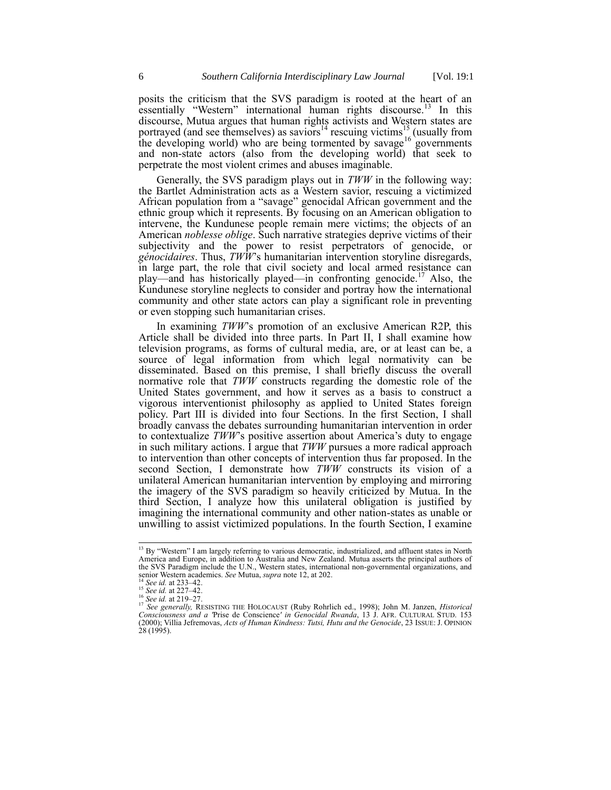posits the criticism that the SVS paradigm is rooted at the heart of an essentially "Western" international human rights discourse.<sup>13</sup> In this discourse, Mutua argues that human rights activists and Western states are portrayed (and see themselves) as saviors<sup>14</sup> rescuing victims<sup>15</sup> (usually from the developing world) who are being tormented by savage<sup>16</sup> governments and non-state actors (also from the developing world) that seek to perpetrate the most violent crimes and abuses imaginable.

Generally, the SVS paradigm plays out in *TWW* in the following way: the Bartlet Administration acts as a Western savior, rescuing a victimized African population from a "savage" genocidal African government and the ethnic group which it represents. By focusing on an American obligation to intervene, the Kundunese people remain mere victims; the objects of an American *noblesse oblige*. Such narrative strategies deprive victims of their subjectivity and the power to resist perpetrators of genocide, or *génocidaires*. Thus, *TWW*'s humanitarian intervention storyline disregards, in large part, the role that civil society and local armed resistance can play—and has historically played—in confronting genocide.<sup>17</sup> Also, the Kundunese storyline neglects to consider and portray how the international community and other state actors can play a significant role in preventing or even stopping such humanitarian crises.

<span id="page-5-0"></span>In examining *TWW*'s promotion of an exclusive American R2P, this Article shall be divided into three parts. In Part II, I shall examine how television programs, as forms of cultural media, are, or at least can be, a source of legal information from which legal normativity can be disseminated. Based on this premise, I shall briefly discuss the overall normative role that *TWW* constructs regarding the domestic role of the United States government, and how it serves as a basis to construct a vigorous interventionist philosophy as applied to United States foreign policy. Part III is divided into four Sections. In the first Section, I shall broadly canvass the debates surrounding humanitarian intervention in order to contextualize *TWW*'s positive assertion about America's duty to engage in such military actions. I argue that *TWW* pursues a more radical approach to intervention than other concepts of intervention thus far proposed. In the second Section, I demonstrate how *TWW* constructs its vision of a unilateral American humanitarian intervention by employing and mirroring the imagery of the SVS paradigm so heavily criticized by Mutua. In the third Section, I analyze how this unilateral obligation is justified by imagining the international community and other nation-states as unable or unwilling to assist victimized populations. In the fourth Section, I examine

<sup>&</sup>lt;sup>13</sup> By "Western" I am largely referring to various democratic, industrialized, and affluent states in North America and Europe, in addition to Australia and New Zealand. Mutua asserts the principal authors of the SVS Paradigm include the U.N., Western states, international non-governmental organizations, and senior Western academics. *See* Mutua, *supra* not[e 12,](#page-4-0) at 202.

<sup>14</sup> *See id.* at 233–42. <sup>15</sup> *See id.* at 227–42.

<sup>16</sup> *See id.* at 219–27.

<sup>17</sup> *See generally,* RESISTING THE HOLOCAUST (Ruby Rohrlich ed., 1998); John M. Janzen, *Historical Consciousness and a '*Prise de Conscience*' in Genocidal Rwanda*, 13 J. AFR. CULTURAL STUD. 153 (2000); Villia Jefremovas, *Acts of Human Kindness: Tutsi, Hutu and the Genocide*, 23 ISSUE: J. OPINION 28 (1995).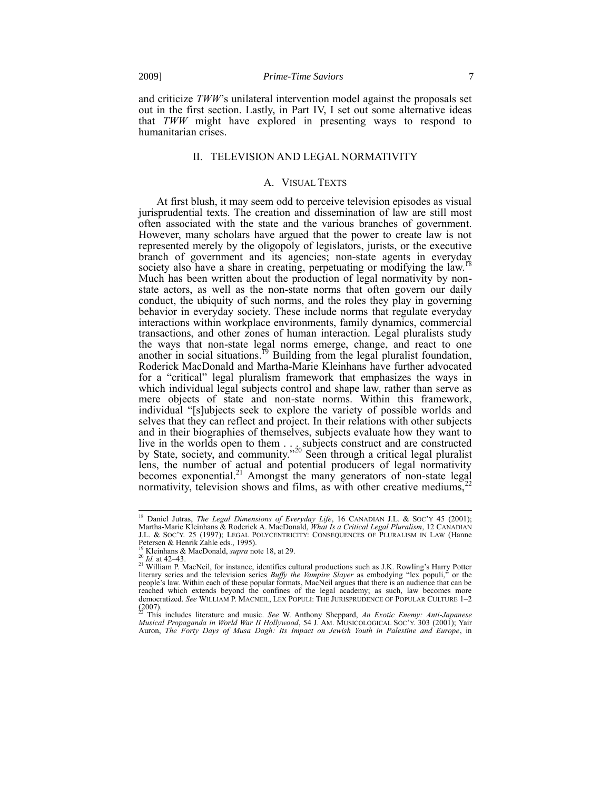and criticize *TWW*'s unilateral intervention model against the proposals set out in the first section. Lastly, in Part IV, I set out some alternative ideas that *TWW* might have explored in presenting ways to respond to humanitarian crises.

# II. TELEVISION AND LEGAL NORMATIVITY

## <span id="page-6-0"></span>A. VISUAL TEXTS

At first blush, it may seem odd to perceive television episodes as visual jurisprudential texts. The creation and dissemination of law are still most often associated with the state and the various branches of government. However, many scholars have argued that the power to create law is not represented merely by the oligopoly of legislators, jurists, or the executive branch of government and its agencies; non-state agents in everyday society also have a share in creating, perpetuating or modifying the law.<sup>18</sup> Much has been written about the production of legal normativity by nonstate actors, as well as the non-state norms that often govern our daily conduct, the ubiquity of such norms, and the roles they play in governing behavior in everyday society. These include norms that regulate everyday interactions within workplace environments, family dynamics, commercial transactions, and other zones of human interaction. Legal pluralists study the ways that non-state legal norms emerge, change, and react to one another in social situations.<sup>19</sup> Building from the legal pluralist foundation, Roderick MacDonald and Martha-Marie Kleinhans have further advocated for a "critical" legal pluralism framework that emphasizes the ways in which individual legal subjects control and shape law, rather than serve as mere objects of state and non-state norms. Within this framework, individual "[s]ubjects seek to explore the variety of possible worlds and selves that they can reflect and project. In their relations with other subjects and in their biographies of themselves, subjects evaluate how they want to live in the worlds open to them . . . subjects construct and are constructed by State, society, and community."<sup>20</sup> Seen through a critical legal pluralist lens, the number of actual and potential producers of legal normativity becomes exponential.<sup>21</sup> Amongst the many generators of non-state legal normativity, television shows and films, as with other creative mediums,<sup>2</sup>

<span id="page-6-1"></span><sup>&</sup>lt;sup>18</sup> Daniel Jutras, *The Legal Dimensions of Everyday Life*, 16 CANADIAN J.L. & Soc'y 45 (2001); Martha-Marie Kleinhans & Roderick A. MacDonald, *What Is a Critical Legal Pluralism*, 12 CANADIAN J.L. & SOC'Y. 25 (1997); LEGAL POLYCENTRICITY: CONSEQUENCES OF PLURALISM IN LAW (Hanne Petersen & Henrik Zahle eds., 1995). <sup>19</sup> Kleinhans & MacDonald, *supra* not[e 18,](#page-6-0) at 29.

<sup>20</sup> *Id.* at 42–43.

<sup>&</sup>lt;sup>21</sup> William P. MacNeil, for instance, identifies cultural productions such as J.K. Rowling's Harry Potter literary series and the television series *Buffy the Vampire Slayer* as embodying "lex populi," or the people's law. Within each of these popular formats, MacNeil argues that there is an audience that can be reached which extends beyond the confines of the legal academy; as such, law becomes more democratized. *See* WILLIAM P. MACNEIL, LEX POPULI: THE JURISPRUDENCE OF POPULAR CULTURE 1–2 (2007). <sup>22</sup> This includes literature and music. *See* W. Anthony Sheppard, *An Exotic Enemy: Anti-Japanese* 

*Musical Propaganda in World War II Hollywood*, 54 J. AM. MUSICOLOGICAL SOC'Y. 303 (2001); Yair Auron, *The Forty Days of Musa Dagh: Its Impact on Jewish Youth in Palestine and Europe*, in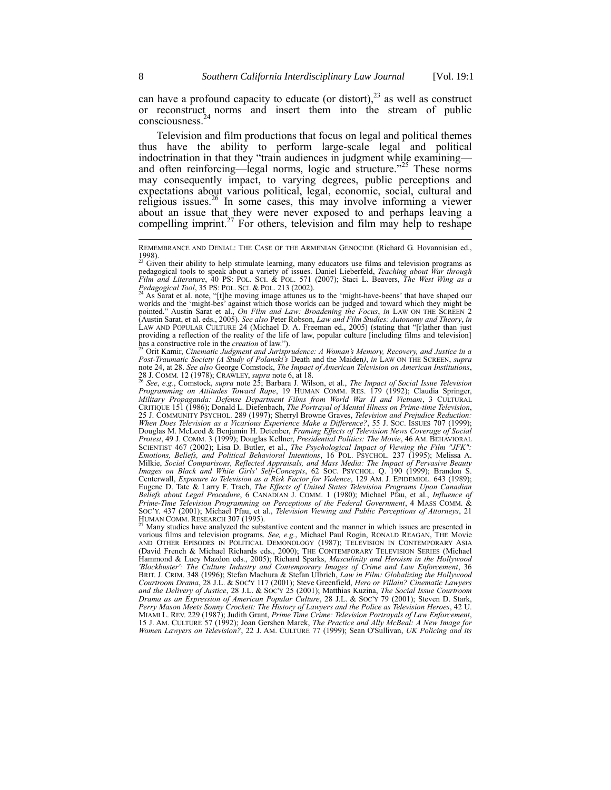can have a profound capacity to educate (or distort), $^{23}$  as well as construct or reconstruct norms and insert them into the stream of public consciousness.<sup>24</sup>

<span id="page-7-1"></span><span id="page-7-0"></span>Television and film productions that focus on legal and political themes thus have the ability to perform large-scale legal and political indoctrination in that they "train audiences in judgment while examining and often reinforcing—legal norms, logic and structure."<sup>25</sup> These norms may consequently impact, to varying degrees, public perceptions and expectations about various political, legal, economic, social, cultural and religious issues.<sup>26</sup> In some cases, this may involve informing a viewer about an issue that they were never exposed to and perhaps leaving a compelling imprint.<sup>27</sup> For others, television and film may help to reshape

REMEMBRANCE AND DENIAL: THE CASE OF THE ARMENIAN GENOCIDE (Richard G. Hovannisian ed., 1998). <sup>23</sup> Given their ability to help stimulate learning, many educators use films and television programs as

pedagogical tools to speak about a variety of issues. Daniel Lieberfeld, *Teaching about War through Film and Literature*, 40 PS: POL. SCI. & POL. 571 (2007); Staci L. Beavers, *The West Wing as a Pedagogical Tool*, 35 PS: POL. SCI. & POL. 213 (2002).

<sup>&</sup>lt;sup>24</sup> As Sarat et al. note, "[t]he moving image attunes us to the 'might-have-beens' that have shaped our worlds and the 'might-bes' against which those worlds can be judged and toward which they might be pointed." Austin Sarat et al., *On Film and Law: Broadening the Focus*, *in* LAW ON THE SCREEN 2 (Austin Sarat, et al. eds., 2005). See also Peter Robson, *Law and Film Studies: Autonomy and Theory*, *in* LAW AND POPULAR C providing a reflection of the reality of the life of law, popular culture [including films and television] has a constructive role in the *creation* of law."). <sup>25</sup> Orit Kamir, *Cinematic Judgment and Jurisprudence: A Woman's Memory, Recovery, and Justice in a* 

*Post-Traumatic Society (A Study of Polanski's* Death and the Maiden*)*, *in* LAW ON THE SCREEN, *supra*  note [24,](#page-7-0) at 28. *See also* George Comstock, *The Impact of American Television on American Institutions*, 28 J. COMM. 12 (1978); CRAWLEY, *supra* not[e 6,](#page-3-0) at 18. <sup>26</sup> *See*, *e.g.*, Comstock, *supra* note [25;](#page-7-1) Barbara J. Wilson, et al., *The Impact of Social Issue Television* 

*Programming on Attitudes Toward Rape*, 19 HUMAN COMM. RES. 179 (1992); Claudia Springer, *Military Propaganda: Defense Department Films from World War II and Vietnam*, 3 CULTURAL CRITIQUE 151 (1986); Donald L. Diefenbach, *The Portrayal of Mental Illness on Prime-time Television*, 25 J. COMMUNITY PSYCHOL. 289 (1997); Sherryl Browne Graves, *Television and Prejudice Reduction: When Does Television as a Vicarious Experience Make a Difference?*, 55 J. SOC. ISSUES 707 (1999); Douglas M. McLeod & Benjamin H. Detenber, *Framing Effects of Television News Coverage of Social Protest*, 49 J. COMM. 3 (1999); Douglas Kellner, *Presidential Politics: The Movie*, 46 AM. BEHAVIORAL SCIENTIST 467 (2002); Lisa D. Butler, et al., *The Psychological Impact of Viewing the Film "JFK": Emotions, Beliefs, and Political Behavioral Intentions*, 16 POL. PSYCHOL. 237 (1995); Melissa A. Milkie, *Social Comparisons, Reflected Appraisals, and Mass Media: The Impact of Pervasive Beauty Images on Black and White Girls' Self-Concepts*, 62 SOC. PSYCHOL. Q. 190 (1999); Brandon S. Centerwall, *Exposure to Television as a Risk Factor for Violence*, 129 AM. J. EPIDEMIOL. 643 (1989); Eugene D. Tate & Larry F. Trach, *The Effects of United States Television Programs Upon Canadian Beliefs about Legal Procedure*, 6 CANADIAN J. COMM. 1 (1980); Michael Pfau, et al., *Influence of*  Prime-Time Television Programming on Perceptions of the Federal Government, 4 MASS COMM. &<br>SOC'Y. 437 (2001); Michael Pfau, et al., *Television Viewing and Public Perceptions of Attorneys*, 21<br>HUMAN COMM. RESEARCH 307 (199

Many studies have analyzed the substantive content and the manner in which issues are presented in various films and television programs. *See, e.g.*, Michael Paul Rogin, RONALD REAGAN, THE Movie AND OTHER EPISODES IN POLITICAL DEMONOLOGY (1987); TELEVISION IN CONTEMPORARY ASIA (David French & Michael Richards eds., 2000); THE CONTEMPORARY TELEVISION SERIES (Michael Hammond & Lucy Mazdon eds., 2005); Richard Sparks, *Masculinity and Heroism in the Hollywood 'Blockbuster': The Culture Industry and Contemporary Images of Crime and Law Enforcement*, 36 BRIT. J. CRIM. 348 (1996); Stefan Machura & Stefan Ulbrich, *Law in Film: Globalizing the Hollywood*<br>Courtroom Drama, 28 J.L. & Soc'y 117 (2001); Steve Greenfield, *Hero or Villain? Cinematic Lawyers*<br>and the Delivery of J *Drama as an Expression of American Popular Culture*, 28 J.L. & SOC'Y 79 (2001); Steven D. Stark, *Perry Mason Meets Sonny Crockett: The History of Lawyers and the Police as Television Heroes*, 42 U. MIAMI L. REV. 229 (1987); Judith Grant, *Prime Time Crime: Television Portrayals of Law Enforcement*, 15 J. AM. CULTURE 57 (1992); Joan Gershen Marek, *The Practice and Ally McBeal: A New Image for Women Lawyers on Television?*, 22 J. AM. CULTURE 77 (1999); Sean O'Sullivan, *UK Policing and its*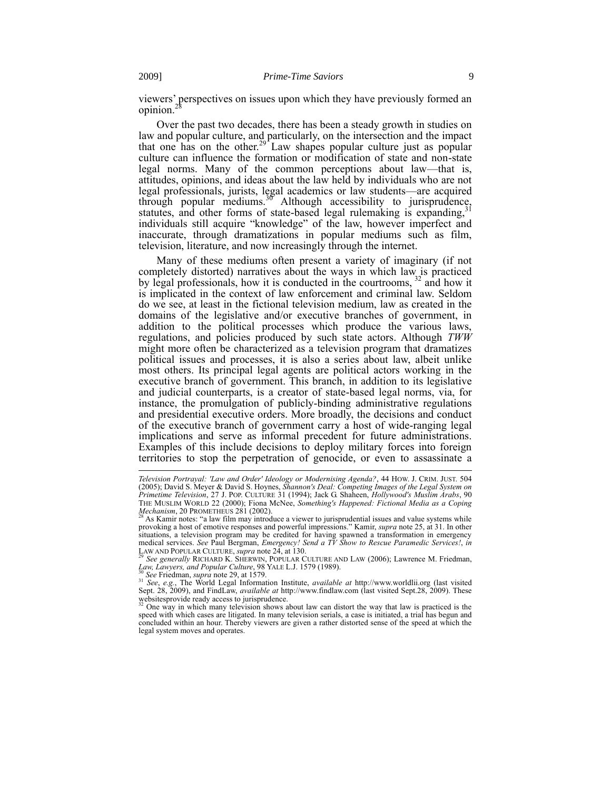viewers' perspectives on issues upon which they have previously formed an opinion.<sup>28</sup>

<span id="page-8-0"></span>Over the past two decades, there has been a steady growth in studies on law and popular culture, and particularly, on the intersection and the impact that one has on the other.<sup>29</sup> Law shapes popular culture just as popular culture can influence the formation or modification of state and non-state legal norms. Many of the common perceptions about law—that is, attitudes, opinions, and ideas about the law held by individuals who are not legal professionals, jurists, legal academics or law students—are acquired through popular mediums.<sup>30</sup> Although accessibility to jurisprudence, statutes, and other forms of state-based legal rulemaking is expanding.<sup>3</sup> individuals still acquire "knowledge" of the law, however imperfect and inaccurate, through dramatizations in popular mediums such as film, television, literature, and now increasingly through the internet.

Many of these mediums often present a variety of imaginary (if not completely distorted) narratives about the ways in which law is practiced by legal professionals, how it is conducted in the courtrooms, <sup>32</sup> and how it is implicated in the context of law enforcement and criminal law. Seldom do we see, at least in the fictional television medium, law as created in the domains of the legislative and/or executive branches of government, in addition to the political processes which produce the various laws, regulations, and policies produced by such state actors. Although *TWW* might more often be characterized as a television program that dramatizes political issues and processes, it is also a series about law, albeit unlike most others. Its principal legal agents are political actors working in the executive branch of government. This branch, in addition to its legislative and judicial counterparts, is a creator of state-based legal norms, via, for instance, the promulgation of publicly-binding administrative regulations and presidential executive orders. More broadly, the decisions and conduct of the executive branch of government carry a host of wide-ranging legal implications and serve as informal precedent for future administrations. Examples of this include decisions to deploy military forces into foreign territories to stop the perpetration of genocide, or even to assassinate a

*Television Portrayal: 'Law and Order' Ideology or Modernising Agenda?*, 44 HOW. J. CRIM. JUST. 504 (2005); David S. Meyer & David S. Hoynes, *Shannon's Deal: Competing Images of the Legal System on Primetime Television*, 27 J. POP. CULTURE 31 (1994); Jack G. Shaheen, *Hollywood's Muslim Arabs*, 90 THE MUSLIM WORLD 22 (2000); Fiona McNee, *Something's Happened: Fictional Media as a Coping* 

*Mechanism*, 20 PROMETHEUS 281 (2002).<br><sup>28</sup> As Kamir notes: "a law film may introduce a viewer to jurisprudential issues and value systems while provoking a host of emotive responses and powerful impressions." Kamir, *supra* note [25,](#page-7-1) at 31. In other situations, a television program may be credited for having spawned a transformation in emergency medical services. *See* Paul Bergman, *Emergency! Send a TV Show to Rescue Paramedic Services!*, *in* LAW AND POPULAR CULTURE, *supra* not[e 24,](#page-7-0) at 130.<br>LAW AND POPULAR CULTURE, *supra* note 24, at 130.

<sup>29</sup> *See generally* RICHARD K. SHERWIN, POPULAR CULTURE AND LAW (2006); Lawrence M. Friedman, *Law, Lawyers, and Popular Culture*, 98 YALE L.J. 1579 (1989).

<sup>&</sup>lt;sup>30</sup> See Friedman, *supra* not[e 29,](#page-8-0) at 1579.<br><sup>31</sup> See, e.g., The World Legal Information Institute, *available at* http://www.worldlii.org (last visited Sept. 28, 2009). and FindLaw, *available at* http://www.findlaw.com websitesprovide ready access to jurisprudence.

One way in which many television shows about law can distort the way that law is practiced is the speed with which cases are litigated. In many television serials, a case is initiated, a trial has begun and concluded within an hour. Thereby viewers are given a rather distorted sense of the speed at which the legal system moves and operates.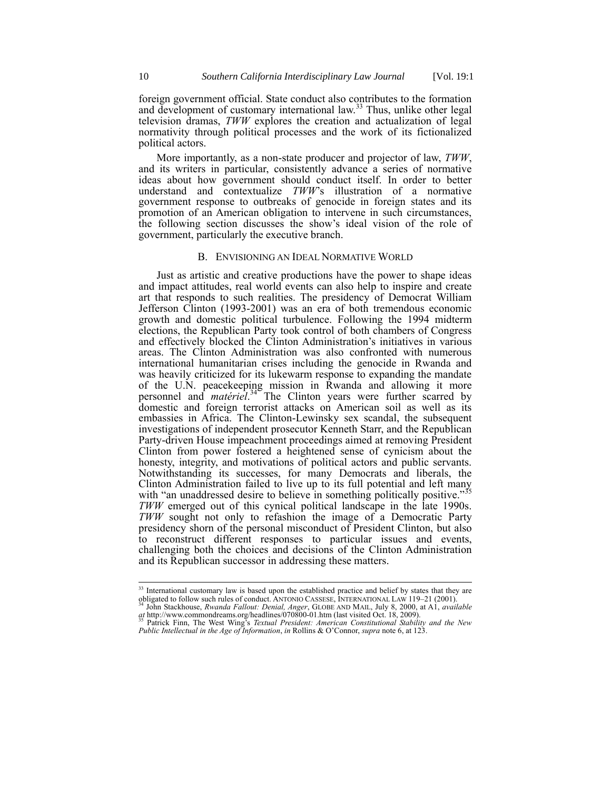foreign government official. State conduct also contributes to the formation and development of customary international law.<sup>33</sup> Thus, unlike other legal television dramas, *TWW* explores the creation and actualization of legal normativity through political processes and the work of its fictionalized political actors.

More importantly, as a non-state producer and projector of law, *TWW*, and its writers in particular, consistently advance a series of normative ideas about how government should conduct itself. In order to better understand and contextualize *TWW*'s illustration of a normative government response to outbreaks of genocide in foreign states and its promotion of an American obligation to intervene in such circumstances, the following section discusses the show's ideal vision of the role of government, particularly the executive branch.

## B. ENVISIONING AN IDEAL NORMATIVE WORLD

Just as artistic and creative productions have the power to shape ideas and impact attitudes, real world events can also help to inspire and create art that responds to such realities. The presidency of Democrat William Jefferson Clinton (1993-2001) was an era of both tremendous economic growth and domestic political turbulence. Following the 1994 midterm elections, the Republican Party took control of both chambers of Congress and effectively blocked the Clinton Administration's initiatives in various areas. The Clinton Administration was also confronted with numerous international humanitarian crises including the genocide in Rwanda and was heavily criticized for its lukewarm response to expanding the mandate of the U.N. peacekeeping mission in Rwanda and allowing it more personnel and *matériel*.<sup>34</sup> The Clinton years were further scarred by domestic and foreign terrorist attacks on American soil as well as its embassies in Africa. The Clinton-Lewinsky sex scandal, the subsequent investigations of independent prosecutor Kenneth Starr, and the Republican Party-driven House impeachment proceedings aimed at removing President Clinton from power fostered a heightened sense of cynicism about the honesty, integrity, and motivations of political actors and public servants. Notwithstanding its successes, for many Democrats and liberals, the Clinton Administration failed to live up to its full potential and left many with "an unaddressed desire to believe in something politically positive." *TWW* emerged out of this cynical political landscape in the late 1990s. *TWW* sought not only to refashion the image of a Democratic Party presidency shorn of the personal misconduct of President Clinton, but also to reconstruct different responses to particular issues and events, challenging both the choices and decisions of the Clinton Administration and its Republican successor in addressing these matters.

<sup>&</sup>lt;sup>33</sup> International customary law is based upon the established practice and belief by states that they are obligated to follow such rules of conduct. ANTONIO CASSESE, INTERNATIONAL LAW 119–21 (2001).

<sup>&</sup>lt;sup>34</sup> John Stackhouse, *Rwanda Fallout: Denial, Anger*, GLOBE AND MAIL, July 8, 2000, at A1, *available at* http://www.commondreams.org/headlines/070800-01.htm (last visited Oct. 18, 2009).<br><sup>35</sup> Patrick Finn, The West Wing'

*Public Intellectual in the Age of Information*, *in* Rollins & O'Connor, *supra* not[e 6,](#page-3-0) at 123.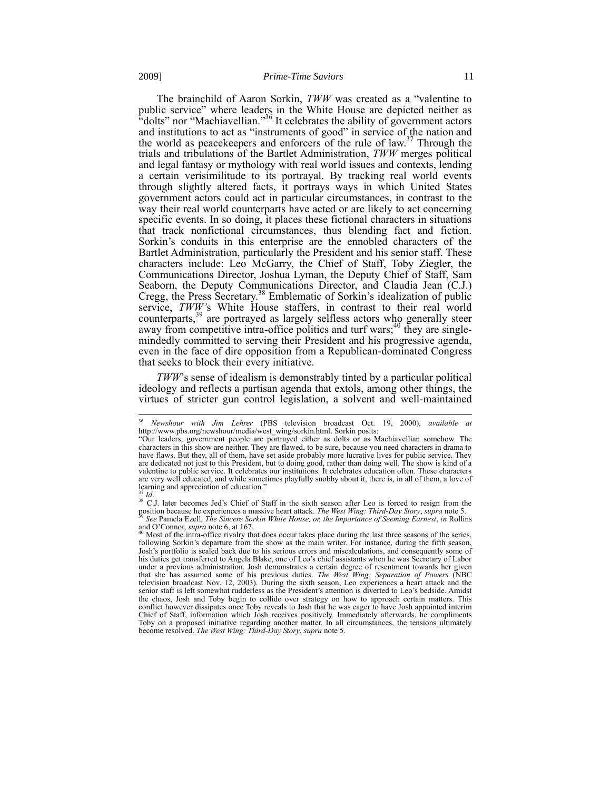The brainchild of Aaron Sorkin, *TWW* was created as a "valentine to public service" where leaders in the White House are depicted neither as "dolts" nor "Machiavellian."<sup>36</sup> It celebrates the ability of government actors and institutions to act as "instruments of good" in service of the nation and the world as peacekeepers and enforcers of the rule of law.<sup>37</sup> Through the trials and tribulations of the Bartlet Administration, *TWW* merges political and legal fantasy or mythology with real world issues and contexts, lending a certain verisimilitude to its portrayal. By tracking real world events through slightly altered facts, it portrays ways in which United States government actors could act in particular circumstances, in contrast to the way their real world counterparts have acted or are likely to act concerning specific events. In so doing, it places these fictional characters in situations that track nonfictional circumstances, thus blending fact and fiction. Sorkin's conduits in this enterprise are the ennobled characters of the Bartlet Administration, particularly the President and his senior staff. These characters include: Leo McGarry, the Chief of Staff, Toby Ziegler, the Communications Director, Joshua Lyman, the Deputy Chief of Staff, Sam Seaborn, the Deputy Communications Director, and Claudia Jean (C.J.) Cregg, the Press Secretary.<sup>38</sup> Emblematic of Sorkin's idealization of public service, *TWW'*s White House staffers, in contrast to their real world counterparts,<sup>39</sup> are portrayed as largely selfless actors who generally steer away from competitive intra-office politics and turf wars;<sup>40</sup> they are singlemindedly committed to serving their President and his progressive agenda, even in the face of dire opposition from a Republican-dominated Congress that seeks to block their every initiative.

*TWW*'s sense of idealism is demonstrably tinted by a particular political ideology and reflects a partisan agenda that extols, among other things, the virtues of stricter gun control legislation, a solvent and well-maintained

 $\overline{\phantom{a}}$ <sup>36</sup> *Newshour with Jim Lehrer* (PBS television broadcast Oct. 19, 2000), *available at* http://www.pbs.org/newshour/media/west\_wing/sorkin.html. Sorkin posits:

<sup>&</sup>quot;Our leaders, government people are portrayed either as dolts or as Machiavellian somehow. The characters in this show are neither. They are flawed, to be sure, because you need characters in drama to have flaws. But they, all of them, have set aside probably more lucrative lives for public service. They are dedicated not just to this President, but to doing good, rather than doing well. The show is kind of a valentine to public service. It celebrates our institutions. It celebrates education often. These characters are very well educated, and while sometimes playfully snobby about it, there is, in all of them, a love of learning and appreciation of education." <sup>37</sup> *Id*.

<sup>&</sup>lt;sup>38</sup> C.J. later becomes Jed's Chief of Staff in the sixth season after Leo is forced to resign from the position because he experiences a massive heart attack. The West Wing: Third-Day Story, supra not[e 5.](#page-1-1)<br><sup>39</sup> See Pamela Ezell, The Sincere Sorkin White House, or, the Importance of Seeming Earnest, in Rollins

and O'Connor, *supra* not[e 6,](#page-3-0) at 167.<br><sup>40</sup> Most of the intra-office rivalry that does occur takes place during the last three seasons of the series, following Sorkin's departure from the show as the main writer. For instance, during the fifth season, Josh's portfolio is scaled back due to his serious errors and miscalculations, and consequently some of his duties get transferred to Angela Blake, one of Leo's chief assistants when he was Secretary of Labor under a previous administration. Josh demonstrates a certain degree of resentment towards her given that she has assumed some of his previous duties. *The West Wing: Separation of Powers* (NBC television broadcast Nov. 12, 2003). During the sixth season, Leo experiences a heart attack and the senior staff is left somewhat rudderless as the President's attention is diverted to Leo's bedside. Amidst the chaos, Josh and Toby begin to collide over strategy on how to approach certain matters. This conflict however dissipates once Toby reveals to Josh that he was eager to have Josh appointed interim Chief of Staff, information which Josh receives positively. Immediately afterwards, he compliments Toby on a proposed initiative regarding another matter. In all circumstances, the tensions ultimately become resolved. *The West Wing: Third-Day Story*, *supra* not[e 5.](#page-1-1)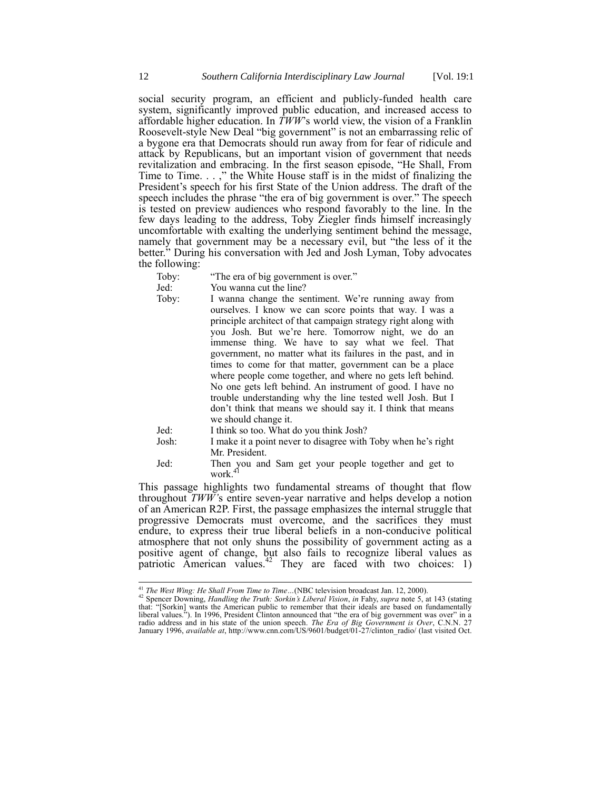social security program, an efficient and publicly-funded health care system, significantly improved public education, and increased access to affordable higher education. In *TWW*'s world view, the vision of a Franklin Roosevelt-style New Deal "big government" is not an embarrassing relic of a bygone era that Democrats should run away from for fear of ridicule and attack by Republicans, but an important vision of government that needs revitalization and embracing. In the first season episode, "He Shall, From Time to Time. . . ," the White House staff is in the midst of finalizing the President's speech for his first State of the Union address. The draft of the speech includes the phrase "the era of big government is over." The speech is tested on preview audiences who respond favorably to the line. In the few days leading to the address, Toby Ziegler finds himself increasingly uncomfortable with exalting the underlying sentiment behind the message, namely that government may be a necessary evil, but "the less of it the better.<sup>5</sup> During his conversation with Jed and Josh Lyman, Toby advocates the following:

Toby: "The era of big government is over."<br>Jed: You wanna cut the line?

You wanna cut the line?

Toby: I wanna change the sentiment. We're running away from ourselves. I know we can score points that way. I was a principle architect of that campaign strategy right along with you Josh. But we're here. Tomorrow night, we do an immense thing. We have to say what we feel. That government, no matter what its failures in the past, and in times to come for that matter, government can be a place where people come together, and where no gets left behind. No one gets left behind. An instrument of good. I have no trouble understanding why the line tested well Josh. But I don't think that means we should say it. I think that means we should change it. Jed: I think so too. What do you think Josh?

- Josh: I make it a point never to disagree with Toby when he's right Mr. President.
- <span id="page-11-0"></span>Jed: Then you and Sam get your people together and get to work.<sup>41</sup>

This passage highlights two fundamental streams of thought that flow throughout *TWW'*s entire seven-year narrative and helps develop a notion of an American R2P. First, the passage emphasizes the internal struggle that progressive Democrats must overcome, and the sacrifices they must endure, to express their true liberal beliefs in a non-conducive political atmosphere that not only shuns the possibility of government acting as a positive agent of change, but also fails to recognize liberal values as patriotic American values.<sup>42</sup> They are faced with two choices: 1)

 $\overline{\phantom{a}}$ <sup>41</sup> *The West Wing: He Shall From Time to Time…*(NBC television broadcast Jan. 12, 2000).

<sup>42</sup> Spencer Downing, *Handling the Truth: Sorkin's Liberal Vision*, *in* Fahy, *supra* note 5, at 143 (stating<br><sup>42</sup> Spencer Downing, *Handling the Truth: Sorkin's Liberal Vision*, *in* Fahy, *supra* note 5, at 143 (stating that: "[Sorkin] wants the American public to remember that their ideals are based on fundamentally liberal values."). In 1996, President Clinton announced that "the era of big government was over" in a radio address and in his state of the union speech. *The Era of Big Government is Over*, C.N.N. 27 January 1996, *available at*, http://www.cnn.com/US/9601/budget/01-27/clinton\_radio/ (last visited Oct.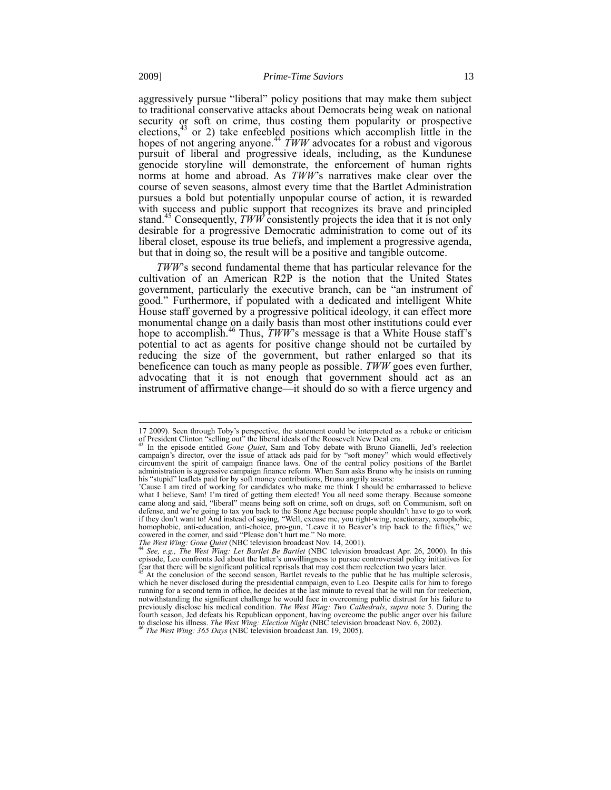<span id="page-12-0"></span>aggressively pursue "liberal" policy positions that may make them subject to traditional conservative attacks about Democrats being weak on national security or soft on crime, thus costing them popularity or prospective elections, $43$  or 2) take enfeebled positions which accomplish little in the hopes of not angering anyone.<sup>44</sup>  $\overline{T}WW$  advocates for a robust and vigorous pursuit of liberal and progressive ideals, including, as the Kundunese genocide storyline will demonstrate, the enforcement of human rights norms at home and abroad. As *TWW*'s narratives make clear over the course of seven seasons, almost every time that the Bartlet Administration pursues a bold but potentially unpopular course of action, it is rewarded with success and public support that recognizes its brave and principled stand.<sup>45</sup> Consequently, *TWW* consistently projects the idea that it is not only desirable for a progressive Democratic administration to come out of its liberal closet, espouse its true beliefs, and implement a progressive agenda, but that in doing so, the result will be a positive and tangible outcome.

*TWW*'s second fundamental theme that has particular relevance for the cultivation of an American R2P is the notion that the United States government, particularly the executive branch, can be "an instrument of good." Furthermore, if populated with a dedicated and intelligent White House staff governed by a progressive political ideology, it can effect more monumental change on a daily basis than most other institutions could ever hope to accomplish. <sup>46</sup> Thus, *TWW*'s message is that a White House staff's potential to act as agents for positive change should not be curtailed by reducing the size of the government, but rather enlarged so that its beneficence can touch as many people as possible. *TWW* goes even further, advocating that it is not enough that government should act as an instrument of affirmative change—it should do so with a fierce urgency and

<sup>17 2009).</sup> Seen through Toby's perspective, the statement could be interpreted as a rebuke or criticism of President Clinton "selling out" the liberal ideals of the Roosevelt New Deal era.

<sup>43</sup> In the episode entitled *Gone Quiet*, Sam and Toby debate with Bruno Gianelli, Jed's reelection campaign's director, over the issue of attack ads paid for by "soft money" which would effectively circumvent the spirit of campaign finance laws. One of the central policy positions of the Bartlet administration is aggressive campaign finance reform. When Sam asks Bruno why he insists on running his "stupid" leaflets paid for by soft money contributions, Bruno angrily asserts:

<sup>&#</sup>x27;Cause I am tired of working for candidates who make me think I should be embarrassed to believe what I believe, Sam! I'm tired of getting them elected! You all need some therapy. Because someone came along and said, "liberal" means being soft on crime, soft on drugs, soft on Communism, soft on defense, and we're going to tax you back to the Stone Age because people shouldn't have to go to work if they don't want to! And instead of saying, "Well, excuse me, you right-wing, reactionary, xenophobic, homophobic, anti-education, anti-choice, pro-gun, 'Leave it to Beaver's trip back to the fifties," we cowered in the corner, and said "Please don't hurt me." No more.<br>The West Wing: Gone Quiet (NBC television broadcast Nov

episode, Leo confronts Jed about the latter's unwillingness to pursue controversial policy initiatives for fear that there will be significant political reprisals that may cost them reelection two years later.

At the conclusion of the second season, Bartlet reveals to the public that he has multiple sclerosis, which he never disclosed during the presidential campaign, even to Leo. Despite calls for him to forego running for a second term in office, he decides at the last minute to reveal that he will run for reelection, notwithstanding the significant challenge he would face in overcoming public distrust for his failure to previously disclose his medical condition. *The West Wing: Two Cathedrals*, *supra* note [5.](#page-1-1) During the fourth season, Jed defeats his Republican opponent, having overcome the public anger over his failure to disclose his illness. *The West Wing: Election Night* (NBC television broadcast Nov. 6, 2002). <sup>46</sup> *The West Wing: 365 Days* (NBC television broadcast Jan. 19, 2005).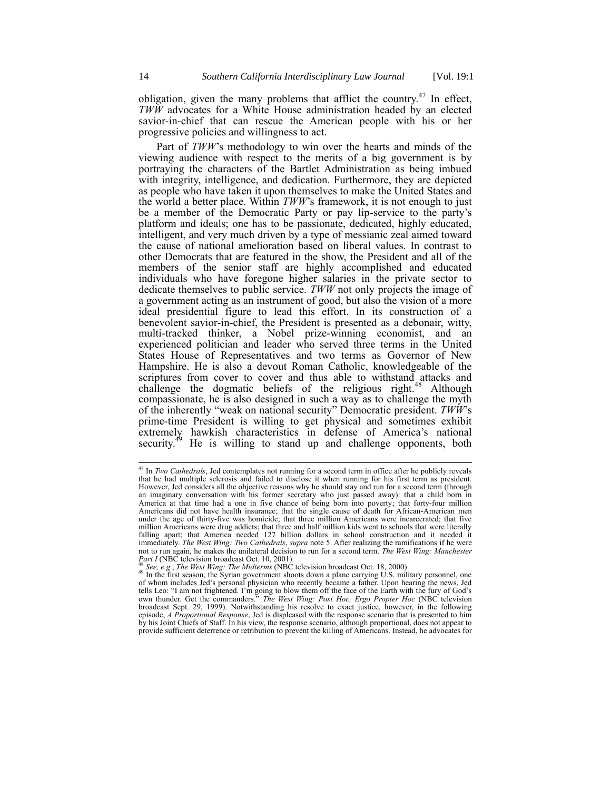obligation, given the many problems that afflict the country.<sup>47</sup> In effect, *TWW* advocates for a White House administration headed by an elected savior-in-chief that can rescue the American people with his or her progressive policies and willingness to act.

Part of *TWW*'s methodology to win over the hearts and minds of the viewing audience with respect to the merits of a big government is by portraying the characters of the Bartlet Administration as being imbued with integrity, intelligence, and dedication. Furthermore, they are depicted as people who have taken it upon themselves to make the United States and the world a better place. Within *TWW*'s framework, it is not enough to just be a member of the Democratic Party or pay lip-service to the party's platform and ideals; one has to be passionate, dedicated, highly educated, intelligent, and very much driven by a type of messianic zeal aimed toward the cause of national amelioration based on liberal values. In contrast to other Democrats that are featured in the show, the President and all of the members of the senior staff are highly accomplished and educated individuals who have foregone higher salaries in the private sector to dedicate themselves to public service. *TWW* not only projects the image of a government acting as an instrument of good, but also the vision of a more ideal presidential figure to lead this effort. In its construction of a benevolent savior-in-chief, the President is presented as a debonair, witty, multi-tracked thinker, a Nobel prize-winning economist, and an experienced politician and leader who served three terms in the United States House of Representatives and two terms as Governor of New Hampshire. He is also a devout Roman Catholic, knowledgeable of the scriptures from cover to cover and thus able to withstand attacks and challenge the dogmatic beliefs of the religious right.<sup>48</sup> Although compassionate, he is also designed in such a way as to challenge the myth of the inherently "weak on national security" Democratic president. *TWW*'s prime-time President is willing to get physical and sometimes exhibit extremely hawkish characteristics in defense of America's national security.<sup>49</sup> He is willing to stand up and challenge opponents, both

<span id="page-13-0"></span><sup>47</sup> In *Two Cathedrals*, Jed contemplates not running for a second term in office after he publicly reveals that he had multiple sclerosis and failed to disclose it when running for his first term as president. However, Jed considers all the objective reasons why he should stay and run for a second term (through an imaginary conversation with his former secretary who just passed away): that a child born in America at that time had a one in five chance of being born into poverty; that forty-four million Americans did not have health insurance; that the single cause of death for African-American men under the age of thirty-five was homicide; that three million Americans were incarcerated; that five million Americans were drug addicts; that three and half million kids went to schools that were literally falling apart; that America needed 127 billion dollars in school construction and it needed it immediately. *The West Wing: Two Cathedrals*, *supra* note [5.](#page-1-1) After realizing the ramifications if he were not to run again, he makes the unilateral decision to run for a second term. *The West Wing: Manchester Part I* (NBC television broadcast Oct. 10, 2001). <sup>48</sup> *See, e.g.*, *The West Wing: The Midterms* (NBC television broadcast Oct. 18, 2000).

<sup>&</sup>lt;sup>49</sup> In the first season, the Syrian government shoots down a plane carrying U.S. military personnel, one of whom includes Jed's personal physician who recently became a father. Upon hearing the news, Jed tells Leo: "I am not frightened. I'm going to blow them off the face of the Earth with the fury of God's own thunder. Get the commanders." *The West Wing: Post Hoc, Ergo Propter Hoc* (NBC television broadcast Sept. 29, 1999). Notwithstanding his resolve to exact justice, however, in the following episode, *A Proportional Response*, Jed is displeased with the response scenario that is presented to him by his Joint Chiefs of Staff. In his view, the response scenario, although proportional, does not appear to provide sufficient deterrence or retribution to prevent the killing of Americans. Instead, he advocates for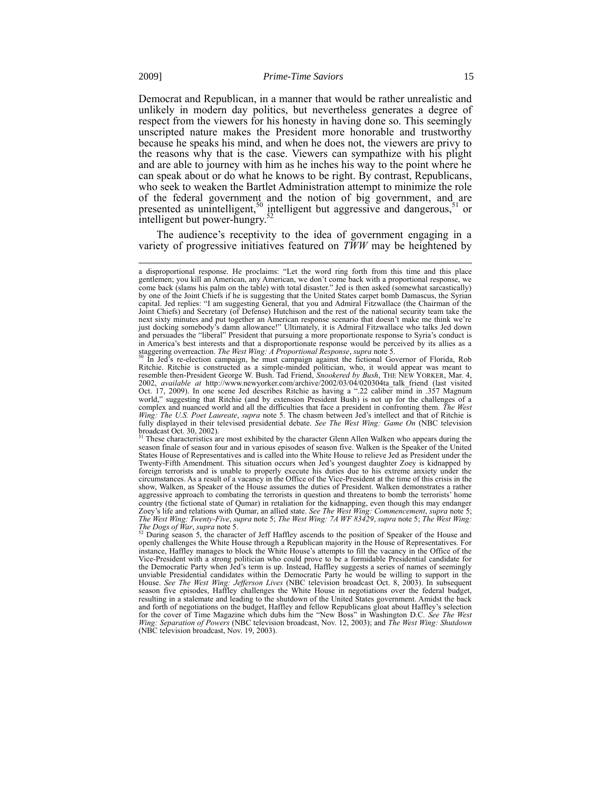Democrat and Republican, in a manner that would be rather unrealistic and unlikely in modern day politics, but nevertheless generates a degree of respect from the viewers for his honesty in having done so. This seemingly unscripted nature makes the President more honorable and trustworthy because he speaks his mind, and when he does not, the viewers are privy to the reasons why that is the case. Viewers can sympathize with his plight and are able to journey with him as he inches his way to the point where he can speak about or do what he knows to be right. By contrast, Republicans, who seek to weaken the Bartlet Administration attempt to minimize the role of the federal government and the notion of big government, and are presented as unintelligent,<sup>50</sup> intelligent but aggressive and dangerous,<sup>51</sup> or intelligent but power-hungry.<sup>52</sup>

The audience's receptivity to the idea of government engaging in a variety of progressive initiatives featured on *TWW* may be heightened by

a disproportional response. He proclaims: "Let the word ring forth from this time and this place gentlemen; you kill an American, any American, we don't come back with a proportional response, we come back (slams his palm on the table) with total disaster." Jed is then asked (somewhat sarcastically) by one of the Joint Chiefs if he is suggesting that the United States carpet bomb Damascus, the Syrian capital. Jed replies: "I am suggesting General, that you and Admiral Fitzwallace (the Chairman of the Joint Chiefs) and Secretary (of Defense) Hutchison and the rest of the national security team take the next sixty minutes and put together an American response scenario that doesn't make me think we're just docking somebody's damn allowance!" Ultimately, it is Admiral Fitzwallace who talks Jed down and persuades the "liberal" President that pursuing a more proportionate response to Syria's conduct is in America's best interests and that a disproportionate response would be perceived by its allies as a staggering overreaction. *The West Wing: A Proportional Response*, *supra* not[e 5.](#page-1-1)

<sup>50</sup> In Jed's re-election campaign, he must campaign against the fictional Governor of Florida, Rob Ritchie. Ritchie is constructed as a simple-minded politician, who, it would appear was meant to resemble then-President George W. Bush. Tad Friend, *Snookered by Bush*, THE NEW YORKER, Mar. 4, 2002, *available at* http://www.newyorker.com/archive/2002/03/04/020304ta\_talk\_friend (last visited Oct. 17, 2009). In one scene Jed describes Ritchie as having a ".22 caliber mind in .357 Magnum world," suggesting that Ri complex and nuanced world and all the difficulties that face a president in confronting them. *The West*  Wing: The U.S. Poet Laureate, supra note [5](#page-1-1). The chasm between Jed's intellect and that of Ritchie is<br>fully displayed in their televised presidential debate. See The West Wing: Game On (NBC television broadcast Oct. 30, 2002).

These characteristics are most exhibited by the character Glenn Allen Walken who appears during the season finale of season four and in various episodes of season five. Walken is the Speaker of the United States House of Representatives and is called into the White House to relieve Jed as President under the Twenty-Fifth Amendment. This situation occurs when Jed's youngest daughter Zoey is kidnapped by foreign terrorists and is unable to properly execute his duties due to his extreme anxiety under the circumstances. As a result of a vacancy in the Office of the Vice-President at the time of this crisis in the show, Walken, as Speaker of the House assumes the duties of President. Walken demonstrates a rather aggressive approach to combating the terrorists in question and threatens to bomb the terrorists' home country (the fictional state of Qumar) in retaliation for the kidnapping, even though this may endanger Zoey's life and relations with Qumar, an allied state. See The West Wing: Commencement, supra note [5;](#page-1-1)<br>The West Wing: Twenty-Five, supra not[e 5;](#page-1-1) The West Wing: 7A WF 83429, supra note 5; The West Wing: *The Dogs of War*, *supra* not[e 5.](#page-1-1) <sup>52</sup> During season 5, the character of Jeff Haffley ascends to the position of Speaker of the House and

openly challenges the White House through a Republican majority in the House of Representatives. For instance, Haffley manages to block the White House's attempts to fill the vacancy in the Office of the Vice-President with a strong politician who could prove to be a formidable Presidential candidate for the Democratic Party when Jed's term is up. Instead, Haffley suggests a series of names of seemingly unviable Presidential candidates within the Democratic Party he would be willing to support in the House. *See The West Wing: Jefferson Lives* (NBC television broadcast Oct. 8, 2003). In subsequent season five episodes, Haffley challenges the White House in negotiations over the federal budget, resulting in a stalemate and leading to the shutdown of the United States government. Amidst the back and forth of negotiations on the budget, Haffley and fellow Republicans gloat about Haffley's selection for the cover of Time Magazine which dubs him the "New Boss" in Washington D.C. *See The West Wing: Separation of Powers* (NBC television broadcast, Nov. 12, 2003); and *The West Wing: Shutdown* (NBC television broadcast, Nov. 19, 2003).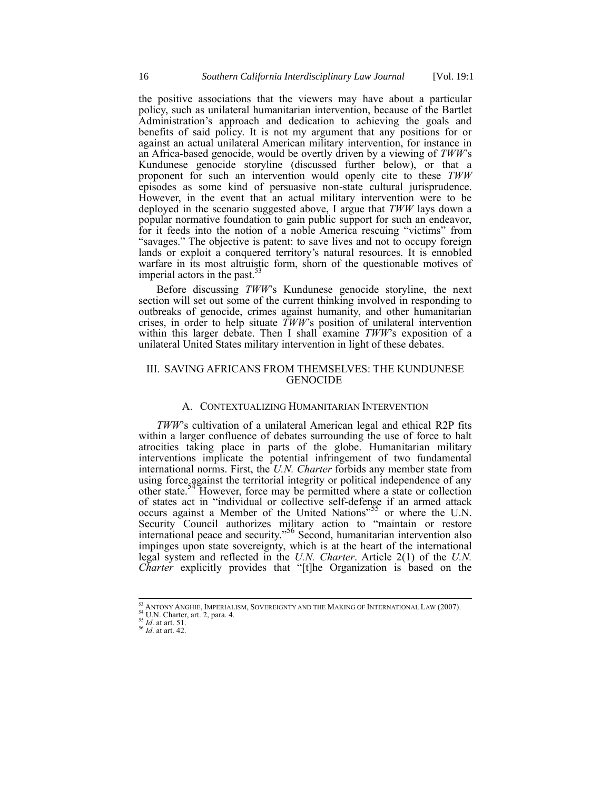the positive associations that the viewers may have about a particular policy, such as unilateral humanitarian intervention, because of the Bartlet Administration's approach and dedication to achieving the goals and benefits of said policy. It is not my argument that any positions for or against an actual unilateral American military intervention, for instance in an Africa-based genocide, would be overtly driven by a viewing of *TWW*'s Kundunese genocide storyline (discussed further below), or that a proponent for such an intervention would openly cite to these *TWW* episodes as some kind of persuasive non-state cultural jurisprudence. However, in the event that an actual military intervention were to be deployed in the scenario suggested above, I argue that *TWW* lays down a popular normative foundation to gain public support for such an endeavor, for it feeds into the notion of a noble America rescuing "victims" from "savages." The objective is patent: to save lives and not to occupy foreign lands or exploit a conquered territory's natural resources. It is ennobled warfare in its most altruistic form, shorn of the questionable motives of imperial actors in the past.<sup>5</sup>

Before discussing *TWW*'s Kundunese genocide storyline, the next section will set out some of the current thinking involved in responding to outbreaks of genocide, crimes against humanity, and other humanitarian crises, in order to help situate *TWW*'s position of unilateral intervention within this larger debate. Then I shall examine *TWW*'s exposition of a unilateral United States military intervention in light of these debates.

# III. SAVING AFRICANS FROM THEMSELVES: THE KUNDUNESE **GENOCIDE**

# A. CONTEXTUALIZING HUMANITARIAN INTERVENTION

<span id="page-15-0"></span>*TWW*'s cultivation of a unilateral American legal and ethical R2P fits within a larger confluence of debates surrounding the use of force to halt atrocities taking place in parts of the globe. Humanitarian military interventions implicate the potential infringement of two fundamental international norms. First, the *U.N. Charter* forbids any member state from using force against the territorial integrity or political independence of any other state.<sup>54</sup> However, force may be permitted where a state or collection of states act in "individual or collective self-defense if an armed attack occurs against a Member of the United Nations<sup>"55</sup> or where the U.N. Security Council authorizes military action to "maintain or restore international peace and security."<sup>56</sup> Second, humanitarian intervention also impinges upon state sovereignty, which is at the heart of the international legal system and reflected in the *U.N. Charter*. Article 2(1) of the *U.N. Charter* explicitly provides that "[t]he Organization is based on the

ANTONY ANGHIE, IMPERIALISM, SOVEREIGNTY AND THE MAKING OF INTERNATIONAL LAW (2007).

<sup>54</sup> U.N. Charter, art. 2, para. 4.

<sup>55</sup> *Id*. at art. 51.

<sup>56</sup> *Id*. at art. 42.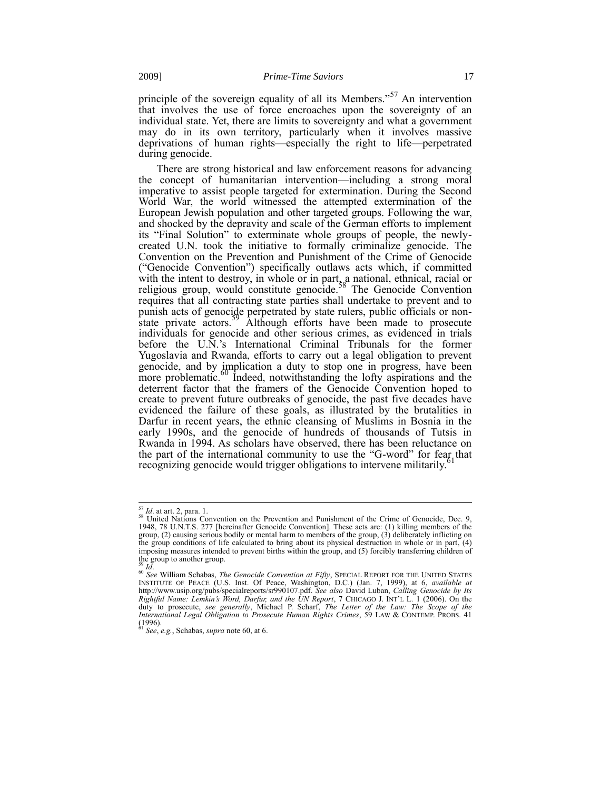<span id="page-16-1"></span>principle of the sovereign equality of all its Members."<sup>57</sup> An intervention that involves the use of force encroaches upon the sovereignty of an individual state. Yet, there are limits to sovereignty and what a government may do in its own territory, particularly when it involves massive deprivations of human rights—especially the right to life—perpetrated during genocide.

<span id="page-16-2"></span>There are strong historical and law enforcement reasons for advancing the concept of humanitarian intervention—including a strong moral imperative to assist people targeted for extermination. During the Second World War, the world witnessed the attempted extermination of the European Jewish population and other targeted groups. Following the war, and shocked by the depravity and scale of the German efforts to implement its "Final Solution" to exterminate whole groups of people, the newlycreated U.N. took the initiative to formally criminalize genocide. The Convention on the Prevention and Punishment of the Crime of Genocide ("Genocide Convention") specifically outlaws acts which, if committed with the intent to destroy, in whole or in part, a national, ethnical, racial or religious group, would constitute genocide.<sup>58</sup> The Genocide Convention requires that all contracting state parties shall undertake to prevent and to punish acts of genocide perpetrated by state rulers, public officials or nonstate private actors.<sup>39</sup> Although efforts have been made to prosecute individuals for genocide and other serious crimes, as evidenced in trials before the U.N.'s International Criminal Tribunals for the former Yugoslavia and Rwanda, efforts to carry out a legal obligation to prevent genocide, and by implication a duty to stop one in progress, have been more problematic.<sup>60</sup> Indeed, notwithstanding the lofty aspirations and the deterrent factor that the framers of the Genocide Convention hoped to create to prevent future outbreaks of genocide, the past five decades have evidenced the failure of these goals, as illustrated by the brutalities in Darfur in recent years, the ethnic cleansing of Muslims in Bosnia in the early 1990s, and the genocide of hundreds of thousands of Tutsis in Rwanda in 1994. As scholars have observed, there has been reluctance on the part of the international community to use the "G-word" for fear that recognizing genocide would trigger obligations to intervene militarily.

<span id="page-16-0"></span><sup>57</sup> *Id*. at art. 2, para. 1.

 $58$  United Nations Convention on the Prevention and Punishment of the Crime of Genocide, Dec. 9, 1948, 78 U.N.T.S. 277 [hereinafter Genocide Convention]. These acts are: (1) killing members of the group, (2) causing serious bodily or mental harm to members of the group, (3) deliberately inflicting on the group conditions of life calculated to bring about its physical destruction in whole or in part, (4) imposing measures intended to prevent births within the group, and (5) forcibly transferring children of the group to another group.<br> $^{59}$  *Id.* 

<sup>59</sup> *Id*.

<sup>&</sup>lt;sup>60</sup> See William Schabas, *The Genocide Convention at Fifty*, SPECIAL REPORT FOR THE UNITED STATES<br>INSTITUTE OF PEACE (U.S. Inst. Of Peace, Washington, D.C.) (Jan. 7, 1999), at 6, *available at*<br>http://www.usip.org/pubs/sp Rightful Name: Lemkin's Word, Darfur, and the UN Report, 7 CHICAGO J. INT'L L. 1 (2006). On the duty to prosecute, see generally, Michael P. Scharf, The Letter of the Law: The Scope of the International Legal Obligation to  $(1996)$ .

<sup>61</sup> *See*, *e.g.*, Schabas, *supra* note [60,](#page-16-0) at 6.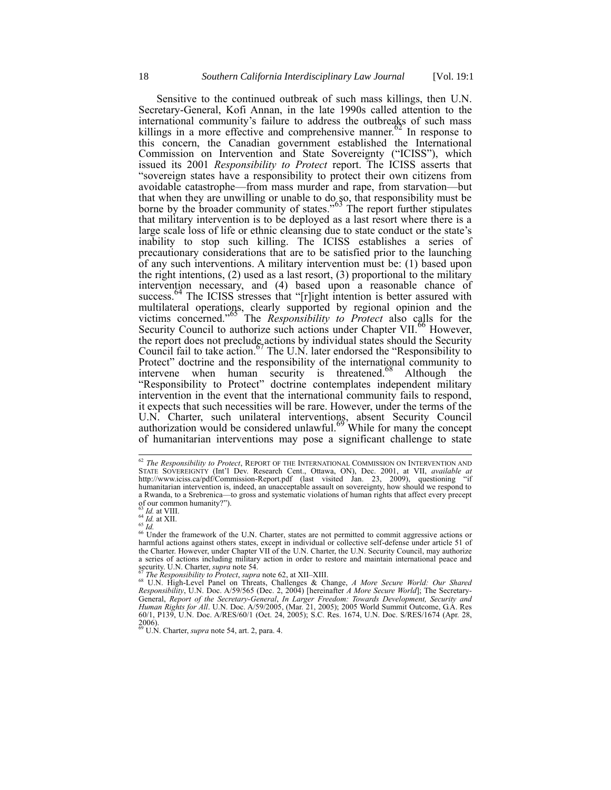<span id="page-17-0"></span>Sensitive to the continued outbreak of such mass killings, then U.N. Secretary-General, Kofi Annan, in the late 1990s called attention to the international community's failure to address the outbreaks of such mass killings in a more effective and comprehensive manner.<sup>62</sup> In response to this concern, the Canadian government established the International Commission on Intervention and State Sovereignty ("ICISS"), which issued its 2001 *Responsibility to Protect* report. The ICISS asserts that "sovereign states have a responsibility to protect their own citizens from avoidable catastrophe—from mass murder and rape, from starvation—but that when they are unwilling or unable to do so, that responsibility must be borne by the broader community of states."<sup>63</sup> The report further stipulates that military intervention is to be deployed as a last resort where there is a large scale loss of life or ethnic cleansing due to state conduct or the state's inability to stop such killing. The ICISS establishes a series of precautionary considerations that are to be satisfied prior to the launching of any such interventions. A military intervention must be: (1) based upon the right intentions, (2) used as a last resort, (3) proportional to the military intervention necessary, and (4) based upon a reasonable chance of success.<sup>64</sup> The ICISS stresses that "[r]ight intention is better assured with multilateral operations, clearly supported by regional opinion and the victims concerned.<sup>"65</sup> The *Responsibility to Protect* also calls for the Security Council to authorize such actions under Chapter VII.<sup>66</sup> However, the report does not preclude actions by individual states should the Security Council fail to take action.<sup>67</sup> The U.N. later endorsed the "Responsibility to Protect" doctrine and the responsibility of the international community to intervene when human security is threatened.<sup>68</sup> Although the "Responsibility to Protect" doctrine contemplates independent military intervention in the event that the international community fails to respond, it expects that such necessities will be rare. However, under the terms of the U.N. Charter, such unilateral interventions, absent Security Council authorization would be considered unlawful.<sup>69</sup> While for many the concept of humanitarian interventions may pose a significant challenge to state

<span id="page-17-1"></span><sup>62</sup> *The Responsibility to Protect*, REPORT OF THE INTERNATIONAL COMMISSION ON INTERVENTION AND STATE SOVEREIGNTY (Int'l Dev. Research Cent., Ottawa, ON), Dec. 2001, at VII, *available at* http://www.iciss.ca/pdf/Commission-Report.pdf (last visited Jan. 23, 2009), questioning humanitarian intervention is, indeed, an unacceptable assault on sovereignty, how should we respond to a Rwanda, to a Srebrenica—to gross and systematic violations of human rights that affect every precept of our common humanity?").

<sup>63</sup> *Id.* at VIII. <sup>64</sup> *Id.* at XII.

<sup>65</sup> *Id.*

 $\frac{66}{6}$  Under the framework of the U.N. Charter, states are not permitted to commit aggressive actions or harmful actions against others states, except in individual or collective self-defense under article 51 of the Charter. However, under Chapter VII of the U.N. Charter, the U.N. Security Council, may authorize a series of actions including military action in order to restore and maintain international peace and security. U.N. Charter, *supra* note [54.](#page-15-0)

<sup>&</sup>lt;sup>67</sup> The Responsibility to Protect, supra not[e 62,](#page-17-0) at XII–XIII.<br><sup>68</sup> U.N. High-Level Panel on Threats, Challenges & Change, A More Secure World: Our Shared<br>Responsibility, U.N. Doc. A/59/565 (Dec. 2, 2004) [hereinafter A M General, Report of the Secretary-General, In Larger Freedom: Towards Development, Security and<br>Human Rights for All. U.N. Doc. A/59/2005, (Mar. 21, 2005); 2005 World Summit Outcome, G.A. Res<br>60/1, P139, U.N. Doc. A/RES/60/ 2006). <sup>69</sup> U.N. Charter, *supra* note [54,](#page-15-0) art. 2, para. 4.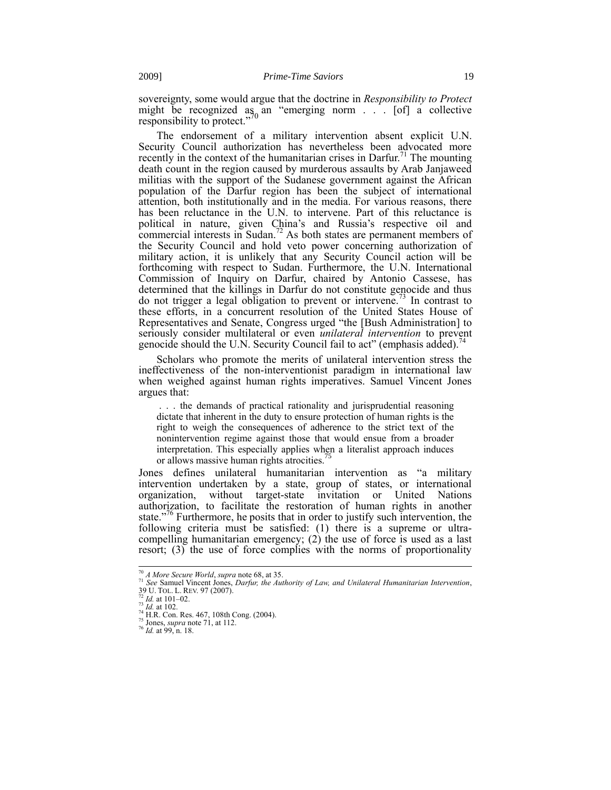sovereignty, some would argue that the doctrine in *Responsibility to Protect* might be recognized as an "emerging norm  $\ldots$  [of] a collective responsibility to protect."

<span id="page-18-0"></span>The endorsement of a military intervention absent explicit U.N. Security Council authorization has nevertheless been advocated more recently in the context of the humanitarian crises in Darfur.<sup>71</sup> The mounting death count in the region caused by murderous assaults by Arab Janjaweed militias with the support of the Sudanese government against the African population of the Darfur region has been the subject of international attention, both institutionally and in the media. For various reasons, there has been reluctance in the U.N. to intervene. Part of this reluctance is political in nature, given China's and Russia's respective oil and commercial interests in Sudan.<sup>72</sup> As both states are permanent members of the Security Council and hold veto power concerning authorization of military action, it is unlikely that any Security Council action will be forthcoming with respect to Sudan. Furthermore, the U.N. International Commission of Inquiry on Darfur, chaired by Antonio Cassese, has determined that the killings in Darfur do not constitute genocide and thus do not trigger a legal obligation to prevent or intervene.<sup>73</sup> In contrast to these efforts, in a concurrent resolution of the United States House of Representatives and Senate, Congress urged "the [Bush Administration] to seriously consider multilateral or even *unilateral intervention* to prevent genocide should the U.N. Security Council fail to act" (emphasis added).<sup>74</sup>

Scholars who promote the merits of unilateral intervention stress the ineffectiveness of the non-interventionist paradigm in international law when weighed against human rights imperatives. Samuel Vincent Jones argues that:

. . . the demands of practical rationality and jurisprudential reasoning dictate that inherent in the duty to ensure protection of human rights is the right to weigh the consequences of adherence to the strict text of the nonintervention regime against those that would ensue from a broader interpretation. This especially applies when a literalist approach induces or allows massive human rights atrocities.<sup>75</sup>

Jones defines unilateral humanitarian intervention as "a military intervention undertaken by a state, group of states, or international organization, without target-state invitation or United Nations authorization, to facilitate the restoration of human rights in another state."<sup>76</sup> Furthermore, he posits that in order to justify such intervention, the following criteria must be satisfied: (1) there is a supreme or ultracompelling humanitarian emergency; (2) the use of force is used as a last resort; (3) the use of force complies with the norms of proportionality

<sup>70</sup> *A More Secure World, supra* not[e 68,](#page-17-1) at 35.<br><sup>71</sup> *See Samuel Vincent Jones, Darfur, the Authority of Law, and Unilateral Humanitarian Intervention,*<br>39 U. TOL. L. REV. 97 (2007).<br><sup>72</sup> *Id.* at 101–02.

<sup>73</sup> *Id.* at 102. <sup>74</sup> H.R. Con. Res. 467, 108th Cong. (2004).

<sup>75</sup> Jones, *supra* not[e 71,](#page-18-0) at 112. <sup>75</sup> Jones, *supra* note 71, at 112.<br><sup>76</sup> *Id.* at 99, n. 18.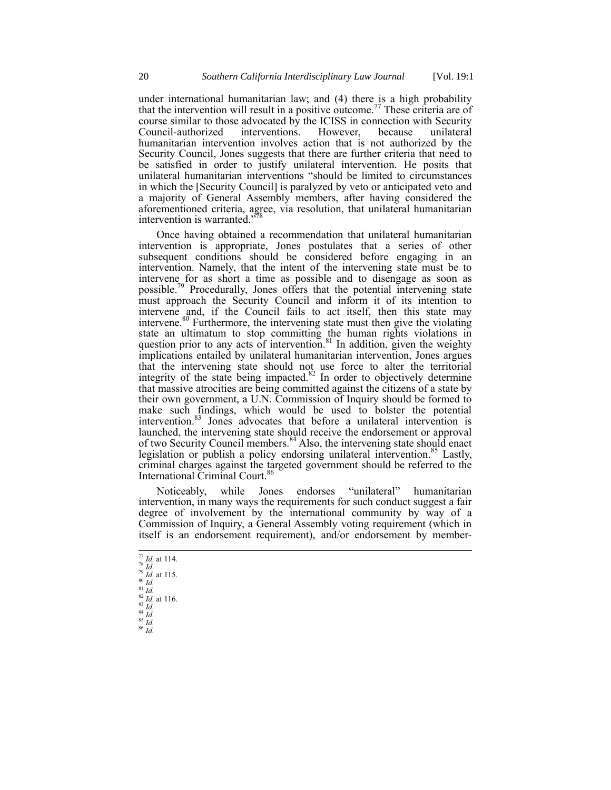under international humanitarian law; and (4) there is a high probability that the intervention will result in a positive outcome.<sup>77</sup> These criteria are of course similar to those advocated by the ICISS in connection with Security<br>Council-authorized interventions. However, because unilateral Council-authorized humanitarian intervention involves action that is not authorized by the Security Council, Jones suggests that there are further criteria that need to be satisfied in order to justify unilateral intervention. He posits that unilateral humanitarian interventions "should be limited to circumstances in which the [Security Council] is paralyzed by veto or anticipated veto and a majority of General Assembly members, after having considered the aforementioned criteria, agree, via resolution, that unilateral humanitarian intervention is warranted."

Once having obtained a recommendation that unilateral humanitarian intervention is appropriate, Jones postulates that a series of other subsequent conditions should be considered before engaging in an intervention. Namely, that the intent of the intervening state must be to intervene for as short a time as possible and to disengage as soon as possible.<sup>79</sup> Procedurally, Jones offers that the potential intervening state must approach the Security Council and inform it of its intention to intervene and, if the Council fails to act itself, then this state may intervene.<sup>80</sup> Furthermore, the intervening state must then give the violating state an ultimatum to stop committing the human rights violations in question prior to any acts of intervention.<sup>81</sup> In addition, given the weighty implications entailed by unilateral humanitarian intervention, Jones argues that the intervening state should not use force to alter the territorial integrity of the state being impacted. $82$  In order to objectively determine that massive atrocities are being committed against the citizens of a state by their own government, a U.N. Commission of Inquiry should be formed to make such findings, which would be used to bolster the potential intervention.<sup>83</sup> Jones advocates that before a unilateral intervention is launched, the intervening state should receive the endorsement or approval of two Security Council members.<sup>84</sup> Also, the intervening state should enact legislation or publish a policy endorsing unilateral intervention.<sup>85</sup> Lastly, criminal charges against the targeted government should be referred to the International Criminal Court.<sup>86</sup>

Noticeably, while Jones endorses "unilateral" humanitarian intervention, in many ways the requirements for such conduct suggest a fair degree of involvement by the international community by way of a Commission of Inquiry, a General Assembly voting requirement (which in itself is an endorsement requirement), and/or endorsement by member-

- $\frac{77}{4}$ *Id.* at 114. <sup>78</sup> *Id.*  $^{79}$   $^{141}$ . at 115. <sup>80</sup> *Id.*  $\frac{81}{1}$  *Id.*  $82 \frac{\mu}{1}$ . at 116. <sup>83</sup> *Id.*  $\stackrel{84}{Id}.$  $^{85}\,\tilde{Id}.$  $^{\,86}$   $\bar{I}d.$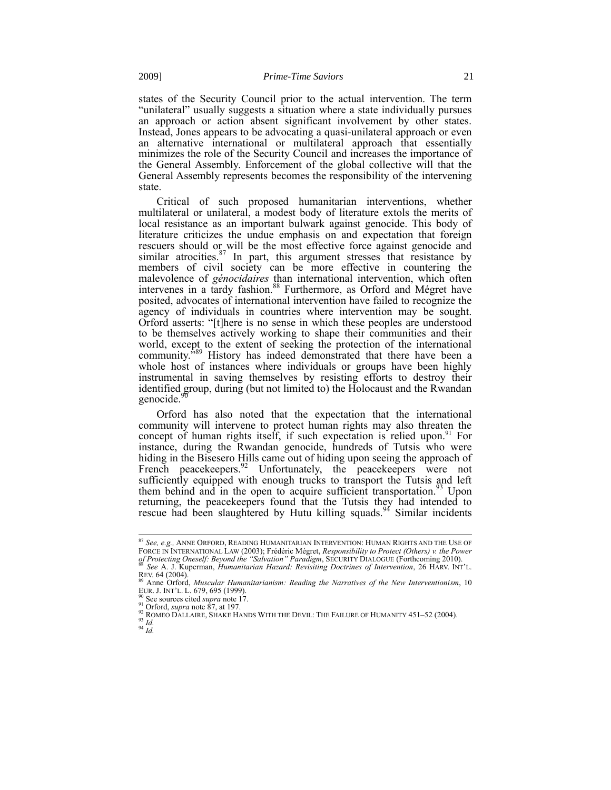states of the Security Council prior to the actual intervention. The term "unilateral" usually suggests a situation where a state individually pursues an approach or action absent significant involvement by other states. Instead, Jones appears to be advocating a quasi-unilateral approach or even an alternative international or multilateral approach that essentially minimizes the role of the Security Council and increases the importance of the General Assembly. Enforcement of the global collective will that the General Assembly represents becomes the responsibility of the intervening state.

<span id="page-20-2"></span><span id="page-20-0"></span>Critical of such proposed humanitarian interventions, whether multilateral or unilateral, a modest body of literature extols the merits of local resistance as an important bulwark against genocide. This body of literature criticizes the undue emphasis on and expectation that foreign rescuers should or will be the most effective force against genocide and similar atrocities. $87$  In part, this argument stresses that resistance by members of civil society can be more effective in countering the malevolence of *génocidaires* than international intervention, which often intervenes in a tardy fashion.<sup>88</sup> Furthermore, as Orford and Mégret have posited, advocates of international intervention have failed to recognize the agency of individuals in countries where intervention may be sought. Orford asserts: "[t]here is no sense in which these peoples are understood to be themselves actively working to shape their communities and their world, except to the extent of seeking the protection of the international community.<sup>589</sup> History has indeed demonstrated that there have been a whole host of instances where individuals or groups have been highly instrumental in saving themselves by resisting efforts to destroy their identified group, during (but not limited to) the Holocaust and the Rwandan genocide.<sup>9</sup>

<span id="page-20-1"></span>Orford has also noted that the expectation that the international community will intervene to protect human rights may also threaten the concept of human rights itself, if such expectation is relied upon.<sup>91</sup> For instance, during the Rwandan genocide, hundreds of Tutsis who were hiding in the Bisesero Hills came out of hiding upon seeing the approach of French peacekeepers. $92$  Unfortunately, the peacekeepers were not sufficiently equipped with enough trucks to transport the Tutsis and left them behind and in the open to acquire sufficient transportation.<sup>93</sup> Upon returning, the peacekeepers found that the Tutsis they had intended to rescue had been slaughtered by Hutu killing squads.<sup>94</sup> Similar incidents

<sup>87</sup> *See, e.g.,* ANNE ORFORD, READING HUMANITARIAN INTERVENTION: HUMAN RIGHTS AND THE USE OF FORCE IN INTERNATIONAL LAW (2003); Frédéric Mégret, *Responsibility to Protect (Others) v. the Power of Protecting Oneself: Beyond the "Salvation" Paradigm*, SECURITY DIALOGUE (Forthcoming 2010). <sup>88</sup> *See* A. J. Kuperman, *Humanitarian Hazard: Revisiting Doctrines of Intervention*, 26 HARV. INT'L.

REV. 64 (2004).<br><sup>89</sup> Anne Orford, *Muscular Humanitarianism: Reading the Narratives of the New Interventionism*, 10<br>EUR. J. INT'L. L. 679, 695 (1999).<br><sup>90</sup> See sources cited *supra* not[e 17.](#page-5-0)

<sup>&</sup>lt;sup>91</sup> Orford, *supra* note  $\hat{8}7$ , at 197.

<sup>&</sup>lt;sup>92</sup> ROMEO DALLAIRE, SHAKE HANDS WITH THE DEVIL: THE FAILURE OF HUMANITY 451–52 (2004).  $\frac{93}{Id}$ .

<sup>94</sup> *Id.*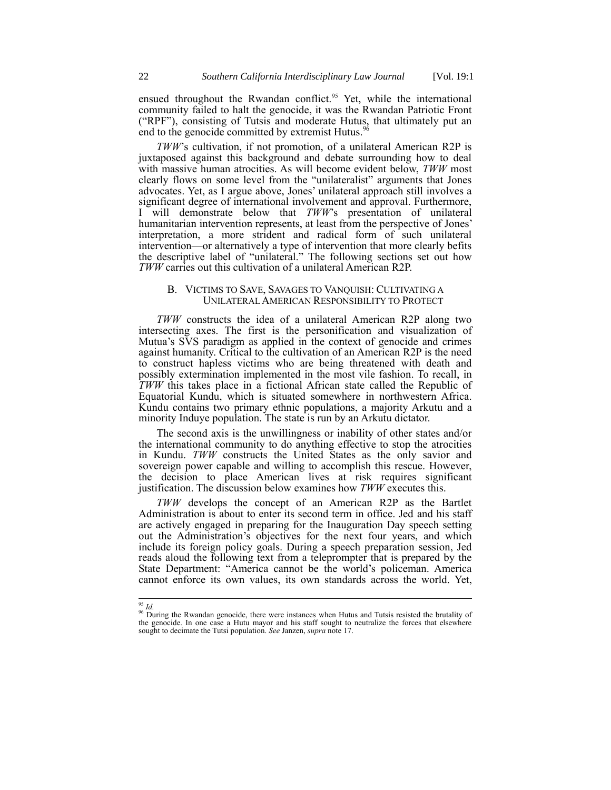ensued throughout the Rwandan conflict.<sup>95</sup> Yet, while the international community failed to halt the genocide, it was the Rwandan Patriotic Front  $($ "RPF"), consisting of Tutsis and moderate Hutus, that ultimately put an  $($ "RPF"), consisting of Tutsis and moderate Hutus, end to the genocide committed by extremist Hutus.<sup>9</sup>

*TWW*'s cultivation, if not promotion, of a unilateral American R2P is juxtaposed against this background and debate surrounding how to deal with massive human atrocities. As will become evident below, *TWW* most clearly flows on some level from the "unilateralist" arguments that Jones advocates. Yet, as I argue above, Jones' unilateral approach still involves a significant degree of international involvement and approval. Furthermore, I will demonstrate below that *TWW*'s presentation of unilateral humanitarian intervention represents, at least from the perspective of Jones' interpretation, a more strident and radical form of such unilateral intervention—or alternatively a type of intervention that more clearly befits the descriptive label of "unilateral." The following sections set out how *TWW* carries out this cultivation of a unilateral American R2P.

# B. VICTIMS TO SAVE, SAVAGES TO VANQUISH: CULTIVATING A UNILATERAL AMERICAN RESPONSIBILITY TO PROTECT

*TWW* constructs the idea of a unilateral American R2P along two intersecting axes. The first is the personification and visualization of Mutua's SVS paradigm as applied in the context of genocide and crimes against humanity. Critical to the cultivation of an American R2P is the need to construct hapless victims who are being threatened with death and possibly extermination implemented in the most vile fashion. To recall, in *TWW* this takes place in a fictional African state called the Republic of Equatorial Kundu, which is situated somewhere in northwestern Africa. Kundu contains two primary ethnic populations, a majority Arkutu and a minority Induye population. The state is run by an Arkutu dictator.

The second axis is the unwillingness or inability of other states and/or the international community to do anything effective to stop the atrocities in Kundu. *TWW* constructs the United States as the only savior and sovereign power capable and willing to accomplish this rescue. However, the decision to place American lives at risk requires significant justification. The discussion below examines how *TWW* executes this.

*TWW* develops the concept of an American R2P as the Bartlet Administration is about to enter its second term in office. Jed and his staff are actively engaged in preparing for the Inauguration Day speech setting out the Administration's objectives for the next four years, and which include its foreign policy goals. During a speech preparation session, Jed reads aloud the following text from a teleprompter that is prepared by the State Department: "America cannot be the world's policeman. America cannot enforce its own values, its own standards across the world. Yet,

 $\overline{1}$ 

<sup>&</sup>lt;sup>95</sup> *Id.*<br><sup>96</sup> During the Rwandan genocide, there were instances when Hutus and Tutsis resisted the brutality of the genocide. In one case a Hutu mayor and his staff sought to neutralize the forces that elsewhere sought to decimate the Tutsi population. *See* Janzen, *supra* not[e 17.](#page-5-0)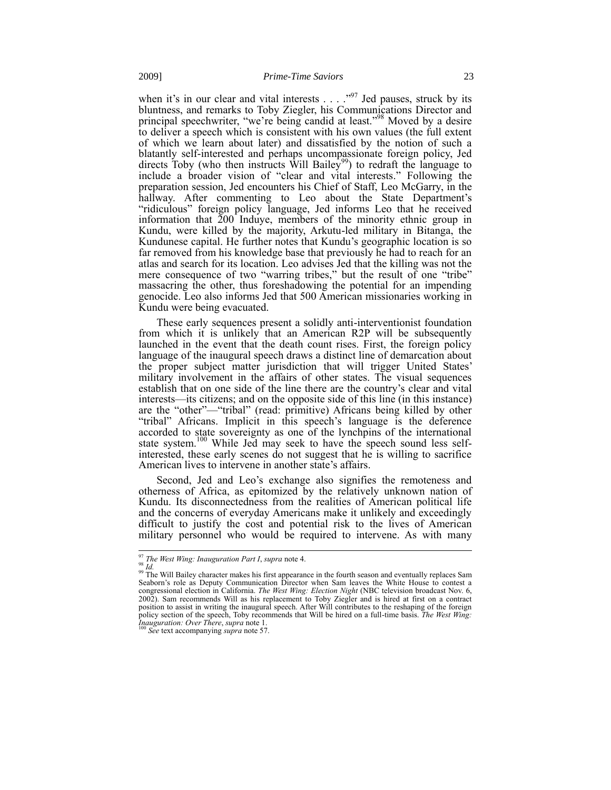when it's in our clear and vital interests  $\ldots$   $\cdot$ <sup>97</sup> Jed pauses, struck by its bluntness, and remarks to Toby Ziegler, his Communications Director and principal speechwriter, "we're being candid at least."<sup>98</sup> Moved by a desire to deliver a speech which is consistent with his own values (the full extent of which we learn about later) and dissatisfied by the notion of such a blatantly self-interested and perhaps uncompassionate foreign policy, Jed directs Toby (who then instructs Will Bailey<sup>99</sup>) to redraft the language to include a broader vision of "clear and vital interests." Following the preparation session, Jed encounters his Chief of Staff, Leo McGarry, in the hallway. After commenting to Leo about the State Department's "ridiculous" foreign policy language, Jed informs Leo that he received information that  $200$  Induye, members of the minority ethnic group in Kundu, were killed by the majority, Arkutu-led military in Bitanga, the Kundunese capital. He further notes that Kundu's geographic location is so far removed from his knowledge base that previously he had to reach for an atlas and search for its location. Leo advises Jed that the killing was not the mere consequence of two "warring tribes," but the result of one "tribe" massacring the other, thus foreshadowing the potential for an impending genocide. Leo also informs Jed that 500 American missionaries working in Kundu were being evacuated.

These early sequences present a solidly anti-interventionist foundation from which it is unlikely that an American R2P will be subsequently launched in the event that the death count rises. First, the foreign policy language of the inaugural speech draws a distinct line of demarcation about the proper subject matter jurisdiction that will trigger United States' military involvement in the affairs of other states. The visual sequences establish that on one side of the line there are the country's clear and vital interests—its citizens; and on the opposite side of this line (in this instance) are the "other"—"tribal" (read: primitive) Africans being killed by other "tribal" Africans. Implicit in this speech's language is the deference accorded to state sovereignty as one of the lynchpins of the international state system.<sup>100</sup> While Jed may seek to have the speech sound less selfinterested, these early scenes do not suggest that he is willing to sacrifice American lives to intervene in another state's affairs.

Second, Jed and Leo's exchange also signifies the remoteness and otherness of Africa, as epitomized by the relatively unknown nation of Kundu. Its disconnectedness from the realities of American political life and the concerns of everyday Americans make it unlikely and exceedingly difficult to justify the cost and potential risk to the lives of American military personnel who would be required to intervene. As with many

 $\overline{1}$ 

<sup>97</sup> *The West Wing: Inauguration Part I*, *supra* note 4.

<sup>98</sup> *Id.*

<sup>&</sup>lt;sup>99</sup> The Will Bailey character makes his first appearance in the fourth season and eventually replaces Sam Seaborn's role as Deputy Communication Director when Sam leaves the White House to contest a congressional election 2002). Sam recommends Will as his replacement to Toby Ziegler and is hired at first on a contract position to assist in writing the inaugural speech. After Will contributes to the reshaping of the foreign policy section of the speech, Toby recommends that Will be hired on a full-time basis. *The West Wing: Inauguration: Over There*, *supra* not[e 1.](#page-1-0) <sup>100</sup> *See* text accompanying *supra* not[e 57.](#page-16-1)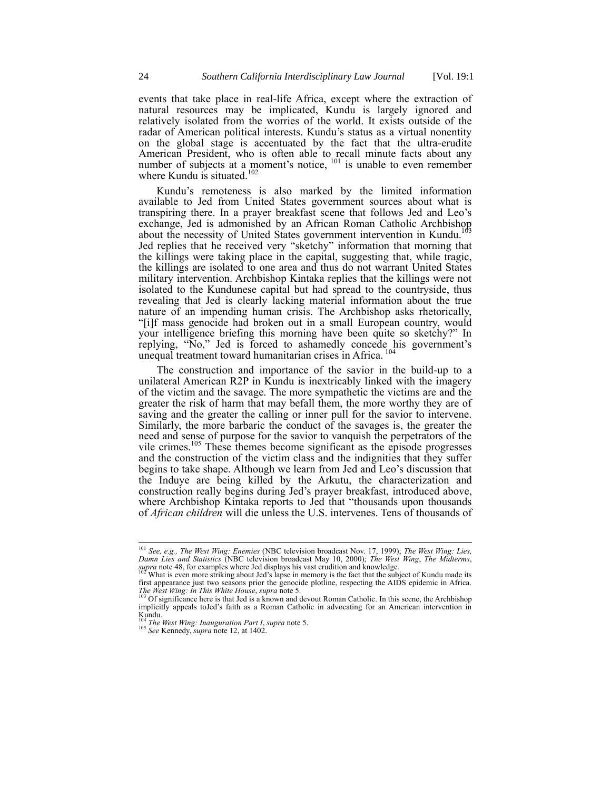events that take place in real-life Africa, except where the extraction of natural resources may be implicated, Kundu is largely ignored and relatively isolated from the worries of the world. It exists outside of the radar of American political interests. Kundu's status as a virtual nonentity on the global stage is accentuated by the fact that the ultra-erudite American President, who is often able to recall minute facts about any number of subjects at a moment's notice,  $101$  is unable to even remember where Kundu is situated.<sup>102</sup>

Kundu's remoteness is also marked by the limited information available to Jed from United States government sources about what is transpiring there. In a prayer breakfast scene that follows Jed and Leo's exchange, Jed is admonished by an African Roman Catholic Archbishop about the necessity of United States government intervention in Kundu.<sup>1</sup> Jed replies that he received very "sketchy" information that morning that the killings were taking place in the capital, suggesting that, while tragic, the killings are isolated to one area and thus do not warrant United States military intervention. Archbishop Kintaka replies that the killings were not isolated to the Kundunese capital but had spread to the countryside, thus revealing that Jed is clearly lacking material information about the true nature of an impending human crisis. The Archbishop asks rhetorically, "[i]f mass genocide had broken out in a small European country, would your intelligence briefing this morning have been quite so sketchy?" In replying, "No," Jed is forced to ashamedly concede his government's unequal treatment toward humanitarian crises in Africa.

The construction and importance of the savior in the build-up to a unilateral American R2P in Kundu is inextricably linked with the imagery of the victim and the savage. The more sympathetic the victims are and the greater the risk of harm that may befall them, the more worthy they are of saving and the greater the calling or inner pull for the savior to intervene. Similarly, the more barbaric the conduct of the savages is, the greater the need and sense of purpose for the savior to vanquish the perpetrators of the vile crimes. $105$  These themes become significant as the episode progresses and the construction of the victim class and the indignities that they suffer begins to take shape. Although we learn from Jed and Leo's discussion that the Induye are being killed by the Arkutu, the characterization and construction really begins during Jed's prayer breakfast, introduced above, where Archbishop Kintaka reports to Jed that "thousands upon thousands of *African children* will die unless the U.S. intervenes. Tens of thousands of

<sup>101</sup> *See, e.g., The West Wing: Enemies* (NBC television broadcast Nov. 17, 1999); *The West Wing: Lies, Damn Lies and Statistics* (NBC television broadcast May 10, 2000); *The West Wing*, *The Midterms*, *supra* note [48,](#page-13-0) for examples where Jed displays his vast erudition and knowledge.

<sup>102</sup> What is even more striking about Jed's lapse in memory is the fact that the subject of Kundu made its first appearance just two seasons prior the genocide plotline, respecting the AIDS epidemic in Africa. *The West Wing: In This White House*, *supra* note [5.](#page-1-1) <sup>103</sup> Of significance here is that Jed is a known and devout Roman Catholic. In this scene, the Archbishop

implicitly appeals toJed's faith as a Roman Catholic in advocating for an American intervention in Kundu.

<sup>104</sup> *The West Wing: Inauguration Part I*, *supra* not[e 5.](#page-1-1)

<sup>&</sup>lt;sup>105</sup> See Kennedy, *supra* note [12,](#page-4-0) at 1402.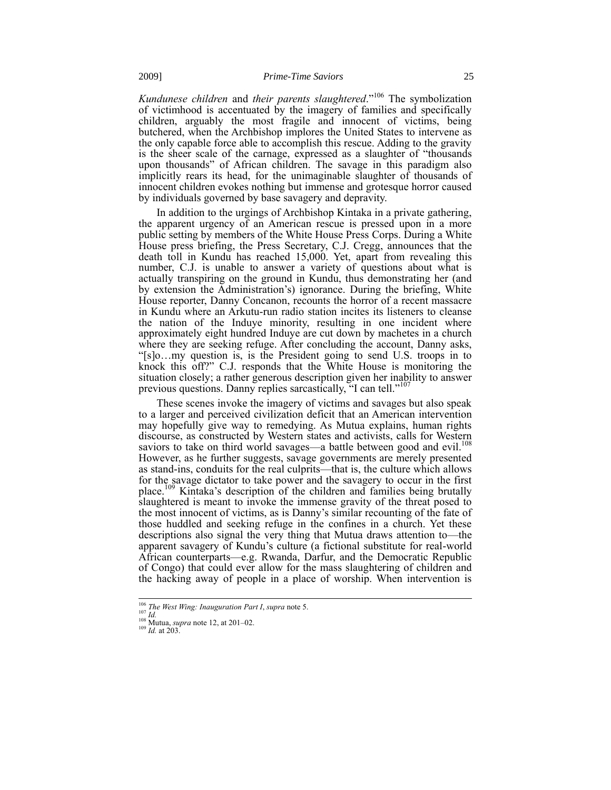*Kundunese children* and *their parents slaughtered*."<sup>106</sup> The symbolization of victimhood is accentuated by the imagery of families and specifically children, arguably the most fragile and innocent of victims, being butchered, when the Archbishop implores the United States to intervene as the only capable force able to accomplish this rescue. Adding to the gravity is the sheer scale of the carnage, expressed as a slaughter of "thousands upon thousands" of African children. The savage in this paradigm also implicitly rears its head, for the unimaginable slaughter of thousands of innocent children evokes nothing but immense and grotesque horror caused by individuals governed by base savagery and depravity.

In addition to the urgings of Archbishop Kintaka in a private gathering, the apparent urgency of an American rescue is pressed upon in a more public setting by members of the White House Press Corps. During a White House press briefing, the Press Secretary, C.J. Cregg, announces that the death toll in Kundu has reached 15,000. Yet, apart from revealing this number, C.J. is unable to answer a variety of questions about what is actually transpiring on the ground in Kundu, thus demonstrating her (and by extension the Administration's) ignorance. During the briefing, White House reporter, Danny Concanon, recounts the horror of a recent massacre in Kundu where an Arkutu-run radio station incites its listeners to cleanse the nation of the Induye minority, resulting in one incident where approximately eight hundred Induye are cut down by machetes in a church where they are seeking refuge. After concluding the account, Danny asks, "[s]o…my question is, is the President going to send U.S. troops in to knock this off?" C.J. responds that the White House is monitoring the situation closely; a rather generous description given her inability to answer previous questions. Danny replies sarcastically, "I can tell."<sup>107</sup>

These scenes invoke the imagery of victims and savages but also speak to a larger and perceived civilization deficit that an American intervention may hopefully give way to remedying. As Mutua explains, human rights discourse, as constructed by Western states and activists, calls for Western saviors to take on third world savages—a battle between good and evil.<sup>108</sup> However, as he further suggests, savage governments are merely presented as stand-ins, conduits for the real culprits—that is, the culture which allows for the savage dictator to take power and the savagery to occur in the first place.<sup>109</sup> Kintaka's description of the children and families being brutally slaughtered is meant to invoke the immense gravity of the threat posed to the most innocent of victims, as is Danny's similar recounting of the fate of those huddled and seeking refuge in the confines in a church. Yet these descriptions also signal the very thing that Mutua draws attention to—the apparent savagery of Kundu's culture (a fictional substitute for real-world African counterparts—e.g. Rwanda, Darfur, and the Democratic Republic of Congo) that could ever allow for the mass slaughtering of children and the hacking away of people in a place of worship. When intervention is

<sup>106</sup> *The West Wing: Inauguration Part I*, *supra* not[e 5.](#page-1-1) <sup>107</sup> *Id.*

<sup>108</sup> Mutua, *supra* not[e 12,](#page-4-0) at 201–02. <sup>109</sup> *Id.* at 203.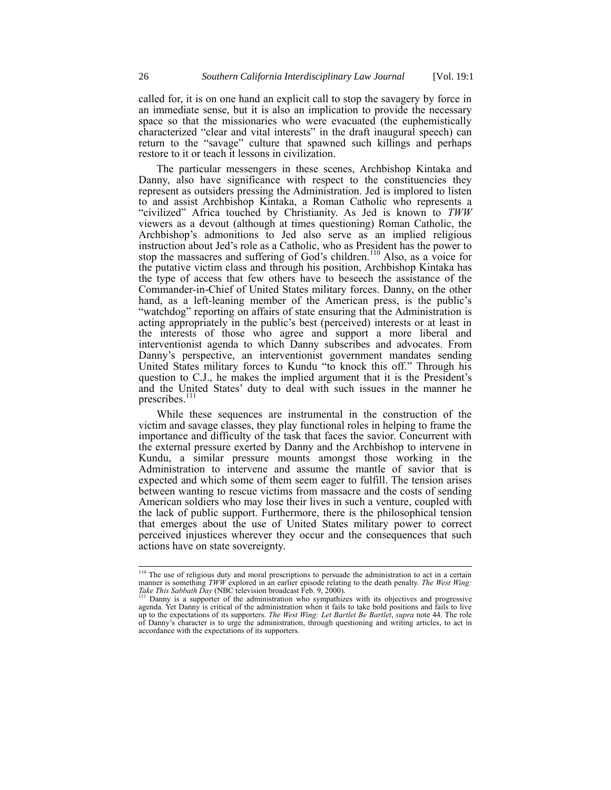called for, it is on one hand an explicit call to stop the savagery by force in an immediate sense, but it is also an implication to provide the necessary space so that the missionaries who were evacuated (the euphemistically characterized "clear and vital interests" in the draft inaugural speech) can return to the "savage" culture that spawned such killings and perhaps restore to it or teach it lessons in civilization.

The particular messengers in these scenes, Archbishop Kintaka and Danny, also have significance with respect to the constituencies they represent as outsiders pressing the Administration. Jed is implored to listen to and assist Archbishop Kintaka, a Roman Catholic who represents a "civilized" Africa touched by Christianity. As Jed is known to *TWW* viewers as a devout (although at times questioning) Roman Catholic, the Archbishop's admonitions to Jed also serve as an implied religious instruction about Jed's role as a Catholic, who as President has the power to stop the massacres and suffering of God's children.<sup>110</sup> Also, as a voice for the putative victim class and through his position, Archbishop Kintaka has the type of access that few others have to beseech the assistance of the Commander-in-Chief of United States military forces. Danny, on the other hand, as a left-leaning member of the American press, is the public's "watchdog" reporting on affairs of state ensuring that the Administration is acting appropriately in the public's best (perceived) interests or at least in the interests of those who agree and support a more liberal and interventionist agenda to which Danny subscribes and advocates. From Danny's perspective, an interventionist government mandates sending United States military forces to Kundu "to knock this off." Through his question to C.J., he makes the implied argument that it is the President's and the United States' duty to deal with such issues in the manner he prescribes.<sup>111</sup>

While these sequences are instrumental in the construction of the victim and savage classes, they play functional roles in helping to frame the importance and difficulty of the task that faces the savior. Concurrent with the external pressure exerted by Danny and the Archbishop to intervene in Kundu, a similar pressure mounts amongst those working in the Administration to intervene and assume the mantle of savior that is expected and which some of them seem eager to fulfill. The tension arises between wanting to rescue victims from massacre and the costs of sending American soldiers who may lose their lives in such a venture, coupled with the lack of public support. Furthermore, there is the philosophical tension that emerges about the use of United States military power to correct perceived injustices wherever they occur and the consequences that such actions have on state sovereignty.

<sup>&</sup>lt;sup>110</sup> The use of religious duty and moral prescriptions to persuade the administration to act in a certain manner is something TWW explored in an earlier episode relating to the death penalty. The West Wing:<br>Take This Sabbath Day (NBC television broadcast Feb. 9, 2000).<br><sup>111</sup> Danny is a supporter of the administration who sympa

agenda. Yet Danny is critical of the administration when it fails to take bold positions and fails to live<br>up to the expectations of its supporters. The West Wing: Let Bartlet Be Bartlet, supra not[e 44.](#page-12-0) The role of Danny's character is to urge the administration, through questioning and writing articles, to act in accordance with the expectations of its supporters.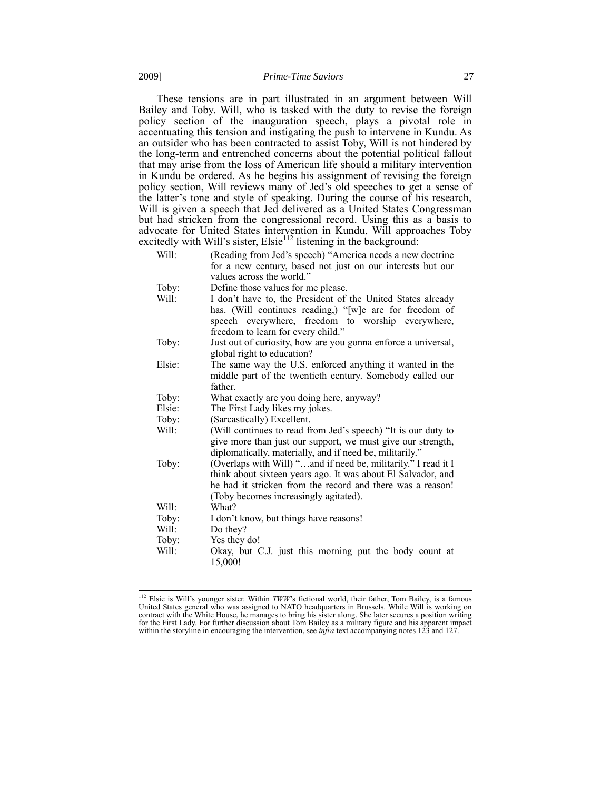These tensions are in part illustrated in an argument between Will Bailey and Toby. Will, who is tasked with the duty to revise the foreign policy section of the inauguration speech, plays a pivotal role in accentuating this tension and instigating the push to intervene in Kundu. As an outsider who has been contracted to assist Toby, Will is not hindered by the long-term and entrenched concerns about the potential political fallout that may arise from the loss of American life should a military intervention in Kundu be ordered. As he begins his assignment of revising the foreign policy section, Will reviews many of Jed's old speeches to get a sense of the latter's tone and style of speaking. During the course of his research, Will is given a speech that Jed delivered as a United States Congressman but had stricken from the congressional record. Using this as a basis to advocate for United States intervention in Kundu, Will approaches Toby excitedly with Will's sister, Elsie<sup>112</sup> listening in the background:

| Will:  | (Reading from Jed's speech) "America needs a new doctrine                                                                                                                                                         |
|--------|-------------------------------------------------------------------------------------------------------------------------------------------------------------------------------------------------------------------|
|        | for a new century, based not just on our interests but our                                                                                                                                                        |
|        | values across the world."                                                                                                                                                                                         |
| Toby:  | Define those values for me please.                                                                                                                                                                                |
| Will:  | I don't have to, the President of the United States already<br>has. (Will continues reading,) "[w]e are for freedom of<br>speech everywhere, freedom to worship everywhere,<br>freedom to learn for every child." |
| Toby:  | Just out of curiosity, how are you gonna enforce a universal,                                                                                                                                                     |
|        | global right to education?                                                                                                                                                                                        |
| Elsie: | The same way the U.S. enforced anything it wanted in the                                                                                                                                                          |
|        | middle part of the twentieth century. Somebody called our                                                                                                                                                         |
|        | father                                                                                                                                                                                                            |
| Toby:  | What exactly are you doing here, anyway?                                                                                                                                                                          |
| Elsie: | The First Lady likes my jokes.                                                                                                                                                                                    |
| Toby:  | (Sarcastically) Excellent.                                                                                                                                                                                        |
| Will:  | (Will continues to read from Jed's speech) "It is our duty to                                                                                                                                                     |
|        | give more than just our support, we must give our strength,                                                                                                                                                       |
|        | diplomatically, materially, and if need be, militarily."                                                                                                                                                          |
| Toby:  | (Overlaps with Will) "and if need be, militarily." I read it I                                                                                                                                                    |
|        | think about sixteen years ago. It was about El Salvador, and<br>he had it stricken from the record and there was a reason!                                                                                        |
|        |                                                                                                                                                                                                                   |
|        | (Toby becomes increasingly agitated).<br>What?                                                                                                                                                                    |
| Will:  |                                                                                                                                                                                                                   |
| Toby:  | I don't know, but things have reasons!                                                                                                                                                                            |
| Will:  | Do they?                                                                                                                                                                                                          |
| Toby:  | Yes they do!                                                                                                                                                                                                      |
| Will:  | Okay, but C.J. just this morning put the body count at                                                                                                                                                            |
|        | 15,000!                                                                                                                                                                                                           |

<sup>&</sup>lt;sup>112</sup> Elsie is Will's younger sister. Within *TWW*'s fictional world, their father, Tom Bailey, is a famous United States general who was assigned to NATO headquarters in Brussels. While Will is working on contract with the White House, he manages to bring his sister along. She later secures a position writing for the First Lady. For further discussion about Tom Bailey as a military figure and his apparent impact within the storyline in encouraging the intervention, see *infra* text accompanying note[s 123](#page-32-0) an[d 127.](#page-33-0)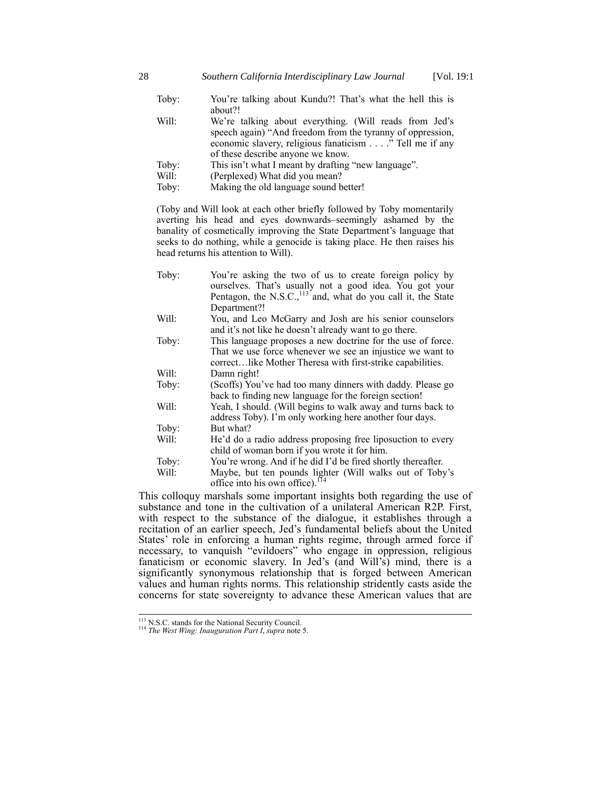- Toby: You're talking about Kundu?! That's what the hell this is about?!
- Will: We're talking about everything. (Will reads from Jed's speech again) "And freedom from the tyranny of oppression, economic slavery, religious fanaticism . . . ." Tell me if any of these describe anyone we know.
- Toby: This isn't what I meant by drafting "new language".
- Will: (Perplexed) What did you mean?
- Toby: Making the old language sound better!

(Toby and Will look at each other briefly followed by Toby momentarily averting his head and eyes downwards–seemingly ashamed by the banality of cosmetically improving the State Department's language that seeks to do nothing, while a genocide is taking place. He then raises his head returns his attention to Will).

| Toby: | You're asking the two of us to create foreign policy by<br>ourselves. That's usually not a good idea. You got your |
|-------|--------------------------------------------------------------------------------------------------------------------|
|       | Pentagon, the N.S.C., <sup>113</sup> and, what do you call it, the State                                           |
|       | Department?!                                                                                                       |
| Will: | You, and Leo McGarry and Josh are his senior counselors<br>and it's not like he doesn't already want to go there.  |
| Toby: | This language proposes a new doctrine for the use of force.                                                        |
|       | That we use force whenever we see an injustice we want to                                                          |
|       | correctlike Mother Theresa with first-strike capabilities.                                                         |
| Will: | Damn right!                                                                                                        |
| Toby: | (Scoffs) You've had too many dinners with daddy. Please go                                                         |
|       | back to finding new language for the foreign section!                                                              |
| Will: | Yeah, I should. (Will begins to walk away and turns back to                                                        |
|       | address Toby). I'm only working here another four days.                                                            |
| Toby: | But what?                                                                                                          |
| Will: | He'd do a radio address proposing free liposuction to every<br>child of woman born if you wrote it for him.        |
| Toby: | You're wrong. And if he did I'd be fired shortly thereafter.                                                       |
| Will: | Maybe, but ten pounds lighter (Will walks out of Toby's<br>office into his own office). <sup>114</sup>             |
|       |                                                                                                                    |

This colloquy marshals some important insights both regarding the use of substance and tone in the cultivation of a unilateral American R2P. First, with respect to the substance of the dialogue, it establishes through a recitation of an earlier speech, Jed's fundamental beliefs about the United States' role in enforcing a human rights regime, through armed force if necessary, to vanquish "evildoers" who engage in oppression, religious fanaticism or economic slavery. In Jed's (and Will's) mind, there is a significantly synonymous relationship that is forged between American values and human rights norms. This relationship stridently casts aside the concerns for state sovereignty to advance these American values that are

<sup>&</sup>lt;sup>113</sup> N.S.C. stands for the National Security Council.

<sup>114</sup> *The West Wing: Inauguration Part I*, *supra* not[e 5.](#page-1-1)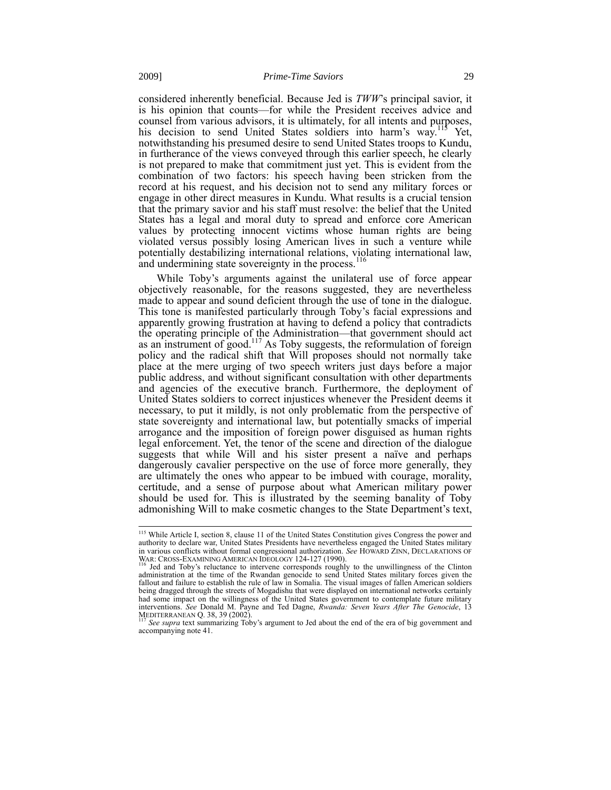considered inherently beneficial. Because Jed is *TWW*'s principal savior, it is his opinion that counts—for while the President receives advice and counsel from various advisors, it is ultimately, for all intents and purposes, his decision to send United States soldiers into harm's way.<sup>115</sup> Yet, notwithstanding his presumed desire to send United States troops to Kundu, in furtherance of the views conveyed through this earlier speech, he clearly is not prepared to make that commitment just yet. This is evident from the combination of two factors: his speech having been stricken from the record at his request, and his decision not to send any military forces or engage in other direct measures in Kundu. What results is a crucial tension that the primary savior and his staff must resolve: the belief that the United States has a legal and moral duty to spread and enforce core American values by protecting innocent victims whose human rights are being violated versus possibly losing American lives in such a venture while potentially destabilizing international relations, violating international law, and undermining state sovereignty in the process.<sup>116</sup>

While Toby's arguments against the unilateral use of force appear objectively reasonable, for the reasons suggested, they are nevertheless made to appear and sound deficient through the use of tone in the dialogue. This tone is manifested particularly through Toby's facial expressions and apparently growing frustration at having to defend a policy that contradicts the operating principle of the Administration—that government should act as an instrument of good.<sup>117</sup> As Toby suggests, the reformulation of foreign policy and the radical shift that Will proposes should not normally take place at the mere urging of two speech writers just days before a major public address, and without significant consultation with other departments and agencies of the executive branch. Furthermore, the deployment of United States soldiers to correct injustices whenever the President deems it necessary, to put it mildly, is not only problematic from the perspective of state sovereignty and international law, but potentially smacks of imperial arrogance and the imposition of foreign power disguised as human rights legal enforcement. Yet, the tenor of the scene and direction of the dialogue suggests that while Will and his sister present a naïve and perhaps dangerously cavalier perspective on the use of force more generally, they are ultimately the ones who appear to be imbued with courage, morality, certitude, and a sense of purpose about what American military power should be used for. This is illustrated by the seeming banality of Toby admonishing Will to make cosmetic changes to the State Department's text,

<sup>&</sup>lt;sup>115</sup> While Article I, section 8, clause 11 of the United States Constitution gives Congress the power and authority to declare war, United States Presidents have nevertheless engaged the United States military in various conflicts without formal congressional authorization. *See* HOWARD ZINN, DECLARATIONS OF

WAR: CROSS-EXAMINING AMERICAN IDEOLOGY 124-127 (1990).<br><sup>116</sup> Jed and Toby's reluctance to intervene corresponds roughly to the unwillingness of the Clinton administration at the time of the Rwandan genocide to send United States military forces given the fallout and failure to establish the rule of law in Somalia. The visual images of fallen American soldiers being dragged through the streets of Mogadishu that were displayed on international networks certainly had some impact on the willingness of the United States government to contemplate future military interventions. *See* Donald M. Payne and Ted Dagne, *Rwanda: Seven Years After The Genocide*, 13<br>MEDITERRANEAN Q. 38, 39 (2002).<br><sup>117</sup> *See supra* text summarizing Toby's argument to Jed about the end of the era of big gov

accompanying not[e 41.](#page-11-0)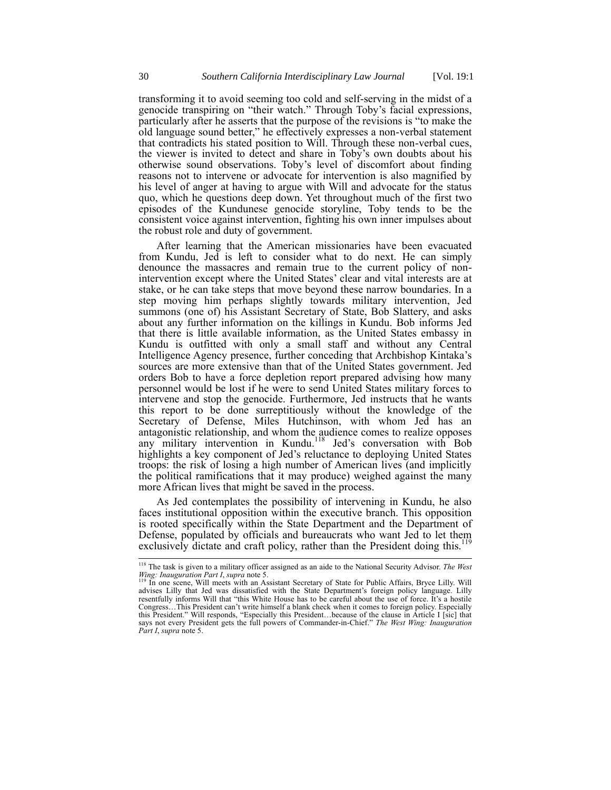transforming it to avoid seeming too cold and self-serving in the midst of a genocide transpiring on "their watch." Through Toby's facial expressions, particularly after he asserts that the purpose of the revisions is "to make the old language sound better," he effectively expresses a non-verbal statement that contradicts his stated position to Will. Through these non-verbal cues, the viewer is invited to detect and share in Toby's own doubts about his otherwise sound observations. Toby's level of discomfort about finding reasons not to intervene or advocate for intervention is also magnified by his level of anger at having to argue with Will and advocate for the status quo, which he questions deep down. Yet throughout much of the first two episodes of the Kundunese genocide storyline, Toby tends to be the consistent voice against intervention, fighting his own inner impulses about the robust role and duty of government.

After learning that the American missionaries have been evacuated from Kundu, Jed is left to consider what to do next. He can simply denounce the massacres and remain true to the current policy of nonintervention except where the United States' clear and vital interests are at stake, or he can take steps that move beyond these narrow boundaries. In a step moving him perhaps slightly towards military intervention, Jed summons (one of) his Assistant Secretary of State, Bob Slattery, and asks about any further information on the killings in Kundu. Bob informs Jed that there is little available information, as the United States embassy in Kundu is outfitted with only a small staff and without any Central Intelligence Agency presence, further conceding that Archbishop Kintaka's sources are more extensive than that of the United States government. Jed orders Bob to have a force depletion report prepared advising how many personnel would be lost if he were to send United States military forces to intervene and stop the genocide. Furthermore, Jed instructs that he wants this report to be done surreptitiously without the knowledge of the Secretary of Defense, Miles Hutchinson, with whom Jed has an antagonistic relationship, and whom the audience comes to realize opposes any military intervention in Kundu.<sup>118</sup> Jed's conversation with Bob highlights a key component of Jed's reluctance to deploying United States troops: the risk of losing a high number of American lives (and implicitly the political ramifications that it may produce) weighed against the many more African lives that might be saved in the process.

As Jed contemplates the possibility of intervening in Kundu, he also faces institutional opposition within the executive branch. This opposition is rooted specifically within the State Department and the Department of Defense, populated by officials and bureaucrats who want Jed to let them exclusively dictate and craft policy, rather than the President doing this.<sup>119</sup>

<span id="page-29-0"></span><sup>118</sup> The task is given to a military officer assigned as an aide to the National Security Advisor. *The West Wing: Inauguration Part I, supra* not[e 5.](#page-1-1)<br><sup>119</sup> In one scene, W<sup>11</sup> .......

<sup>&</sup>lt;sup>119</sup> In one scene, Will meets with an Assistant Secretary of State for Public Affairs, Bryce Lilly. Will advises Lilly that Jed was dissatisfied with the State Department's foreign policy language. Lilly resentfully informs Will that "this White House has to be careful about the use of force. It's a hostile Congress…This President can't write himself a blank check when it comes to foreign policy. Especially this President." Will responds, "Especially this President…because of the clause in Article I [sic] that says not every President gets the full powers of Commander-in-Chief." *The West Wing: Inauguration Part I*, *supra* note [5.](#page-1-1)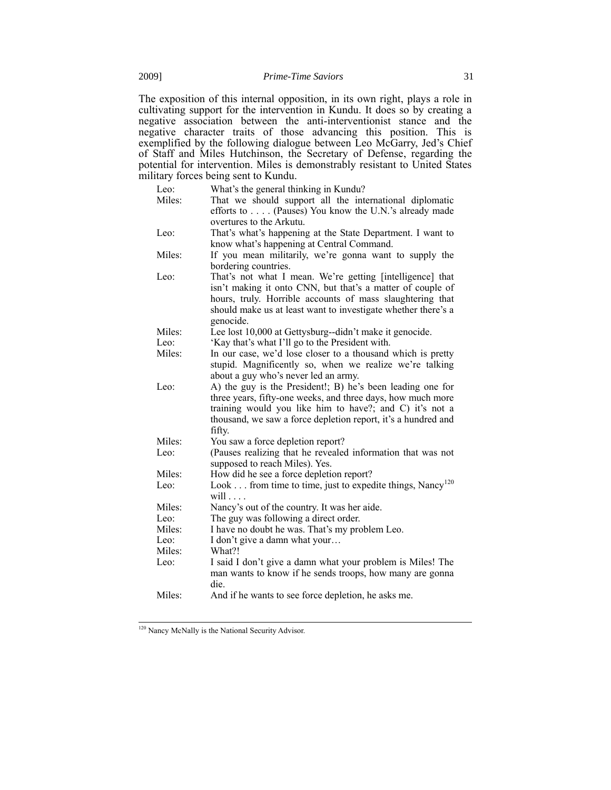The exposition of this internal opposition, in its own right, plays a role in cultivating support for the intervention in Kundu. It does so by creating a negative association between the anti-interventionist stance and the negative character traits of those advancing this position. This is exemplified by the following dialogue between Leo McGarry, Jed's Chief of Staff and Miles Hutchinson, the Secretary of Defense, regarding the potential for intervention. Miles is demonstrably resistant to United States military forces being sent to Kundu.

| Leo:<br>Miles: | What's the general thinking in Kundu?<br>That we should support all the international diplomatic<br>efforts to (Pauses) You know the U.N.'s already made<br>overtures to the Arkutu.                                                                               |
|----------------|--------------------------------------------------------------------------------------------------------------------------------------------------------------------------------------------------------------------------------------------------------------------|
| Leo:           | That's what's happening at the State Department. I want to<br>know what's happening at Central Command.                                                                                                                                                            |
| Miles:         | If you mean militarily, we're gonna want to supply the<br>bordering countries.                                                                                                                                                                                     |
| Leo:           | That's not what I mean. We're getting [intelligence] that<br>isn't making it onto CNN, but that's a matter of couple of<br>hours, truly. Horrible accounts of mass slaughtering that<br>should make us at least want to investigate whether there's a<br>genocide. |
| Miles:         | Lee lost 10,000 at Gettysburg--didn't make it genocide.                                                                                                                                                                                                            |
| Leo:           | 'Kay that's what I'll go to the President with.                                                                                                                                                                                                                    |
| Miles:         | In our case, we'd lose closer to a thousand which is pretty<br>stupid. Magnificently so, when we realize we're talking<br>about a guy who's never led an army.                                                                                                     |
| Leo:           | A) the guy is the President!; B) he's been leading one for<br>three years, fifty-one weeks, and three days, how much more<br>training would you like him to have?; and C) it's not a<br>thousand, we saw a force depletion report, it's a hundred and<br>fifty.    |
| Miles:         | You saw a force depletion report?                                                                                                                                                                                                                                  |
| Leo:           | (Pauses realizing that he revealed information that was not<br>supposed to reach Miles). Yes.                                                                                                                                                                      |
| Miles:         | How did he see a force depletion report?                                                                                                                                                                                                                           |
| Leo:           | Look from time to time, just to expedite things, Nancy <sup>120</sup><br>will $\ldots$                                                                                                                                                                             |
| Miles:         | Nancy's out of the country. It was her aide.                                                                                                                                                                                                                       |
| Leo:           | The guy was following a direct order.                                                                                                                                                                                                                              |
| Miles:         | I have no doubt he was. That's my problem Leo.                                                                                                                                                                                                                     |
| Leo:           | I don't give a damn what your                                                                                                                                                                                                                                      |
| Miles:         | What?!                                                                                                                                                                                                                                                             |
| Leo:           | I said I don't give a damn what your problem is Miles! The<br>man wants to know if he sends troops, how many are gonna<br>die.                                                                                                                                     |
| Miles:         | And if he wants to see force depletion, he asks me.                                                                                                                                                                                                                |
|                |                                                                                                                                                                                                                                                                    |

 $\overline{\phantom{a}}$ <sup>120</sup> Nancy McNally is the National Security Advisor.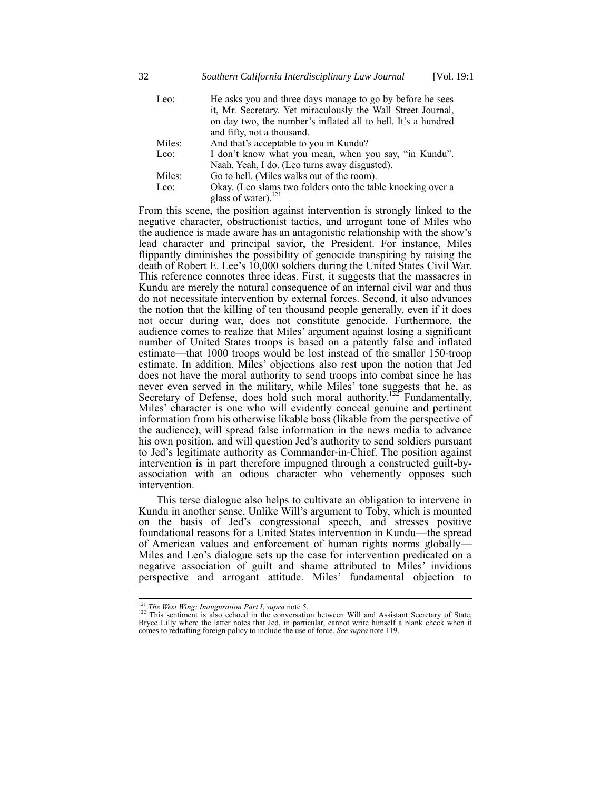| Leo: | He asks you and three days manage to go by before he sees     |
|------|---------------------------------------------------------------|
|      | it, Mr. Secretary. Yet miraculously the Wall Street Journal,  |
|      | on day two, the number's inflated all to hell. It's a hundred |
|      | and fifty, not a thousand.                                    |

Miles: And that's acceptable to you in Kundu?

| Leo:   | I don't know what you mean, when you say, "in Kundu".       |
|--------|-------------------------------------------------------------|
|        | Naah. Yeah, I do. (Leo turns away disgusted).               |
| Miles: | Go to hell. (Miles walks out of the room).                  |
| Leo:   | Okay. (Leo slams two folders onto the table knocking over a |

glass of water).<sup>121</sup>

From this scene, the position against intervention is strongly linked to the negative character, obstructionist tactics, and arrogant tone of Miles who the audience is made aware has an antagonistic relationship with the show's lead character and principal savior, the President. For instance, Miles flippantly diminishes the possibility of genocide transpiring by raising the death of Robert E. Lee's 10,000 soldiers during the United States Civil War. This reference connotes three ideas. First, it suggests that the massacres in Kundu are merely the natural consequence of an internal civil war and thus do not necessitate intervention by external forces. Second, it also advances the notion that the killing of ten thousand people generally, even if it does not occur during war, does not constitute genocide. Furthermore, the audience comes to realize that Miles' argument against losing a significant number of United States troops is based on a patently false and inflated estimate—that 1000 troops would be lost instead of the smaller 150-troop estimate. In addition, Miles' objections also rest upon the notion that Jed does not have the moral authority to send troops into combat since he has never even served in the military, while Miles' tone suggests that he, as Secretary of Defense, does hold such moral authority.<sup>122</sup> Fundamentally, Miles' character is one who will evidently conceal genuine and pertinent information from his otherwise likable boss (likable from the perspective of the audience), will spread false information in the news media to advance his own position, and will question Jed's authority to send soldiers pursuant to Jed's legitimate authority as Commander-in-Chief. The position against intervention is in part therefore impugned through a constructed guilt-byassociation with an odious character who vehemently opposes such intervention.

This terse dialogue also helps to cultivate an obligation to intervene in Kundu in another sense. Unlike Will's argument to Toby, which is mounted on the basis of Jed's congressional speech, and stresses positive foundational reasons for a United States intervention in Kundu—the spread of American values and enforcement of human rights norms globally— Miles and Leo's dialogue sets up the case for intervention predicated on a negative association of guilt and shame attributed to Miles' invidious perspective and arrogant attitude. Miles' fundamental objection to

 $\overline{\phantom{a}}$ 

<sup>&</sup>lt;sup>121</sup> *The West Wing: Inauguration Part I, supra* not[e 5.](#page-1-1)<br><sup>122</sup> This sentiment is also echoed in the conversation between Will and Assistant Secretary of State, Bryce Lilly where the latter notes that Jed, in particular, cannot write himself a blank check when it comes to redrafting foreign policy to include the use of force. *See supra* not[e 119.](#page-29-0)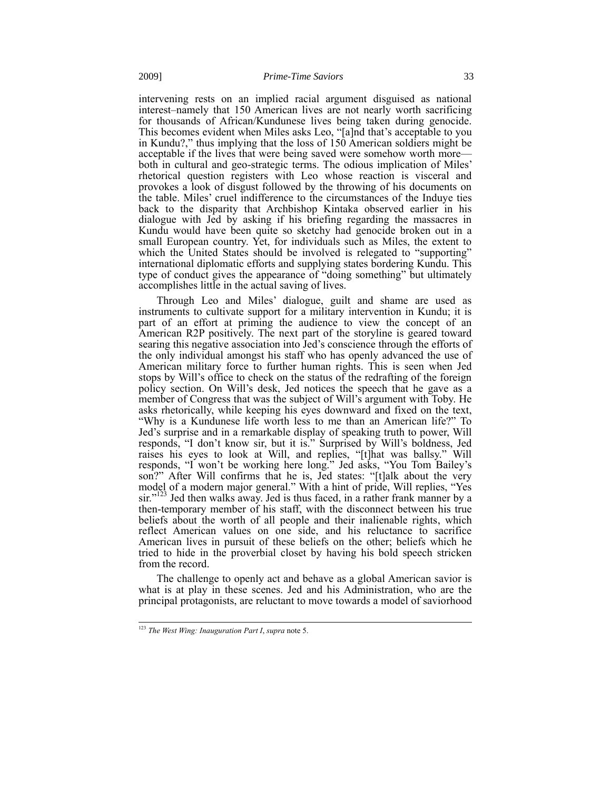intervening rests on an implied racial argument disguised as national interest–namely that 150 American lives are not nearly worth sacrificing for thousands of African/Kundunese lives being taken during genocide. This becomes evident when Miles asks Leo, "[a]nd that's acceptable to you in Kundu?," thus implying that the loss of 150 American soldiers might be acceptable if the lives that were being saved were somehow worth more both in cultural and geo-strategic terms. The odious implication of Miles' rhetorical question registers with Leo whose reaction is visceral and provokes a look of disgust followed by the throwing of his documents on the table. Miles' cruel indifference to the circumstances of the Induye ties back to the disparity that Archbishop Kintaka observed earlier in his dialogue with Jed by asking if his briefing regarding the massacres in Kundu would have been quite so sketchy had genocide broken out in a small European country. Yet, for individuals such as Miles, the extent to which the United States should be involved is relegated to "supporting" international diplomatic efforts and supplying states bordering Kundu. This type of conduct gives the appearance of "doing something" but ultimately accomplishes little in the actual saving of lives.

Through Leo and Miles' dialogue, guilt and shame are used as instruments to cultivate support for a military intervention in Kundu; it is part of an effort at priming the audience to view the concept of an American R2P positively. The next part of the storyline is geared toward searing this negative association into Jed's conscience through the efforts of the only individual amongst his staff who has openly advanced the use of American military force to further human rights. This is seen when Jed stops by Will's office to check on the status of the redrafting of the foreign policy section. On Will's desk, Jed notices the speech that he gave as a member of Congress that was the subject of Will's argument with Toby. He asks rhetorically, while keeping his eyes downward and fixed on the text, "Why is a Kundunese life worth less to me than an American life?" To Jed's surprise and in a remarkable display of speaking truth to power, Will responds, "I don't know sir, but it is." Surprised by Will's boldness, Jed raises his eyes to look at Will, and replies, "[t]hat was ballsy." Will responds, "I won't be working here long." Jed asks, "You Tom Bailey's son?" After Will confirms that he is, Jed states: "[t]alk about the very model of a modern major general." With a hint of pride, Will replies, "Yes sir."<sup>123</sup> Jed then walks away. Jed is thus faced, in a rather frank manner by a then-temporary member of his staff, with the disconnect between his true beliefs about the worth of all people and their inalienable rights, which reflect American values on one side, and his reluctance to sacrifice American lives in pursuit of these beliefs on the other; beliefs which he tried to hide in the proverbial closet by having his bold speech stricken from the record.

<span id="page-32-0"></span>The challenge to openly act and behave as a global American savior is what is at play in these scenes. Jed and his Administration, who are the principal protagonists, are reluctant to move towards a model of saviorhood

<sup>123</sup> *The West Wing: Inauguration Part I*, *supra* not[e 5.](#page-1-1)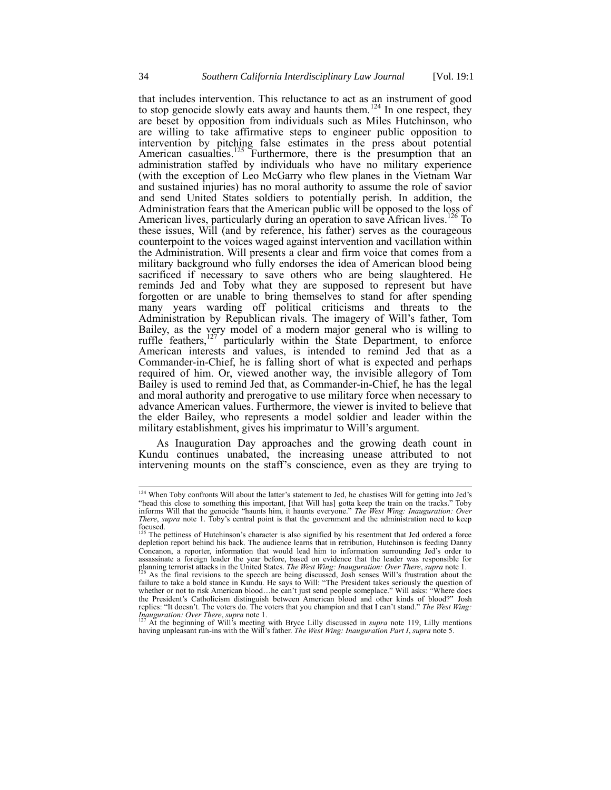<span id="page-33-1"></span>that includes intervention. This reluctance to act as an instrument of good to stop genocide slowly eats away and haunts them.<sup>124</sup> In one respect, they are beset by opposition from individuals such as Miles Hutchinson, who are willing to take affirmative steps to engineer public opposition to intervention by pitching false estimates in the press about potential American casualties.<sup>125</sup> Furthermore, there is the presumption that an administration staffed by individuals who have no military experience (with the exception of Leo McGarry who flew planes in the Vietnam War and sustained injuries) has no moral authority to assume the role of savior and send United States soldiers to potentially perish. In addition, the Administration fears that the American public will be opposed to the loss of American lives, particularly during an operation to save African lives.<sup>126</sup> To these issues, Will (and by reference, his father) serves as the courageous counterpoint to the voices waged against intervention and vacillation within the Administration. Will presents a clear and firm voice that comes from a military background who fully endorses the idea of American blood being sacrificed if necessary to save others who are being slaughtered. He reminds Jed and Toby what they are supposed to represent but have forgotten or are unable to bring themselves to stand for after spending many years warding off political criticisms and threats to the Administration by Republican rivals. The imagery of Will's father, Tom Bailey, as the very model of a modern major general who is willing to ruffle feathers,  $127$  particularly within the State Department, to enforce particularly within the State Department, to enforce American interests and values, is intended to remind Jed that as a Commander-in-Chief, he is falling short of what is expected and perhaps required of him. Or, viewed another way, the invisible allegory of Tom Bailey is used to remind Jed that, as Commander-in-Chief, he has the legal and moral authority and prerogative to use military force when necessary to advance American values. Furthermore, the viewer is invited to believe that the elder Bailey, who represents a model soldier and leader within the military establishment, gives his imprimatur to Will's argument.

<span id="page-33-0"></span>As Inauguration Day approaches and the growing death count in Kundu continues unabated, the increasing unease attributed to not intervening mounts on the staff's conscience, even as they are trying to

*Inauguration: Over There*, *supra* not[e 1.](#page-1-0) <sup>127</sup> At the beginning of Will's meeting with Bryce Lilly discussed in *supra* note [119,](#page-29-0) Lilly mentions having unpleasant run-ins with the Will's father. *The West Wing: Inauguration Part I*, *supra* not[e 5.](#page-1-1)

 $124$  When Toby confronts Will about the latter's statement to Jed, he chastises Will for getting into Jed's "head this close to something this important, [that Will has] gotta keep the train on the tracks." Toby informs Will that the genocide "haunts him, it haunts everyone." *The West Wing: Inauguration: Over There*, *supra* note [1.](#page-1-0) Toby's central point is that the government and the administration need to keep focused.

The pettiness of Hutchinson's character is also signified by his resentment that Jed ordered a force depletion report behind his back. The audience learns that in retribution, Hutchinson is feeding Danny Concanon, a reporter, information that would lead him to information surrounding Jed's order to assassinate a foreign leader the year before, based on evidence that the leader was responsible for planning terrorist attacks in the United States. *The West Wing: Inauguration: Over There*, *supra* note [1.](#page-1-0)

 $^{126}$  As the final revisions to the speech are being discussed, Josh senses Will's frustration about the failure to take a bold stance in Kundu. He says to Will: "The President takes seriously the question of whether or not to risk American blood…he can't just send people someplace." Will asks: "Where does the President's Catholicism distinguish between American blood and other kinds of blood?" Josh replies: "It doesn't. The voters do. The voters that you champion and that I can't stand." *The West Wing:*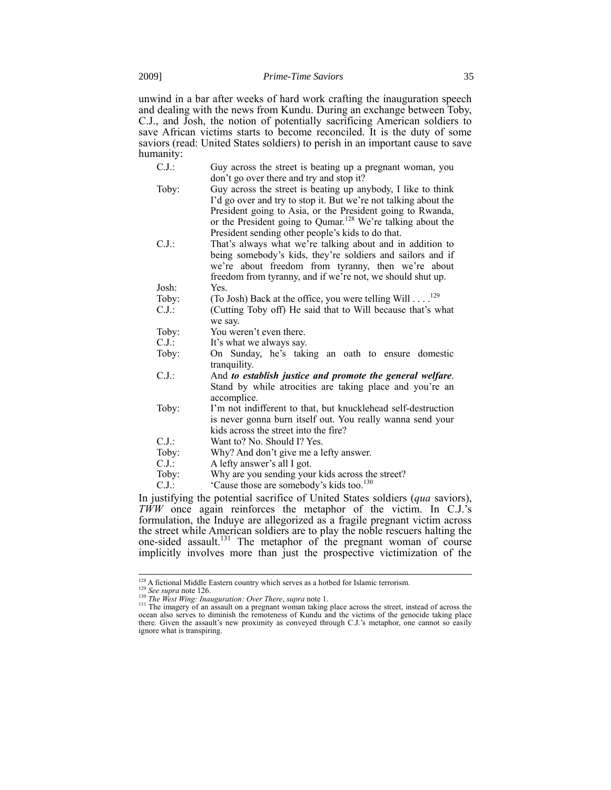unwind in a bar after weeks of hard work crafting the inauguration speech and dealing with the news from Kundu. During an exchange between Toby, C.J., and Josh, the notion of potentially sacrificing American soldiers to save African victims starts to become reconciled. It is the duty of some saviors (read: United States soldiers) to perish in an important cause to save humanity:

- C.J.: Guy across the street is beating up a pregnant woman, you don't go over there and try and stop it?
- Toby: Guy across the street is beating up anybody, I like to think I'd go over and try to stop it. But we're not talking about the President going to Asia, or the President going to Rwanda, or the President going to Qumar.<sup>128</sup> We're talking about the President sending other people's kids to do that.
- C.J.: That's always what we're talking about and in addition to being somebody's kids, they're soldiers and sailors and if we're about freedom from tyranny, then we're about freedom from tyranny, and if we're not, we should shut up. Josh: Yes.

- Toby: (To Josh) Back at the office, you were telling Will  $\ldots$ <sup>129</sup>
- C.J.: (Cutting Toby off) He said that to Will because that's what we say.
- Toby: You weren't even there.
- $C.J.:$  It's what we always say.
- Toby: On Sunday, he's taking an oath to ensure domestic tranquility.
- C.J.: And *to establish justice and promote the general welfare*. Stand by while atrocities are taking place and you're an accomplice.
- Toby: I'm not indifferent to that, but knucklehead self-destruction is never gonna burn itself out. You really wanna send your kids across the street into the fire?
- C.J.: Want to? No. Should I? Yes.
- Toby: Why? And don't give me a lefty answer.
- C.J.: A lefty answer's all I got.
- Toby: Why are you sending your kids across the street?
- C.J.:  $\qquad \qquad$  'Cause those are somebody's kids too.<sup>130</sup>

In justifying the potential sacrifice of United States soldiers (*qua* saviors), *TWW* once again reinforces the metaphor of the victim. In C.J.'s formulation, the Induye are allegorized as a fragile pregnant victim across the street while American soldiers are to play the noble rescuers halting the one-sided assault.<sup>131</sup> The metaphor of the pregnant woman of course implicitly involves more than just the prospective victimization of the

<sup>128</sup> A fictional Middle Eastern country which serves as a hotbed for Islamic terrorism. <sup>129</sup> *See supra* not[e 126.](#page-33-1)

<sup>130</sup> *The West Wing: Inauguration: Over There*, *supra* not[e 1.](#page-1-0)

 $131$  The imagery of an assault on a pregnant woman taking place across the street, instead of across the ocean also serves to diminish the remoteness of Kundu and the victims of the genocide taking place there. Given the assault's new proximity as conveyed through C.J.'s metaphor, one cannot so easily ignore what is transpiring.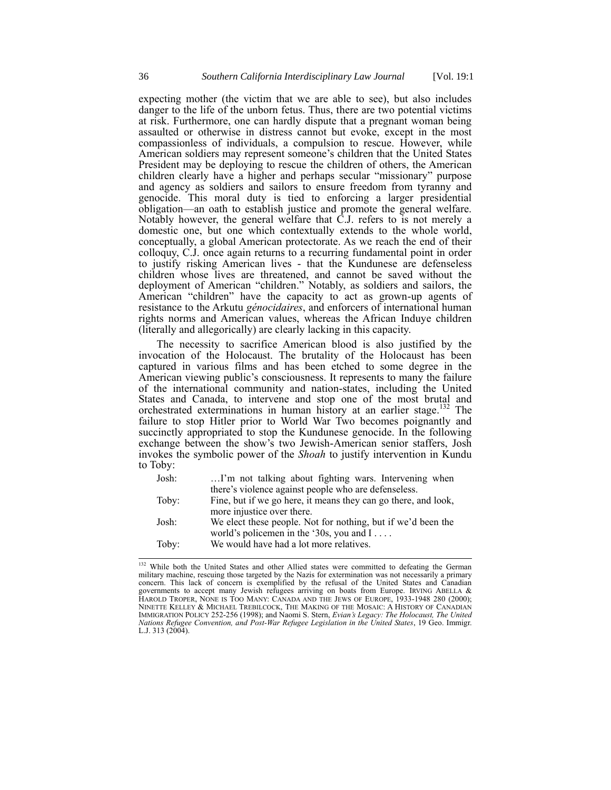expecting mother (the victim that we are able to see), but also includes danger to the life of the unborn fetus. Thus, there are two potential victims at risk. Furthermore, one can hardly dispute that a pregnant woman being assaulted or otherwise in distress cannot but evoke, except in the most compassionless of individuals, a compulsion to rescue. However, while American soldiers may represent someone's children that the United States President may be deploying to rescue the children of others, the American children clearly have a higher and perhaps secular "missionary" purpose and agency as soldiers and sailors to ensure freedom from tyranny and genocide. This moral duty is tied to enforcing a larger presidential obligation—an oath to establish justice and promote the general welfare. Notably however, the general welfare that C.J. refers to is not merely a domestic one, but one which contextually extends to the whole world, conceptually, a global American protectorate. As we reach the end of their colloquy, C.J. once again returns to a recurring fundamental point in order to justify risking American lives - that the Kundunese are defenseless children whose lives are threatened, and cannot be saved without the deployment of American "children." Notably, as soldiers and sailors, the American "children" have the capacity to act as grown-up agents of resistance to the Arkutu *génocidaires*, and enforcers of international human rights norms and American values, whereas the African Induye children (literally and allegorically) are clearly lacking in this capacity.

The necessity to sacrifice American blood is also justified by the invocation of the Holocaust. The brutality of the Holocaust has been captured in various films and has been etched to some degree in the American viewing public's consciousness. It represents to many the failure of the international community and nation-states, including the United States and Canada, to intervene and stop one of the most brutal and orchestrated exterminations in human history at an earlier stage. <sup>132</sup> The failure to stop Hitler prior to World War Two becomes poignantly and succinctly appropriated to stop the Kundunese genocide. In the following exchange between the show's two Jewish-American senior staffers, Josh invokes the symbolic power of the *Shoah* to justify intervention in Kundu to Toby:

| I'm not talking about fighting wars. Intervening when          |
|----------------------------------------------------------------|
| there's violence against people who are defenseless.           |
| Fine, but if we go here, it means they can go there, and look, |
| more injustice over there.                                     |
| We elect these people. Not for nothing, but if we'd been the   |
| world's policemen in the '30s, you and $I \dots$               |
| We would have had a lot more relatives.                        |
|                                                                |

 $\overline{\phantom{a}}$ <sup>132</sup> While both the United States and other Allied states were committed to defeating the German military machine, rescuing those targeted by the Nazis for extermination was not necessarily a primary concern. This lack of concern is exemplified by the refusal of the United States and Canadian governments to accept many Jewish refugees arriving on boats from Europe. IRVING ABELLA & HAROLD TROPER, NONE IS TOO MANY: CANADA AND THE JEWS OF EUROPE, 1933-1948 280 (2000); NINETTE KELLEY & MICHAEL TREBILCOCK, THE MAKING OF THE MOSAIC: A HISTORY OF CANADIAN IMMIGRATION POLICY 252-256 (1998); and Naomi S. Stern, *Evian's Legacy: The Holocaust, The United Nations Refugee Convention, and Post-War Refugee Legislation in the United States*, 19 Geo. Immigr. L.J. 313 (2004).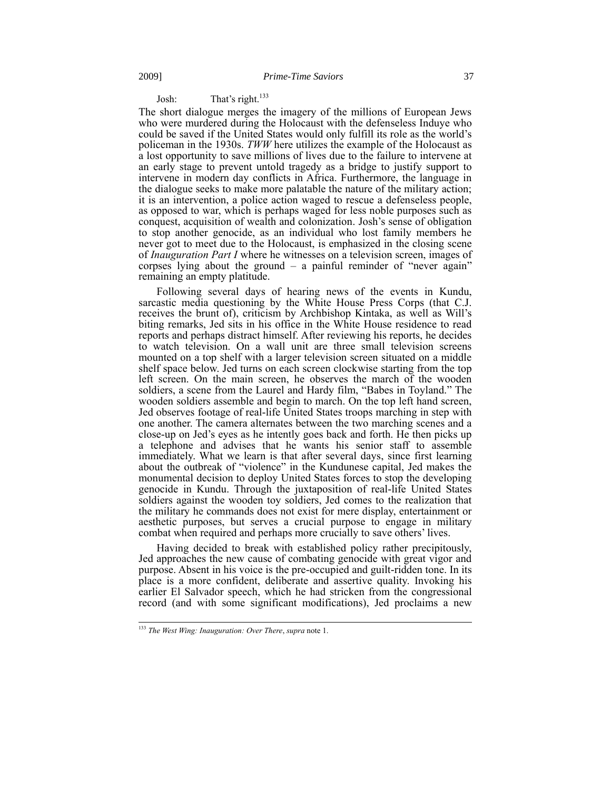# Josh: That's right.<sup>133</sup>

The short dialogue merges the imagery of the millions of European Jews who were murdered during the Holocaust with the defenseless Induye who could be saved if the United States would only fulfill its role as the world's policeman in the 1930s. *TWW* here utilizes the example of the Holocaust as a lost opportunity to save millions of lives due to the failure to intervene at an early stage to prevent untold tragedy as a bridge to justify support to intervene in modern day conflicts in Africa. Furthermore, the language in the dialogue seeks to make more palatable the nature of the military action; it is an intervention, a police action waged to rescue a defenseless people, as opposed to war, which is perhaps waged for less noble purposes such as conquest, acquisition of wealth and colonization. Josh's sense of obligation to stop another genocide, as an individual who lost family members he never got to meet due to the Holocaust, is emphasized in the closing scene of *Inauguration Part I* where he witnesses on a television screen, images of corpses lying about the ground – a painful reminder of "never again" remaining an empty platitude.

Following several days of hearing news of the events in Kundu, sarcastic media questioning by the White House Press Corps (that C.J. receives the brunt of), criticism by Archbishop Kintaka, as well as Will's biting remarks, Jed sits in his office in the White House residence to read reports and perhaps distract himself. After reviewing his reports, he decides to watch television. On a wall unit are three small television screens mounted on a top shelf with a larger television screen situated on a middle shelf space below. Jed turns on each screen clockwise starting from the top left screen. On the main screen, he observes the march of the wooden soldiers, a scene from the Laurel and Hardy film, "Babes in Toyland." The wooden soldiers assemble and begin to march. On the top left hand screen, Jed observes footage of real-life United States troops marching in step with one another. The camera alternates between the two marching scenes and a close-up on Jed's eyes as he intently goes back and forth. He then picks up a telephone and advises that he wants his senior staff to assemble immediately. What we learn is that after several days, since first learning about the outbreak of "violence" in the Kundunese capital, Jed makes the monumental decision to deploy United States forces to stop the developing genocide in Kundu. Through the juxtaposition of real-life United States soldiers against the wooden toy soldiers, Jed comes to the realization that the military he commands does not exist for mere display, entertainment or aesthetic purposes, but serves a crucial purpose to engage in military combat when required and perhaps more crucially to save others' lives.

Having decided to break with established policy rather precipitously, Jed approaches the new cause of combating genocide with great vigor and purpose. Absent in his voice is the pre-occupied and guilt-ridden tone. In its place is a more confident, deliberate and assertive quality. Invoking his earlier El Salvador speech, which he had stricken from the congressional record (and with some significant modifications), Jed proclaims a new

<sup>133</sup> *The West Wing: Inauguration: Over There*, *supra* not[e 1.](#page-1-0)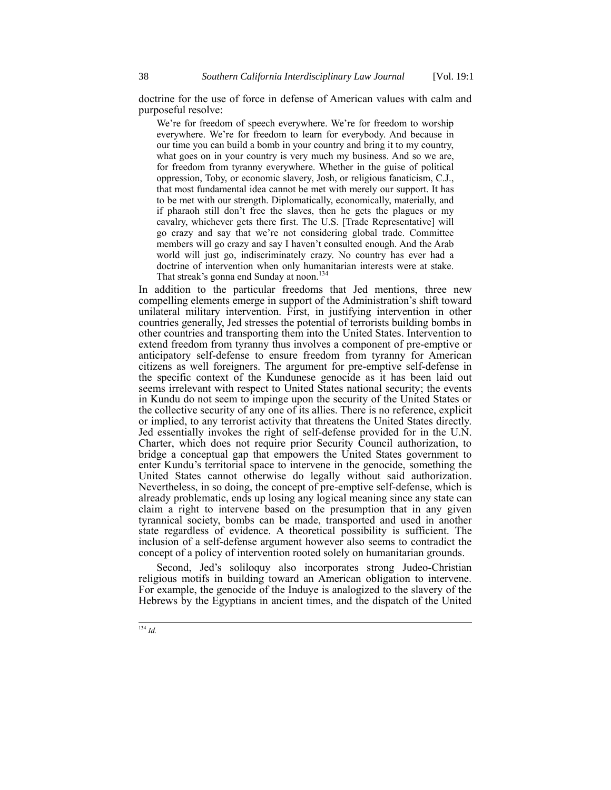doctrine for the use of force in defense of American values with calm and purposeful resolve:

We're for freedom of speech everywhere. We're for freedom to worship everywhere. We're for freedom to learn for everybody. And because in our time you can build a bomb in your country and bring it to my country, what goes on in your country is very much my business. And so we are, for freedom from tyranny everywhere. Whether in the guise of political oppression, Toby, or economic slavery, Josh, or religious fanaticism, C.J., that most fundamental idea cannot be met with merely our support. It has to be met with our strength. Diplomatically, economically, materially, and if pharaoh still don't free the slaves, then he gets the plagues or my cavalry, whichever gets there first. The U.S. [Trade Representative] will go crazy and say that we're not considering global trade. Committee members will go crazy and say I haven't consulted enough. And the Arab world will just go, indiscriminately crazy. No country has ever had a doctrine of intervention when only humanitarian interests were at stake. That streak's gonna end Sunday at noon.<sup>134</sup>

In addition to the particular freedoms that Jed mentions, three new compelling elements emerge in support of the Administration's shift toward unilateral military intervention. First, in justifying intervention in other countries generally, Jed stresses the potential of terrorists building bombs in other countries and transporting them into the United States. Intervention to extend freedom from tyranny thus involves a component of pre-emptive or anticipatory self-defense to ensure freedom from tyranny for American citizens as well foreigners. The argument for pre-emptive self-defense in the specific context of the Kundunese genocide as it has been laid out seems irrelevant with respect to United States national security; the events in Kundu do not seem to impinge upon the security of the United States or the collective security of any one of its allies. There is no reference, explicit or implied, to any terrorist activity that threatens the United States directly. Jed essentially invokes the right of self-defense provided for in the U.N. Charter, which does not require prior Security Council authorization, to bridge a conceptual gap that empowers the United States government to enter Kundu's territorial space to intervene in the genocide, something the United States cannot otherwise do legally without said authorization. Nevertheless, in so doing, the concept of pre-emptive self-defense, which is already problematic, ends up losing any logical meaning since any state can claim a right to intervene based on the presumption that in any given tyrannical society, bombs can be made, transported and used in another state regardless of evidence. A theoretical possibility is sufficient. The inclusion of a self-defense argument however also seems to contradict the concept of a policy of intervention rooted solely on humanitarian grounds.

Second, Jed's soliloquy also incorporates strong Judeo-Christian religious motifs in building toward an American obligation to intervene. For example, the genocide of the Induye is analogized to the slavery of the Hebrews by the Egyptians in ancient times, and the dispatch of the United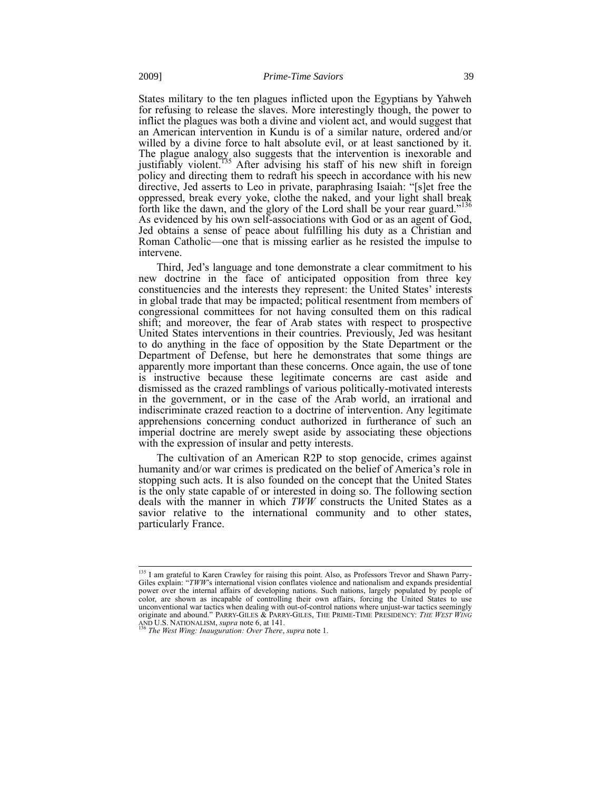States military to the ten plagues inflicted upon the Egyptians by Yahweh for refusing to release the slaves. More interestingly though, the power to inflict the plagues was both a divine and violent act, and would suggest that an American intervention in Kundu is of a similar nature, ordered and/or willed by a divine force to halt absolute evil, or at least sanctioned by it. The plague analogy also suggests that the intervention is inexorable and justifiably violent.<sup>135</sup> After advising his staff of his new shift in foreign policy and directing them to redraft his speech in accordance with his new directive, Jed asserts to Leo in private, paraphrasing Isaiah: "[s]et free the oppressed, break every yoke, clothe the naked, and your light shall break forth like the dawn, and the glory of the Lord shall be your rear guard."<sup>136</sup> As evidenced by his own self-associations with God or as an agent of God, Jed obtains a sense of peace about fulfilling his duty as a Christian and Roman Catholic—one that is missing earlier as he resisted the impulse to intervene.

Third, Jed's language and tone demonstrate a clear commitment to his new doctrine in the face of anticipated opposition from three key constituencies and the interests they represent: the United States' interests in global trade that may be impacted; political resentment from members of congressional committees for not having consulted them on this radical shift; and moreover, the fear of Arab states with respect to prospective United States interventions in their countries. Previously, Jed was hesitant to do anything in the face of opposition by the State Department or the Department of Defense, but here he demonstrates that some things are apparently more important than these concerns. Once again, the use of tone is instructive because these legitimate concerns are cast aside and dismissed as the crazed ramblings of various politically-motivated interests in the government, or in the case of the Arab world, an irrational and indiscriminate crazed reaction to a doctrine of intervention. Any legitimate apprehensions concerning conduct authorized in furtherance of such an imperial doctrine are merely swept aside by associating these objections with the expression of insular and petty interests.

The cultivation of an American R2P to stop genocide, crimes against humanity and/or war crimes is predicated on the belief of America's role in stopping such acts. It is also founded on the concept that the United States is the only state capable of or interested in doing so. The following section deals with the manner in which *TWW* constructs the United States as a savior relative to the international community and to other states, particularly France.

<sup>&</sup>lt;sup>135</sup> I am grateful to Karen Crawley for raising this point. Also, as Professors Trevor and Shawn Parry-Giles explain: "*TWW*'s international vision conflates violence and nationalism and expands presidential power over the internal affairs of developing nations. Such nations, largely populated by people of color, are shown as incapable of controlling their own affairs, forcing the United States to use unconventional war tactics when dealing with out-of-control nations where unjust-war tactics seemingly<br>originate and abound." PARRY-GILES & PARRY-GILES, THE PRIME-TIME PRESIDENCY: THE WEST WING

AND U.S. NATIONALISM, *supra* not[e 6,](#page-3-0) at 141. <sup>136</sup> *The West Wing: Inauguration: Over There*, *supra* not[e 1.](#page-1-0)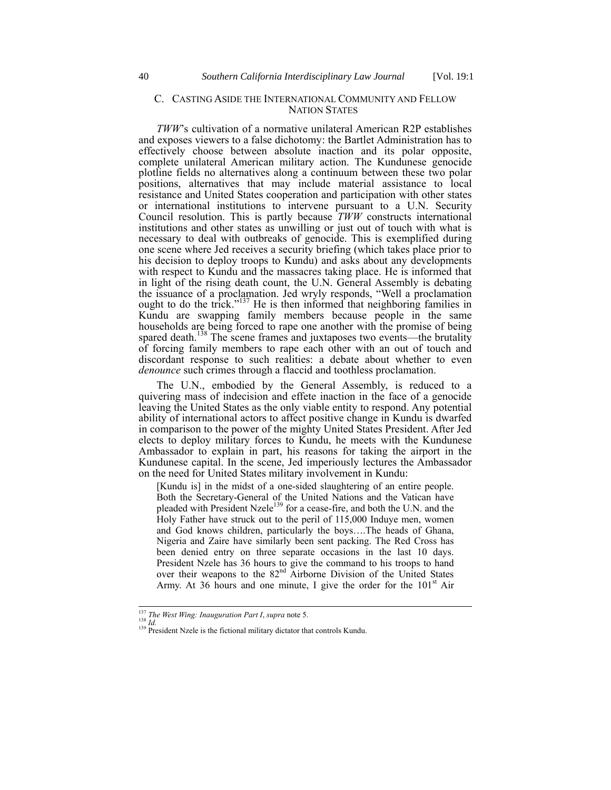## C. CASTING ASIDE THE INTERNATIONAL COMMUNITY AND FELLOW NATION STATES

*TWW*'s cultivation of a normative unilateral American R2P establishes and exposes viewers to a false dichotomy: the Bartlet Administration has to effectively choose between absolute inaction and its polar opposite, complete unilateral American military action. The Kundunese genocide plotline fields no alternatives along a continuum between these two polar positions, alternatives that may include material assistance to local resistance and United States cooperation and participation with other states or international institutions to intervene pursuant to a U.N. Security Council resolution. This is partly because *TWW* constructs international institutions and other states as unwilling or just out of touch with what is necessary to deal with outbreaks of genocide. This is exemplified during one scene where Jed receives a security briefing (which takes place prior to his decision to deploy troops to Kundu) and asks about any developments with respect to Kundu and the massacres taking place. He is informed that in light of the rising death count, the U.N. General Assembly is debating the issuance of a proclamation. Jed wryly responds, "Well a proclamation ought to do the trick."<sup>137</sup> He is then informed that neighboring families in Kundu are swapping family members because people in the same households are being forced to rape one another with the promise of being spared death.<sup>138</sup> The scene frames and juxtaposes two events—the brutality of forcing family members to rape each other with an out of touch and discordant response to such realities: a debate about whether to even *denounce* such crimes through a flaccid and toothless proclamation.

The U.N., embodied by the General Assembly, is reduced to a quivering mass of indecision and effete inaction in the face of a genocide leaving the United States as the only viable entity to respond. Any potential ability of international actors to affect positive change in Kundu is dwarfed in comparison to the power of the mighty United States President. After Jed elects to deploy military forces to Kundu, he meets with the Kundunese Ambassador to explain in part, his reasons for taking the airport in the Kundunese capital. In the scene, Jed imperiously lectures the Ambassador on the need for United States military involvement in Kundu:

[Kundu is] in the midst of a one-sided slaughtering of an entire people. Both the Secretary-General of the United Nations and the Vatican have pleaded with President Nzele<sup>139</sup> for a cease-fire, and both the U.N. and the Holy Father have struck out to the peril of 115,000 Induye men, women and God knows children, particularly the boys….The heads of Ghana, Nigeria and Zaire have similarly been sent packing. The Red Cross has been denied entry on three separate occasions in the last 10 days. President Nzele has 36 hours to give the command to his troops to hand over their weapons to the  $82<sup>nd</sup>$  Airborne Division of the United States Army. At 36 hours and one minute, I give the order for the  $101<sup>st</sup>$  Air

<sup>137</sup> *The West Wing: Inauguration Part I*, *supra* not[e 5.](#page-1-1)

<sup>138</sup> *Id.*

 $\frac{139}{139}$  President Nzele is the fictional military dictator that controls Kundu.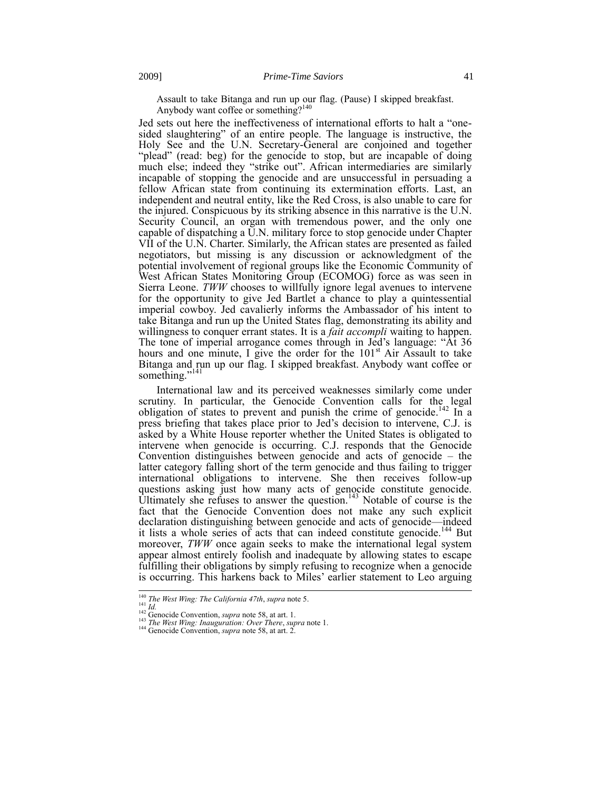Assault to take Bitanga and run up our flag. (Pause) I skipped breakfast. Anybody want coffee or something?<sup>140</sup>

Jed sets out here the ineffectiveness of international efforts to halt a "onesided slaughtering" of an entire people. The language is instructive, the Holy See and the U.N. Secretary-General are conjoined and together "plead" (read: beg) for the genocide to stop, but are incapable of doing much else; indeed they "strike out". African intermediaries are similarly incapable of stopping the genocide and are unsuccessful in persuading a fellow African state from continuing its extermination efforts. Last, an independent and neutral entity, like the Red Cross, is also unable to care for the injured. Conspicuous by its striking absence in this narrative is the U.N. Security Council, an organ with tremendous power, and the only one capable of dispatching a U.N. military force to stop genocide under Chapter VII of the U.N. Charter. Similarly, the African states are presented as failed negotiators, but missing is any discussion or acknowledgment of the potential involvement of regional groups like the Economic Community of West African States Monitoring Group (ECOMOG) force as was seen in Sierra Leone. *TWW* chooses to willfully ignore legal avenues to intervene for the opportunity to give Jed Bartlet a chance to play a quintessential imperial cowboy. Jed cavalierly informs the Ambassador of his intent to take Bitanga and run up the United States flag, demonstrating its ability and willingness to conquer errant states. It is a *fait accompli* waiting to happen. The tone of imperial arrogance comes through in Jed's language: "At 36 hours and one minute, I give the order for the  $101<sup>st</sup>$  Air Assault to take Bitanga and run up our flag. I skipped breakfast. Anybody want coffee or something."<sup>141</sup>

International law and its perceived weaknesses similarly come under scrutiny. In particular, the Genocide Convention calls for the legal obligation of states to prevent and punish the crime of genocide.<sup>142</sup> In a press briefing that takes place prior to Jed's decision to intervene, C.J. is asked by a White House reporter whether the United States is obligated to intervene when genocide is occurring. C.J. responds that the Genocide Convention distinguishes between genocide and acts of genocide – the latter category falling short of the term genocide and thus failing to trigger international obligations to intervene. She then receives follow-up questions asking just how many acts of genocide constitute genocide. Ultimately she refuses to answer the question.<sup>143</sup> Notable of course is the fact that the Genocide Convention does not make any such explicit declaration distinguishing between genocide and acts of genocide—indeed it lists a whole series of acts that can indeed constitute genocide.<sup>144</sup> But moreover, *TWW* once again seeks to make the international legal system appear almost entirely foolish and inadequate by allowing states to escape fulfilling their obligations by simply refusing to recognize when a genocide is occurring. This harkens back to Miles' earlier statement to Leo arguing

<sup>140</sup> *The West Wing: The California 47th*, *supra* note [5.](#page-1-1)

<sup>&</sup>lt;sup>141</sup> *Id.* Genocide Convention, *supra* note [58,](#page-16-2) at art. 1.

<sup>143</sup> *The West Wing: Inauguration: Over There*, *supra* not[e 1.](#page-1-0)

<sup>144</sup> Genocide Convention, *supra* not[e 58,](#page-16-2) at art. 2.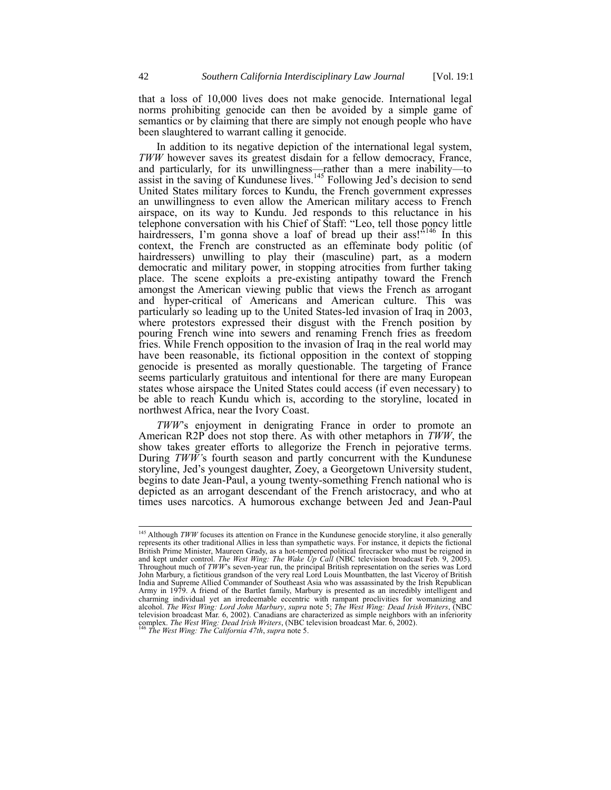that a loss of 10,000 lives does not make genocide. International legal norms prohibiting genocide can then be avoided by a simple game of semantics or by claiming that there are simply not enough people who have been slaughtered to warrant calling it genocide.

In addition to its negative depiction of the international legal system, *TWW* however saves its greatest disdain for a fellow democracy, France, and particularly, for its unwillingness—rather than a mere inability—to assist in the saving of Kundunese lives.<sup>145</sup> Following Jed's decision to send United States military forces to Kundu, the French government expresses an unwillingness to even allow the American military access to French airspace, on its way to Kundu. Jed responds to this reluctance in his telephone conversation with his Chief of Staff: "Leo, tell those poncy little hairdressers, I'm gonna shove a loaf of bread up their ass!"<sup>146</sup> In this context, the French are constructed as an effeminate body politic (of hairdressers) unwilling to play their (masculine) part, as a modern democratic and military power, in stopping atrocities from further taking place. The scene exploits a pre-existing antipathy toward the French amongst the American viewing public that views the French as arrogant and hyper-critical of Americans and American culture. This was particularly so leading up to the United States-led invasion of Iraq in 2003, where protestors expressed their disgust with the French position by pouring French wine into sewers and renaming French fries as freedom fries. While French opposition to the invasion of Iraq in the real world may have been reasonable, its fictional opposition in the context of stopping genocide is presented as morally questionable. The targeting of France seems particularly gratuitous and intentional for there are many European states whose airspace the United States could access (if even necessary) to be able to reach Kundu which is, according to the storyline, located in northwest Africa, near the Ivory Coast.

*TWW*'s enjoyment in denigrating France in order to promote an American R2P does not stop there. As with other metaphors in *TWW*, the show takes greater efforts to allegorize the French in pejorative terms. During *TWW'*s fourth season and partly concurrent with the Kundunese storyline, Jed's youngest daughter, Zoey, a Georgetown University student, begins to date Jean-Paul, a young twenty-something French national who is depicted as an arrogant descendant of the French aristocracy, and who at times uses narcotics. A humorous exchange between Jed and Jean-Paul

<sup>&</sup>lt;sup>145</sup> Although *TWW* focuses its attention on France in the Kundunese genocide storyline, it also generally represents its other traditional Allies in less than sympathetic ways. For instance, it depicts the fictional British Prime Minister, Maureen Grady, as a hot-tempered political firecracker who must be reigned in and kept under control. *The West Wing: The Wake Up Call* (NBC television broadcast Feb. 9, 2005). Throughout much of *TWW*'s seven-year run, the principal British representation on the series was Lord John Marbury, a fictitious grandson of the very real Lord Louis Mountbatten, the last Viceroy of British<br>India and Supreme Allied Commander of Southeast Asia who was assassinated by the Irish Republican<br>Army in 1979. A fri charming individual yet an irredeemable eccentric with rampant proclivities for womanizing and alcohol. *The West Wing: Lord John Marbury*, *supra* note [5;](#page-1-1) *The West Wing: Dead Irish Writers*, (NBC television broadcast Mar. 6, 2002). Canadians are characterized as simple neighbors with an inferiority complex. *The West Wing: Dead Irish Writers*, (NBC television broadcast Mar. 6, 2002). <sup>146</sup> *The West Wing: The California 47th*, *supra* not[e 5.](#page-1-1)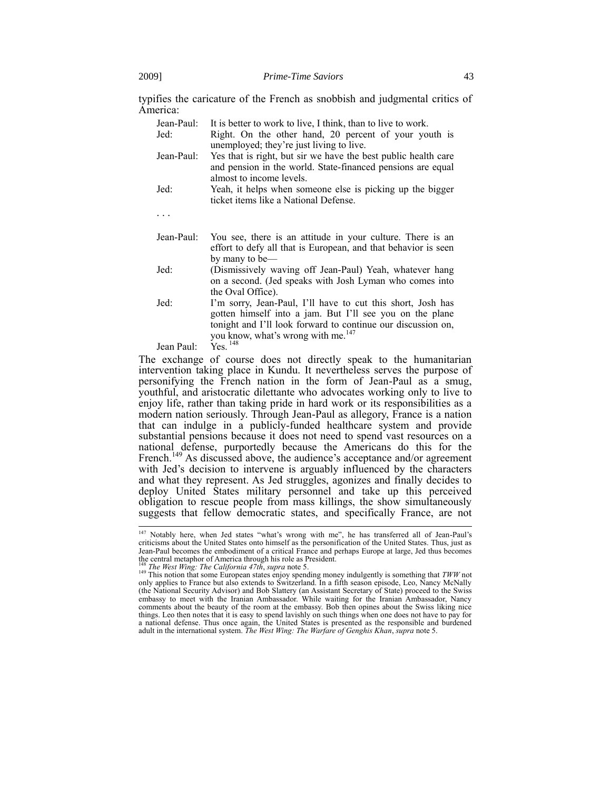typifies the caricature of the French as snobbish and judgmental critics of America:

| Jean-Paul: | It is better to work to live, I think, than to live to work.                                                                                                                                                                              |
|------------|-------------------------------------------------------------------------------------------------------------------------------------------------------------------------------------------------------------------------------------------|
| Jed:       | Right. On the other hand, 20 percent of your youth is<br>unemployed; they're just living to live.                                                                                                                                         |
| Jean-Paul: | Yes that is right, but sir we have the best public health care<br>and pension in the world. State-financed pensions are equal<br>almost to income levels.                                                                                 |
| Jed:       | Yeah, it helps when someone else is picking up the bigger<br>ticket items like a National Defense.                                                                                                                                        |
|            |                                                                                                                                                                                                                                           |
| Jean-Paul: | You see, there is an attitude in your culture. There is an<br>effort to defy all that is European, and that behavior is seen<br>by many to be—                                                                                            |
| Jed:       | (Dismissively waving off Jean-Paul) Yeah, whatever hang<br>on a second. (Jed speaks with Josh Lyman who comes into<br>the Oval Office).                                                                                                   |
| Jed:       | I'm sorry, Jean-Paul, I'll have to cut this short, Josh has<br>gotten himself into a jam. But I'll see you on the plane<br>tonight and I'll look forward to continue our discussion on,<br>you know, what's wrong with me. <sup>147</sup> |
| Jean Paul: | $Yes.$ <sup>148</sup>                                                                                                                                                                                                                     |

Jean Paul:

 $\overline{\phantom{a}}$ 

The exchange of course does not directly speak to the humanitarian intervention taking place in Kundu. It nevertheless serves the purpose of personifying the French nation in the form of Jean-Paul as a smug, youthful, and aristocratic dilettante who advocates working only to live to enjoy life, rather than taking pride in hard work or its responsibilities as a modern nation seriously. Through Jean-Paul as allegory, France is a nation that can indulge in a publicly-funded healthcare system and provide substantial pensions because it does not need to spend vast resources on a national defense, purportedly because the Americans do this for the French.<sup>149</sup> As discussed above, the audience's acceptance and/or agreement with Jed's decision to intervene is arguably influenced by the characters and what they represent. As Jed struggles, agonizes and finally decides to deploy United States military personnel and take up this perceived obligation to rescue people from mass killings, the show simultaneously suggests that fellow democratic states, and specifically France, are not

<sup>&</sup>lt;sup>147</sup> Notably here, when Jed states "what's wrong with me", he has transferred all of Jean-Paul's criticisms about the United States onto himself as the personification of the United States. Thus, just as Jean-Paul becomes the embodiment of a critical France and perhaps Europe at large, Jed thus becomes the central metaphor of America through his role as President. <sup>148</sup> *The West Wing: The California 47th*, *supra* not[e 5.](#page-1-1)

<sup>&</sup>lt;sup>149</sup> This notion that some European states enjoy spending money indulgently is something that  $TWW$  not only applies to France but also extends to Switzerland. In a fifth season episode, Leo, Nancy McNally (the National S embassy to meet with the Iranian Ambassador. While waiting for the Iranian Ambassador, Nancy comments about the beauty of the room at the embassy. Bob then opines about the Swiss liking nice things. Leo then notes that it is easy to spend lavishly on such things when one does not have to pay for a national defense. Thus once again, the United States is presented as the responsible and burdened adult in the international system. *The West Wing: The Warfare of Genghis Khan*, *supra* note [5.](#page-1-1)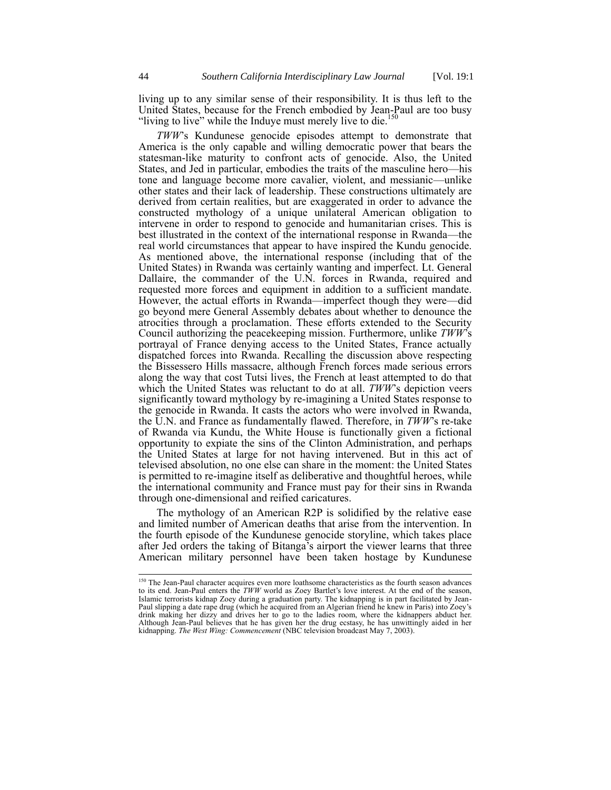living up to any similar sense of their responsibility. It is thus left to the United States, because for the French embodied by Jean-Paul are too busy "living to live" while the Induye must merely live to die.<sup>150</sup>

*TWW*'s Kundunese genocide episodes attempt to demonstrate that America is the only capable and willing democratic power that bears the statesman-like maturity to confront acts of genocide. Also, the United States, and Jed in particular, embodies the traits of the masculine hero—his tone and language become more cavalier, violent, and messianic—unlike other states and their lack of leadership. These constructions ultimately are derived from certain realities, but are exaggerated in order to advance the constructed mythology of a unique unilateral American obligation to intervene in order to respond to genocide and humanitarian crises. This is best illustrated in the context of the international response in Rwanda—the real world circumstances that appear to have inspired the Kundu genocide. As mentioned above, the international response (including that of the United States) in Rwanda was certainly wanting and imperfect. Lt. General Dallaire, the commander of the U.N. forces in Rwanda, required and requested more forces and equipment in addition to a sufficient mandate. However, the actual efforts in Rwanda—imperfect though they were—did go beyond mere General Assembly debates about whether to denounce the atrocities through a proclamation. These efforts extended to the Security Council authorizing the peacekeeping mission. Furthermore, unlike *TWW*'s portrayal of France denying access to the United States, France actually dispatched forces into Rwanda. Recalling the discussion above respecting the Bissessero Hills massacre, although French forces made serious errors along the way that cost Tutsi lives, the French at least attempted to do that which the United States was reluctant to do at all. *TWW*'s depiction veers significantly toward mythology by re-imagining a United States response to the genocide in Rwanda. It casts the actors who were involved in Rwanda, the U.N. and France as fundamentally flawed. Therefore, in *TWW*'s re-take of Rwanda via Kundu, the White House is functionally given a fictional opportunity to expiate the sins of the Clinton Administration, and perhaps the United States at large for not having intervened. But in this act of televised absolution, no one else can share in the moment: the United States is permitted to re-imagine itself as deliberative and thoughtful heroes, while the international community and France must pay for their sins in Rwanda through one-dimensional and reified caricatures.

The mythology of an American R2P is solidified by the relative ease and limited number of American deaths that arise from the intervention. In the fourth episode of the Kundunese genocide storyline, which takes place after Jed orders the taking of Bitanga's airport the viewer learns that three American military personnel have been taken hostage by Kundunese

<sup>&</sup>lt;sup>150</sup> The Jean-Paul character acquires even more loathsome characteristics as the fourth season advances to its end. Jean-Paul enters the *TWW* world as Zoey Bartlet's love interest. At the end of the season, Islamic terrorists kidnap Zoey during a graduation party. The kidnapping is in part facilitated by Jean-Paul slipping a date rape drug (which he acquired from an Algerian friend he knew in Paris) into Zoey's drink making her dizzy and drives her to go to the ladies room, where the kidnappers abduct her. Although Jean-Paul believes that he has given her the drug ecstasy, he has unwittingly aided in her kidnapping. *The West Wing: Commencement* (NBC television broadcast May 7, 2003).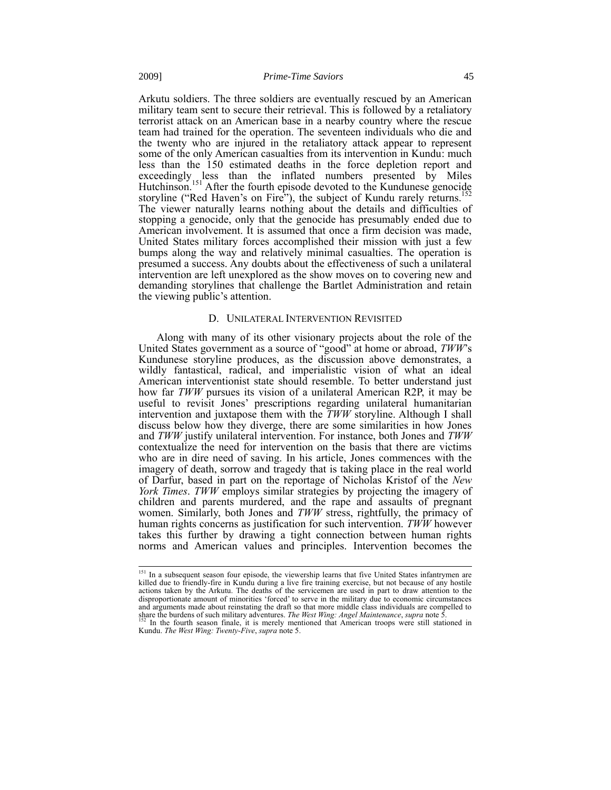Arkutu soldiers. The three soldiers are eventually rescued by an American military team sent to secure their retrieval. This is followed by a retaliatory terrorist attack on an American base in a nearby country where the rescue team had trained for the operation. The seventeen individuals who die and the twenty who are injured in the retaliatory attack appear to represent some of the only American casualties from its intervention in Kundu: much less than the 150 estimated deaths in the force depletion report and exceedingly less than the inflated numbers presented by Miles Hutchinson.<sup>151</sup> After the fourth episode devoted to the Kundunese genocide storyline ("Red Haven's on Fire"), the subject of Kundu rarely returns.<sup>152</sup> The viewer naturally learns nothing about the details and difficulties of stopping a genocide, only that the genocide has presumably ended due to American involvement. It is assumed that once a firm decision was made, United States military forces accomplished their mission with just a few bumps along the way and relatively minimal casualties. The operation is presumed a success. Any doubts about the effectiveness of such a unilateral intervention are left unexplored as the show moves on to covering new and demanding storylines that challenge the Bartlet Administration and retain the viewing public's attention.

# D. UNILATERAL INTERVENTION REVISITED

Along with many of its other visionary projects about the role of the United States government as a source of "good" at home or abroad, *TWW*'s Kundunese storyline produces, as the discussion above demonstrates, a wildly fantastical, radical, and imperialistic vision of what an ideal American interventionist state should resemble. To better understand just how far *TWW* pursues its vision of a unilateral American R2P, it may be useful to revisit Jones' prescriptions regarding unilateral humanitarian intervention and juxtapose them with the *TWW* storyline. Although I shall discuss below how they diverge, there are some similarities in how Jones and *TWW* justify unilateral intervention. For instance, both Jones and *TWW* contextualize the need for intervention on the basis that there are victims who are in dire need of saving. In his article, Jones commences with the imagery of death, sorrow and tragedy that is taking place in the real world of Darfur, based in part on the reportage of Nicholas Kristof of the *New York Times*. *TWW* employs similar strategies by projecting the imagery of children and parents murdered, and the rape and assaults of pregnant women. Similarly, both Jones and *TWW* stress, rightfully, the primacy of human rights concerns as justification for such intervention. *TWW* however takes this further by drawing a tight connection between human rights norms and American values and principles. Intervention becomes the

<sup>&</sup>lt;sup>151</sup> In a subsequent season four episode, the viewership learns that five United States infantrymen are killed due to friendly-fire in Kundu during a live fire training exercise, but not because of any hostile actions taken by the Arkutu. The deaths of the servicemen are used in part to draw attention to the disproportionate amount of minorities 'forced' to serve in the military due to economic circumstances and arguments made about reinstating the draft so that more middle class individuals are compelled to share the burdens of such military adventures. *The West Wing: Angel Maintenance, supra* not[e 5.](#page-1-1)<br><sup>152</sup> In the fourth sea

Kundu. *The West Wing: Twenty-Five*, *supra* not[e 5.](#page-1-1)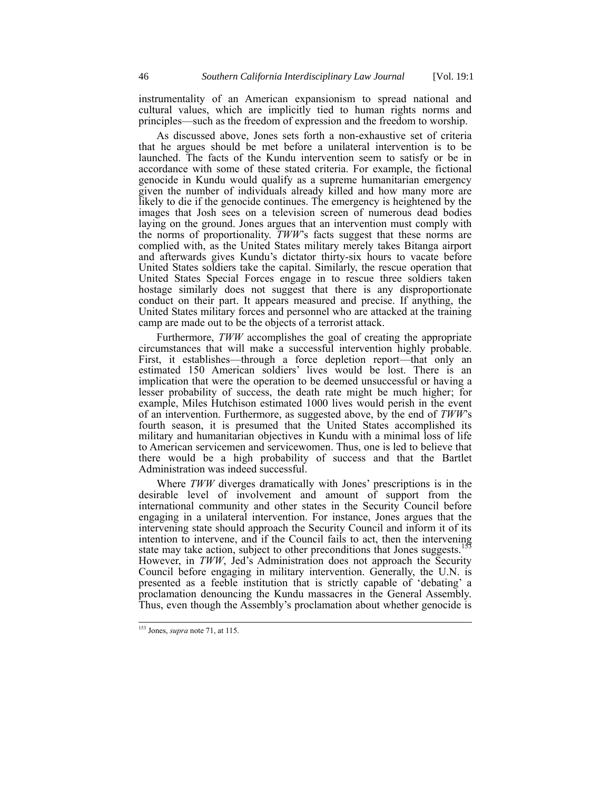instrumentality of an American expansionism to spread national and cultural values, which are implicitly tied to human rights norms and principles—such as the freedom of expression and the freedom to worship.

As discussed above, Jones sets forth a non-exhaustive set of criteria that he argues should be met before a unilateral intervention is to be launched. The facts of the Kundu intervention seem to satisfy or be in accordance with some of these stated criteria. For example, the fictional genocide in Kundu would qualify as a supreme humanitarian emergency given the number of individuals already killed and how many more are likely to die if the genocide continues. The emergency is heightened by the images that Josh sees on a television screen of numerous dead bodies laying on the ground. Jones argues that an intervention must comply with the norms of proportionality. *TWW*'s facts suggest that these norms are complied with, as the United States military merely takes Bitanga airport and afterwards gives Kundu's dictator thirty-six hours to vacate before United States soldiers take the capital. Similarly, the rescue operation that United States Special Forces engage in to rescue three soldiers taken hostage similarly does not suggest that there is any disproportionate conduct on their part. It appears measured and precise. If anything, the United States military forces and personnel who are attacked at the training camp are made out to be the objects of a terrorist attack.

Furthermore, *TWW* accomplishes the goal of creating the appropriate circumstances that will make a successful intervention highly probable. First, it establishes—through a force depletion report—that only an estimated 150 American soldiers' lives would be lost. There is an implication that were the operation to be deemed unsuccessful or having a lesser probability of success, the death rate might be much higher; for example, Miles Hutchison estimated 1000 lives would perish in the event of an intervention. Furthermore, as suggested above, by the end of *TWW*'s fourth season, it is presumed that the United States accomplished its military and humanitarian objectives in Kundu with a minimal loss of life to American servicemen and servicewomen. Thus, one is led to believe that there would be a high probability of success and that the Bartlet Administration was indeed successful.

Where *TWW* diverges dramatically with Jones' prescriptions is in the desirable level of involvement and amount of support from the international community and other states in the Security Council before engaging in a unilateral intervention. For instance, Jones argues that the intervening state should approach the Security Council and inform it of its intention to intervene, and if the Council fails to act, then the intervening state may take action, subject to other preconditions that Jones suggests.<sup>15</sup> However, in *TWW*, Jed's Administration does not approach the Security Council before engaging in military intervention. Generally, the U.N. is presented as a feeble institution that is strictly capable of 'debating' a proclamation denouncing the Kundu massacres in the General Assembly. Thus, even though the Assembly's proclamation about whether genocide is

<sup>153</sup> Jones, *supra* not[e 71,](#page-18-0) at 115.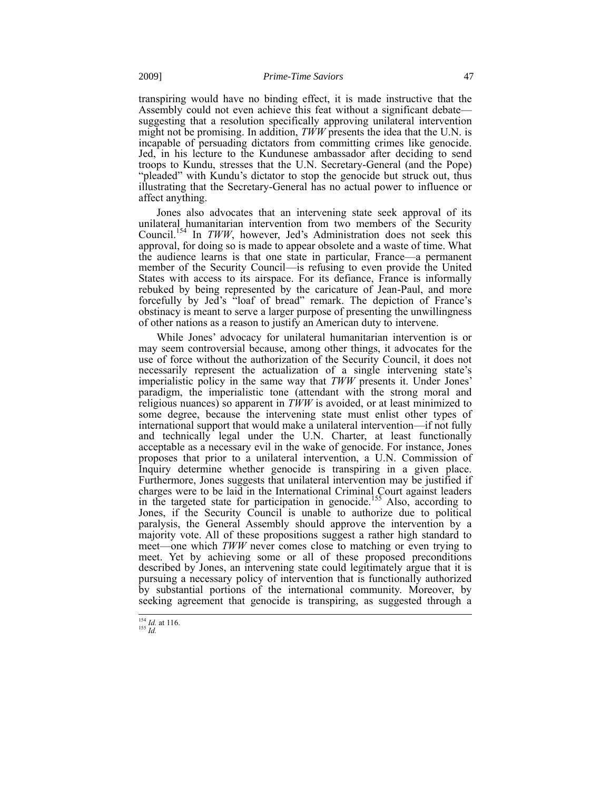transpiring would have no binding effect, it is made instructive that the Assembly could not even achieve this feat without a significant debate suggesting that a resolution specifically approving unilateral intervention might not be promising. In addition,  $T\dot{W}W$  presents the idea that the U.N. is incapable of persuading dictators from committing crimes like genocide. Jed, in his lecture to the Kundunese ambassador after deciding to send troops to Kundu, stresses that the U.N. Secretary-General (and the Pope) "pleaded" with Kundu's dictator to stop the genocide but struck out, thus illustrating that the Secretary-General has no actual power to influence or affect anything.

Jones also advocates that an intervening state seek approval of its unilateral humanitarian intervention from two members of the Security Council.<sup>154</sup> In *TWW*, however, Jed's Administration does not seek this approval, for doing so is made to appear obsolete and a waste of time. What the audience learns is that one state in particular, France—a permanent member of the Security Council—is refusing to even provide the United States with access to its airspace. For its defiance, France is informally rebuked by being represented by the caricature of Jean-Paul, and more forcefully by Jed's "loaf of bread" remark. The depiction of France's obstinacy is meant to serve a larger purpose of presenting the unwillingness of other nations as a reason to justify an American duty to intervene.

While Jones' advocacy for unilateral humanitarian intervention is or may seem controversial because, among other things, it advocates for the use of force without the authorization of the Security Council, it does not necessarily represent the actualization of a single intervening state's imperialistic policy in the same way that *TWW* presents it. Under Jones' paradigm, the imperialistic tone (attendant with the strong moral and religious nuances) so apparent in *TWW* is avoided, or at least minimized to some degree, because the intervening state must enlist other types of international support that would make a unilateral intervention—if not fully and technically legal under the U.N. Charter, at least functionally acceptable as a necessary evil in the wake of genocide. For instance, Jones proposes that prior to a unilateral intervention, a U.N. Commission of Inquiry determine whether genocide is transpiring in a given place. Furthermore, Jones suggests that unilateral intervention may be justified if charges were to be laid in the International Criminal Court against leaders in the targeted state for participation in genocide.<sup>155</sup> Also, according to Jones, if the Security Council is unable to authorize due to political paralysis, the General Assembly should approve the intervention by a majority vote. All of these propositions suggest a rather high standard to meet—one which *TWW* never comes close to matching or even trying to meet. Yet by achieving some or all of these proposed preconditions described by Jones, an intervening state could legitimately argue that it is pursuing a necessary policy of intervention that is functionally authorized by substantial portions of the international community. Moreover, by seeking agreement that genocide is transpiring, as suggested through a

1 <sup>154</sup> *Id.* at 116. <sup>155</sup> *Id.*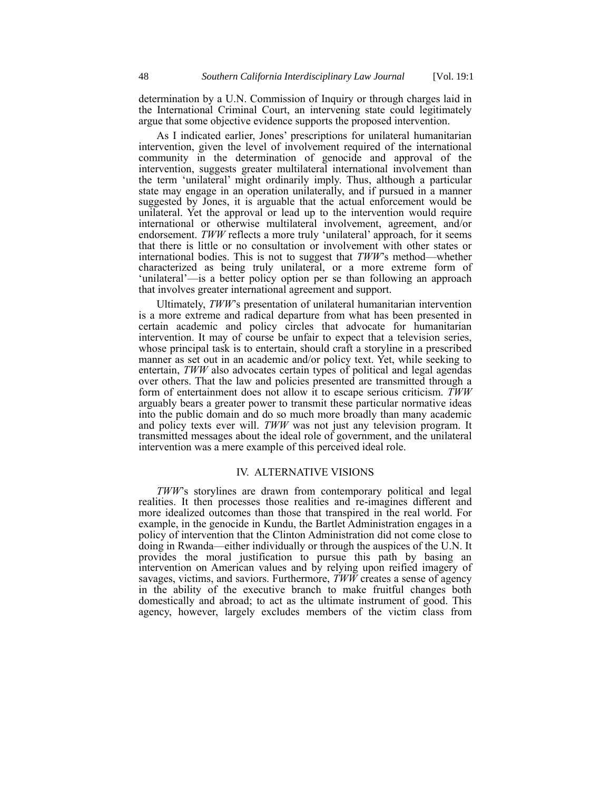determination by a U.N. Commission of Inquiry or through charges laid in the International Criminal Court, an intervening state could legitimately argue that some objective evidence supports the proposed intervention.

As I indicated earlier, Jones' prescriptions for unilateral humanitarian intervention, given the level of involvement required of the international community in the determination of genocide and approval of the intervention, suggests greater multilateral international involvement than the term 'unilateral' might ordinarily imply. Thus, although a particular state may engage in an operation unilaterally, and if pursued in a manner suggested by Jones, it is arguable that the actual enforcement would be unilateral. Yet the approval or lead up to the intervention would require international or otherwise multilateral involvement, agreement, and/or endorsement. *TWW* reflects a more truly 'unilateral' approach, for it seems that there is little or no consultation or involvement with other states or international bodies. This is not to suggest that *TWW*'s method—whether characterized as being truly unilateral, or a more extreme form of 'unilateral'—is a better policy option per se than following an approach that involves greater international agreement and support.

Ultimately, *TWW*'s presentation of unilateral humanitarian intervention is a more extreme and radical departure from what has been presented in certain academic and policy circles that advocate for humanitarian intervention. It may of course be unfair to expect that a television series, whose principal task is to entertain, should craft a storyline in a prescribed manner as set out in an academic and/or policy text. Yet, while seeking to entertain, *TWW* also advocates certain types of political and legal agendas over others. That the law and policies presented are transmitted through a form of entertainment does not allow it to escape serious criticism. *TWW* arguably bears a greater power to transmit these particular normative ideas into the public domain and do so much more broadly than many academic and policy texts ever will. *TWW* was not just any television program. It transmitted messages about the ideal role of government, and the unilateral intervention was a mere example of this perceived ideal role.

# IV. ALTERNATIVE VISIONS

*TWW*'s storylines are drawn from contemporary political and legal realities. It then processes those realities and re-imagines different and more idealized outcomes than those that transpired in the real world. For example, in the genocide in Kundu, the Bartlet Administration engages in a policy of intervention that the Clinton Administration did not come close to doing in Rwanda—either individually or through the auspices of the U.N. It provides the moral justification to pursue this path by basing an intervention on American values and by relying upon reified imagery of savages, victims, and saviors. Furthermore, *TWW* creates a sense of agency in the ability of the executive branch to make fruitful changes both domestically and abroad; to act as the ultimate instrument of good. This agency, however, largely excludes members of the victim class from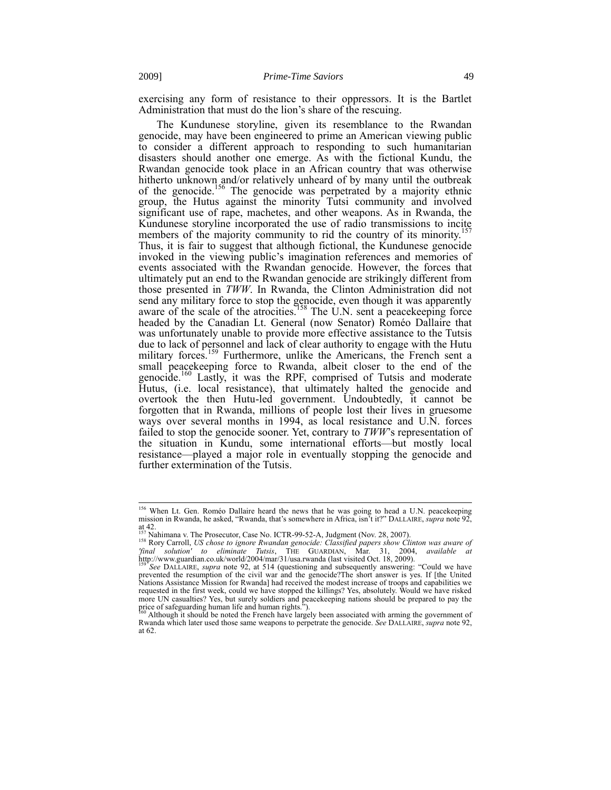exercising any form of resistance to their oppressors. It is the Bartlet Administration that must do the lion's share of the rescuing.

The Kundunese storyline, given its resemblance to the Rwandan genocide, may have been engineered to prime an American viewing public to consider a different approach to responding to such humanitarian disasters should another one emerge. As with the fictional Kundu, the Rwandan genocide took place in an African country that was otherwise hitherto unknown and/or relatively unheard of by many until the outbreak of the genocide.<sup>156</sup> The genocide was perpetrated by a majority ethnic group, the Hutus against the minority Tutsi community and involved significant use of rape, machetes, and other weapons. As in Rwanda, the Kundunese storyline incorporated the use of radio transmissions to incite members of the majority community to rid the country of its minority.<sup>157</sup> Thus, it is fair to suggest that although fictional, the Kundunese genocide invoked in the viewing public's imagination references and memories of events associated with the Rwandan genocide. However, the forces that ultimately put an end to the Rwandan genocide are strikingly different from those presented in *TWW*. In Rwanda, the Clinton Administration did not send any military force to stop the genocide, even though it was apparently aware of the scale of the atrocities.<sup>158</sup> The U.N. sent a peacekeeping force headed by the Canadian Lt. General (now Senator) Roméo Dallaire that was unfortunately unable to provide more effective assistance to the Tutsis due to lack of personnel and lack of clear authority to engage with the Hutu military forces.<sup>159</sup> Furthermore, unlike the Americans, the French sent a small peacekeeping force to Rwanda, albeit closer to the end of the genocide.<sup>160</sup> Lastly, it was the RPF, comprised of Tutsis and moderate Hutus, (i.e. local resistance), that ultimately halted the genocide and overtook the then Hutu-led government. Undoubtedly, it cannot be forgotten that in Rwanda, millions of people lost their lives in gruesome ways over several months in 1994, as local resistance and U.N. forces failed to stop the genocide sooner. Yet, contrary to *TWW*'s representation of the situation in Kundu, some international efforts—but mostly local resistance—played a major role in eventually stopping the genocide and further extermination of the Tutsis.

<sup>&</sup>lt;sup>156</sup> When Lt. Gen. Roméo Dallaire heard the news that he was going to head a U.N. peacekeeping mission in Rwanda, he asked, "Rwanda, that's somewhere in Africa, isn't it?" DALLAIRE, *supra* not[e 92,](#page-20-1) at 42. <sup>157</sup> Nahimana v. The Prosecutor, Case No. ICTR-99-52-A, Judgment (Nov. 28, 2007).

<sup>158</sup> Rory Carroll, *US chose to ignore Rwandan genocide: Classified papers show Clinton was aware of 'final solution' to eliminate Tutsis*, THE GUARDIAN, Mar. 31, 2004, *available at*

http://www.guardian.co.uk/world/2004/mar/31/usa.rwanda (last visited Oct. 18, 2009). <sup>159</sup> *See* DALLAIRE, *supra* note [92,](#page-20-1) at 514 (questioning and subsequently answering: "Could we have prevented the resumption of the civil war and the genocide?The short answer is yes. If [the United Nations Assistance Mission for Rwanda] had received the modest increase of troops and capabilities we requested in the first week, could we have stopped the killings? Yes, absolutely. Would we have risked more UN casualties? Yes, but surely soldiers and peacekeeping nations should be prepared to pay the price of safeguarding human life and human rights.").

Although it should be noted the French have largely been associated with arming the government of Rwanda which later used those same weapons to perpetrate the genocide. *See* DALLAIRE, *supra* not[e 92,](#page-20-1) at 62.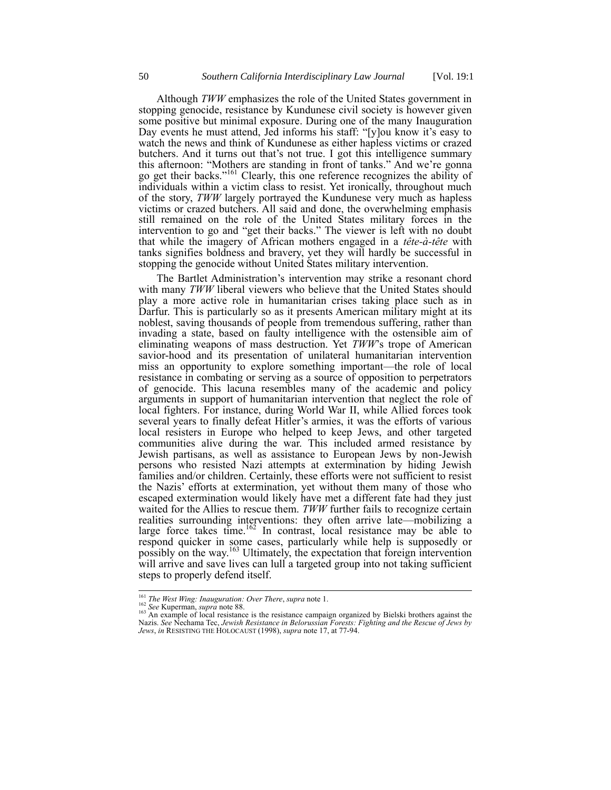Although *TWW* emphasizes the role of the United States government in stopping genocide, resistance by Kundunese civil society is however given some positive but minimal exposure. During one of the many Inauguration Day events he must attend, Jed informs his staff: "[y]ou know it's easy to watch the news and think of Kundunese as either hapless victims or crazed butchers. And it turns out that's not true. I got this intelligence summary this afternoon: "Mothers are standing in front of tanks." And we're gonna go get their backs."<sup>161</sup> Clearly, this one reference recognizes the ability of individuals within a victim class to resist. Yet ironically, throughout much of the story, *TWW* largely portrayed the Kundunese very much as hapless victims or crazed butchers. All said and done, the overwhelming emphasis still remained on the role of the United States military forces in the intervention to go and "get their backs." The viewer is left with no doubt that while the imagery of African mothers engaged in a *tête-à-tête* with tanks signifies boldness and bravery, yet they will hardly be successful in stopping the genocide without United States military intervention.

The Bartlet Administration's intervention may strike a resonant chord with many *TWW* liberal viewers who believe that the United States should play a more active role in humanitarian crises taking place such as in Darfur. This is particularly so as it presents American military might at its noblest, saving thousands of people from tremendous suffering, rather than invading a state, based on faulty intelligence with the ostensible aim of eliminating weapons of mass destruction. Yet *TWW*'s trope of American savior-hood and its presentation of unilateral humanitarian intervention miss an opportunity to explore something important—the role of local resistance in combating or serving as a source of opposition to perpetrators of genocide. This lacuna resembles many of the academic and policy arguments in support of humanitarian intervention that neglect the role of local fighters. For instance, during World War II, while Allied forces took several years to finally defeat Hitler's armies, it was the efforts of various local resisters in Europe who helped to keep Jews, and other targeted communities alive during the war. This included armed resistance by Jewish partisans, as well as assistance to European Jews by non-Jewish persons who resisted Nazi attempts at extermination by hiding Jewish families and/or children. Certainly, these efforts were not sufficient to resist the Nazis' efforts at extermination, yet without them many of those who escaped extermination would likely have met a different fate had they just waited for the Allies to rescue them. *TWW* further fails to recognize certain realities surrounding interventions: they often arrive late—mobilizing a large force takes time.<sup>162</sup> In contrast, local resistance may be able to respond quicker in some cases, particularly while help is supposedly or possibly on the way.<sup>163</sup> Ultimately, the expectation that foreign intervention will arrive and save lives can lull a targeted group into not taking sufficient steps to properly defend itself.

<sup>161</sup> *The West Wing: Inauguration: Over There*, *supra* not[e 1.](#page-1-0)

<sup>&</sup>lt;sup>162</sup> *See* Kuperman, *supra* not[e 88.](#page-20-2)<br><sup>163</sup> An example of local resistance is the resistance campaign organized by Bielski brothers against the Nazis. *See* Nechama Tec, *Jewish Resistance in Belorussian Forests: Fighting and the Rescue of Jews by Jews*, *in* RESISTING THE HOLOCAUST (1998), *supra* not[e 17,](#page-5-0) at 77-94.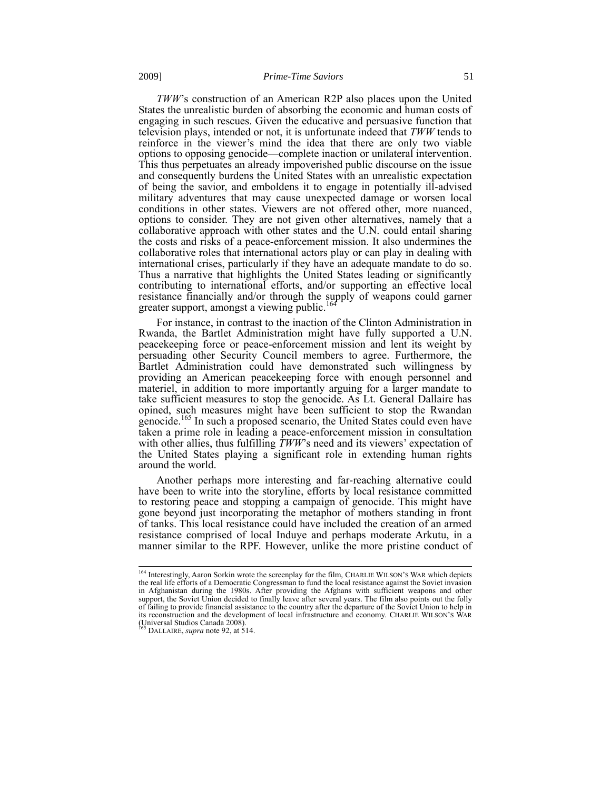*TWW*'s construction of an American R2P also places upon the United States the unrealistic burden of absorbing the economic and human costs of engaging in such rescues. Given the educative and persuasive function that television plays, intended or not, it is unfortunate indeed that *TWW* tends to reinforce in the viewer's mind the idea that there are only two viable options to opposing genocide—complete inaction or unilateral intervention. This thus perpetuates an already impoverished public discourse on the issue and consequently burdens the United States with an unrealistic expectation of being the savior, and emboldens it to engage in potentially ill-advised military adventures that may cause unexpected damage or worsen local conditions in other states. Viewers are not offered other, more nuanced, options to consider. They are not given other alternatives, namely that a collaborative approach with other states and the U.N. could entail sharing the costs and risks of a peace-enforcement mission. It also undermines the collaborative roles that international actors play or can play in dealing with international crises, particularly if they have an adequate mandate to do so. Thus a narrative that highlights the United States leading or significantly contributing to international efforts, and/or supporting an effective local resistance financially and/or through the supply of weapons could garner greater support, amongst a viewing public.

For instance, in contrast to the inaction of the Clinton Administration in Rwanda, the Bartlet Administration might have fully supported a U.N. peacekeeping force or peace-enforcement mission and lent its weight by persuading other Security Council members to agree. Furthermore, the Bartlet Administration could have demonstrated such willingness by providing an American peacekeeping force with enough personnel and materiel, in addition to more importantly arguing for a larger mandate to take sufficient measures to stop the genocide. As Lt. General Dallaire has opined, such measures might have been sufficient to stop the Rwandan genocide.<sup>165</sup> In such a proposed scenario, the United States could even have taken a prime role in leading a peace-enforcement mission in consultation with other allies, thus fulfilling  $\overline{TWW}$ 's need and its viewers' expectation of the United States playing a significant role in extending human rights around the world.

Another perhaps more interesting and far-reaching alternative could have been to write into the storyline, efforts by local resistance committed to restoring peace and stopping a campaign of genocide. This might have gone beyond just incorporating the metaphor of mothers standing in front of tanks. This local resistance could have included the creation of an armed resistance comprised of local Induye and perhaps moderate Arkutu, in a manner similar to the RPF. However, unlike the more pristine conduct of

<sup>&</sup>lt;sup>164</sup> Interestingly, Aaron Sorkin wrote the screenplay for the film, CHARLIE WILSON'S WAR which depicts the real life efforts of a Democratic Congressman to fund the local resistance against the Soviet invasion in Afghanistan during the 1980s. After providing the Afghans with sufficient weapons and other support, the Soviet Union decided to finally leave after several years. The film also points out the folly of failing to provide financial assistance to the country after the departure of the Soviet Union to help in its reconstruction and the development of local infrastructure and economy. CHARLIE WILSON'S WAR (Universal Studios Canada 2008).

<sup>&</sup>lt;sup>1</sup> DALLAIRE, *supra* not[e 92,](#page-20-1) at 514.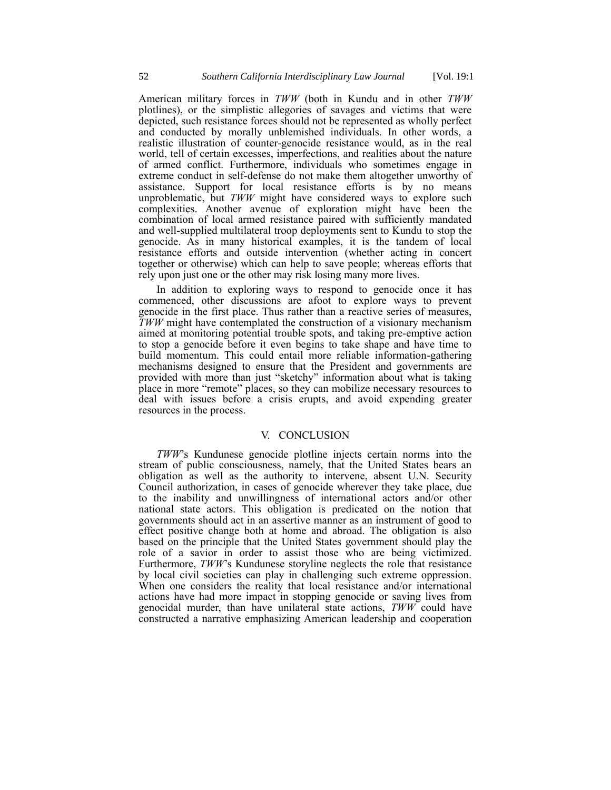American military forces in *TWW* (both in Kundu and in other *TWW* plotlines), or the simplistic allegories of savages and victims that were depicted, such resistance forces should not be represented as wholly perfect and conducted by morally unblemished individuals. In other words, a realistic illustration of counter-genocide resistance would, as in the real world, tell of certain excesses, imperfections, and realities about the nature of armed conflict. Furthermore, individuals who sometimes engage in extreme conduct in self-defense do not make them altogether unworthy of assistance. Support for local resistance efforts is by no means unproblematic, but *TWW* might have considered ways to explore such complexities. Another avenue of exploration might have been the combination of local armed resistance paired with sufficiently mandated and well-supplied multilateral troop deployments sent to Kundu to stop the genocide. As in many historical examples, it is the tandem of local resistance efforts and outside intervention (whether acting in concert together or otherwise) which can help to save people; whereas efforts that rely upon just one or the other may risk losing many more lives.

In addition to exploring ways to respond to genocide once it has commenced, other discussions are afoot to explore ways to prevent genocide in the first place. Thus rather than a reactive series of measures, *TWW* might have contemplated the construction of a visionary mechanism aimed at monitoring potential trouble spots, and taking pre-emptive action to stop a genocide before it even begins to take shape and have time to build momentum. This could entail more reliable information-gathering mechanisms designed to ensure that the President and governments are provided with more than just "sketchy" information about what is taking place in more "remote" places, so they can mobilize necessary resources to deal with issues before a crisis erupts, and avoid expending greater resources in the process.

# V. CONCLUSION

*TWW*'s Kundunese genocide plotline injects certain norms into the stream of public consciousness, namely, that the United States bears an obligation as well as the authority to intervene, absent U.N. Security Council authorization, in cases of genocide wherever they take place, due to the inability and unwillingness of international actors and/or other national state actors. This obligation is predicated on the notion that governments should act in an assertive manner as an instrument of good to effect positive change both at home and abroad. The obligation is also based on the principle that the United States government should play the role of a savior in order to assist those who are being victimized. Furthermore, *TWW*'s Kundunese storyline neglects the role that resistance by local civil societies can play in challenging such extreme oppression. When one considers the reality that local resistance and/or international actions have had more impact in stopping genocide or saving lives from genocidal murder, than have unilateral state actions, *TWW* could have constructed a narrative emphasizing American leadership and cooperation